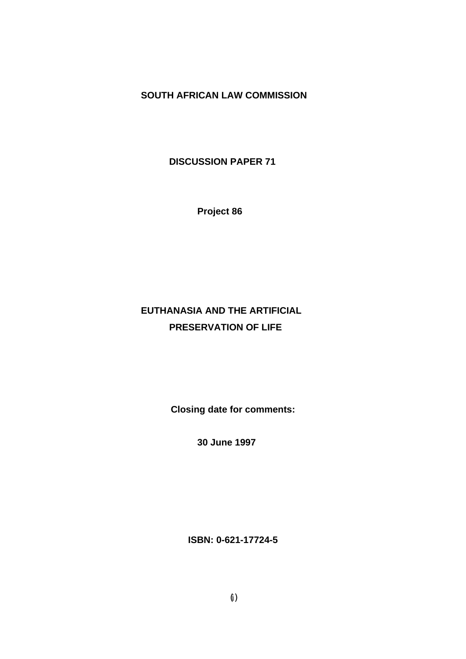## **SOUTH AFRICAN LAW COMMISSION**

**DISCUSSION PAPER 71** 

**Project 86** 

# **EUTHANASIA AND THE ARTIFICIAL PRESERVATION OF LIFE**

**Closing date for comments:** 

**30 June 1997** 

 **ISBN: 0-621-17724-5**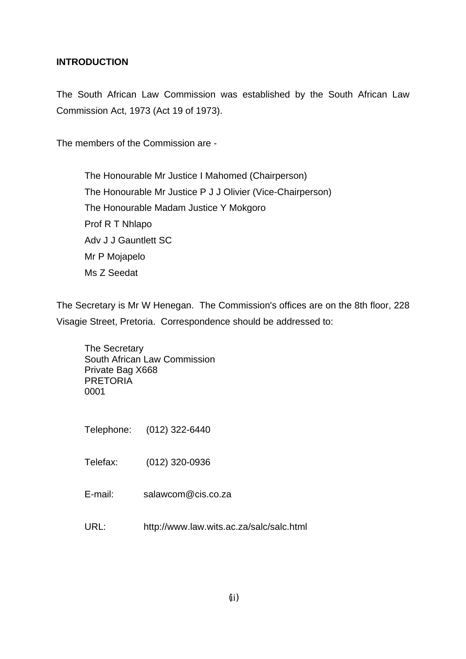### **INTRODUCTION**

The South African Law Commission was established by the South African Law Commission Act, 1973 (Act 19 of 1973).

The members of the Commission are -

The Honourable Mr Justice I Mahomed (Chairperson) The Honourable Mr Justice P J J Olivier (Vice-Chairperson) The Honourable Madam Justice Y Mokgoro Prof R T Nhlapo Adv J J Gauntlett SC Mr P Mojapelo Ms Z Seedat

The Secretary is Mr W Henegan. The Commission's offices are on the 8th floor, 228 Visagie Street, Pretoria. Correspondence should be addressed to:

The Secretary South African Law Commission Private Bag X668 PRETORIA 0001

Telephone: (012) 322-6440

Telefax: (012) 320-0936

E-mail: salawcom@cis.co.za

URL: http://www.law.wits.ac.za/salc/salc.html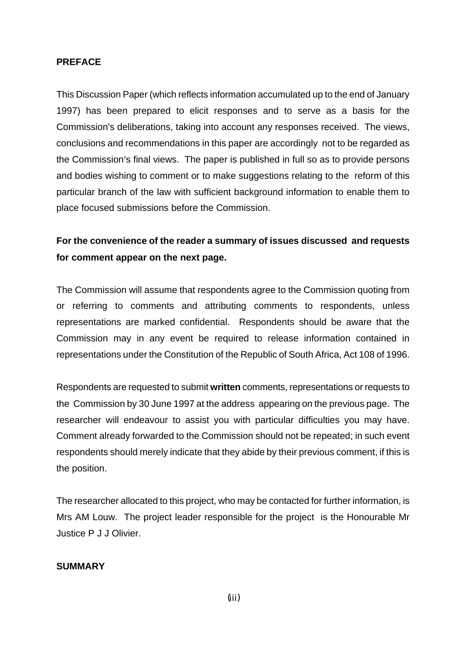#### **PREFACE**

This Discussion Paper (which reflects information accumulated up to the end of January 1997) has been prepared to elicit responses and to serve as a basis for the Commission's deliberations, taking into account any responses received. The views, conclusions and recommendations in this paper are accordingly not to be regarded as the Commission's final views. The paper is published in full so as to provide persons and bodies wishing to comment or to make suggestions relating to the reform of this particular branch of the law with sufficient background information to enable them to place focused submissions before the Commission.

## **For the convenience of the reader a summary of issues discussed and requests for comment appear on the next page.**

The Commission will assume that respondents agree to the Commission quoting from or referring to comments and attributing comments to respondents, unless representations are marked confidential. Respondents should be aware that the Commission may in any event be required to release information contained in representations under the Constitution of the Republic of South Africa, Act 108 of 1996.

Respondents are requested to submit **written** comments, representations or requests to the Commission by 30 June 1997 at the address appearing on the previous page. The researcher will endeavour to assist you with particular difficulties you may have. Comment already forwarded to the Commission should not be repeated; in such event respondents should merely indicate that they abide by their previous comment, if this is the position.

The researcher allocated to this project, who may be contacted for further information, is Mrs AM Louw. The project leader responsible for the project is the Honourable Mr Justice P J J Olivier.

### **SUMMARY**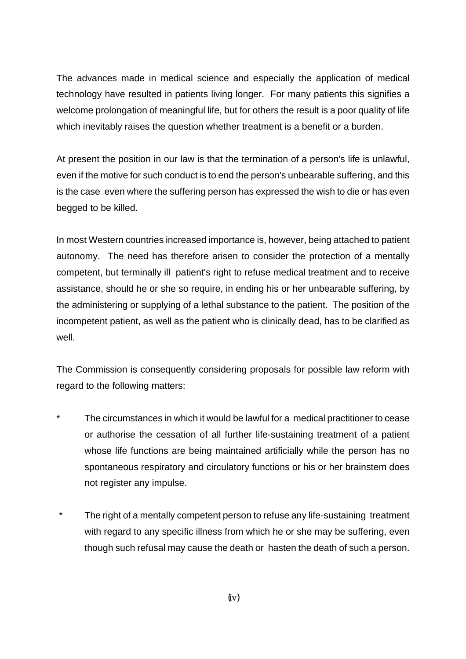The advances made in medical science and especially the application of medical technology have resulted in patients living longer. For many patients this signifies a welcome prolongation of meaningful life, but for others the result is a poor quality of life which inevitably raises the question whether treatment is a benefit or a burden.

At present the position in our law is that the termination of a person's life is unlawful, even if the motive for such conduct is to end the person's unbearable suffering, and this is the case even where the suffering person has expressed the wish to die or has even begged to be killed.

In most Western countries increased importance is, however, being attached to patient autonomy. The need has therefore arisen to consider the protection of a mentally competent, but terminally ill patient's right to refuse medical treatment and to receive assistance, should he or she so require, in ending his or her unbearable suffering, by the administering or supplying of a lethal substance to the patient. The position of the incompetent patient, as well as the patient who is clinically dead, has to be clarified as well.

The Commission is consequently considering proposals for possible law reform with regard to the following matters:

- The circumstances in which it would be lawful for a medical practitioner to cease or authorise the cessation of all further life-sustaining treatment of a patient whose life functions are being maintained artificially while the person has no spontaneous respiratory and circulatory functions or his or her brainstem does not register any impulse.
- The right of a mentally competent person to refuse any life-sustaining treatment with regard to any specific illness from which he or she may be suffering, even though such refusal may cause the death or hasten the death of such a person.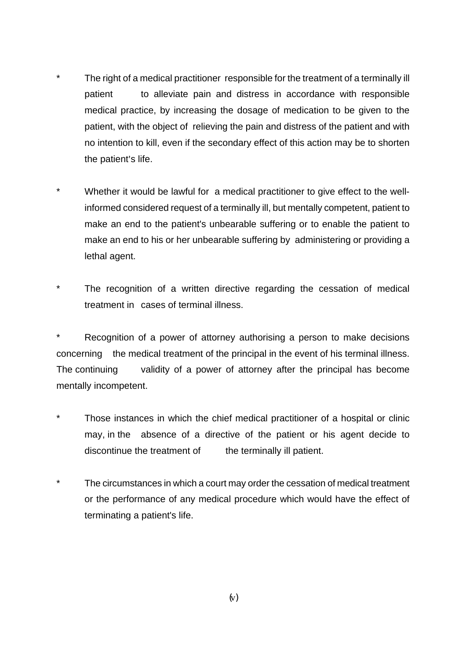- \* The right of a medical practitioner responsible for the treatment of a terminally ill patient to alleviate pain and distress in accordance with responsible medical practice, by increasing the dosage of medication to be given to the patient, with the object of relieving the pain and distress of the patient and with no intention to kill, even if the secondary effect of this action may be to shorten the patient's life.
- \* Whether it would be lawful for a medical practitioner to give effect to the wellinformed considered request of a terminally ill, but mentally competent, patient to make an end to the patient's unbearable suffering or to enable the patient to make an end to his or her unbearable suffering by administering or providing a lethal agent.
- \* The recognition of a written directive regarding the cessation of medical treatment in cases of terminal illness.

Recognition of a power of attorney authorising a person to make decisions concerning the medical treatment of the principal in the event of his terminal illness. The continuing validity of a power of attorney after the principal has become mentally incompetent.

- Those instances in which the chief medical practitioner of a hospital or clinic may, in the absence of a directive of the patient or his agent decide to discontinue the treatment of the terminally ill patient.
- \* The circumstances in which a court may order the cessation of medical treatment or the performance of any medical procedure which would have the effect of terminating a patient's life.

(v)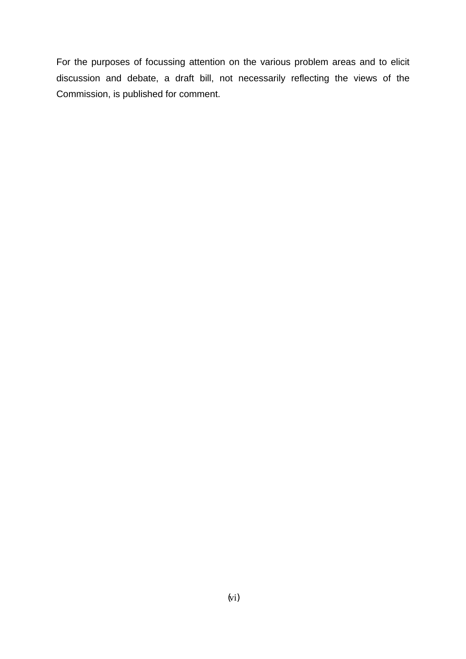For the purposes of focussing attention on the various problem areas and to elicit discussion and debate, a draft bill, not necessarily reflecting the views of the Commission, is published for comment.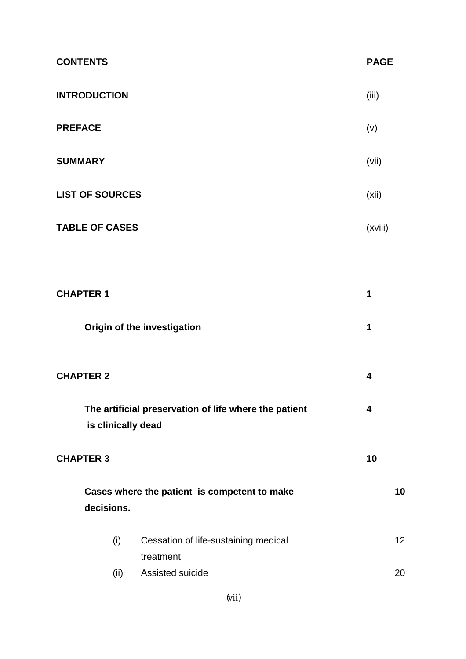| <b>CONTENTS</b>        |                                                       | <b>PAGE</b>             |
|------------------------|-------------------------------------------------------|-------------------------|
| <b>INTRODUCTION</b>    |                                                       | (iii)                   |
| <b>PREFACE</b>         |                                                       | (v)                     |
| <b>SUMMARY</b>         |                                                       | (vii)                   |
| <b>LIST OF SOURCES</b> |                                                       | (xii)                   |
| <b>TABLE OF CASES</b>  |                                                       | (xviii)                 |
|                        |                                                       |                         |
| <b>CHAPTER 1</b>       |                                                       | 1                       |
|                        | Origin of the investigation                           | 1                       |
| <b>CHAPTER 2</b>       |                                                       | $\overline{\mathbf{4}}$ |
| is clinically dead     | The artificial preservation of life where the patient | $\overline{\mathbf{4}}$ |
| <b>CHAPTER 3</b>       |                                                       | 10                      |
| decisions.             | Cases where the patient is competent to make          | 10                      |
| (i)                    | Cessation of life-sustaining medical<br>treatment     | 12 <sub>2</sub>         |
| (ii)                   | Assisted suicide                                      | 20                      |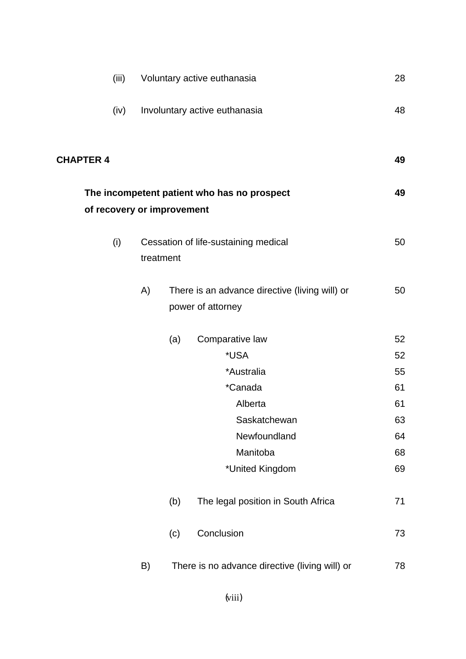|                            | (iii) | Voluntary active euthanasia   |     | 28                                             |    |
|----------------------------|-------|-------------------------------|-----|------------------------------------------------|----|
|                            | (iv)  | Involuntary active euthanasia |     | 48                                             |    |
| <b>CHAPTER 4</b>           |       |                               |     |                                                | 49 |
| of recovery or improvement |       |                               |     | The incompetent patient who has no prospect    | 49 |
|                            |       |                               |     |                                                |    |
|                            | (i)   |                               |     | Cessation of life-sustaining medical           | 50 |
|                            |       | treatment                     |     |                                                |    |
|                            |       | A)                            |     | There is an advance directive (living will) or | 50 |
|                            |       |                               |     | power of attorney                              |    |
|                            |       |                               | (a) | Comparative law                                | 52 |
|                            |       |                               |     | *USA                                           | 52 |
|                            |       |                               |     | *Australia                                     | 55 |
|                            |       |                               |     | <i>*</i> Canada                                | 61 |
|                            |       |                               |     | Alberta                                        | 61 |
|                            |       |                               |     | Saskatchewan                                   | 63 |
|                            |       |                               |     | Newfoundland                                   | 64 |
|                            |       |                               |     | Manitoba                                       | 68 |
|                            |       |                               |     | *United Kingdom                                | 69 |
|                            |       |                               | (b) | The legal position in South Africa             | 71 |
|                            |       |                               | (c) | Conclusion                                     | 73 |
|                            |       | B)                            |     | There is no advance directive (living will) or | 78 |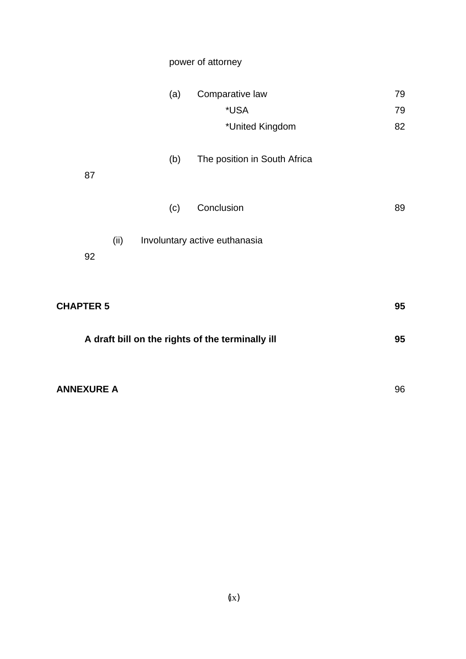|  |  | power of attorney |  |
|--|--|-------------------|--|
|--|--|-------------------|--|

|                  |      | (a) | Comparative law               | 79 |
|------------------|------|-----|-------------------------------|----|
|                  |      |     | *USA                          | 79 |
|                  |      |     | *United Kingdom               | 82 |
|                  |      | (b) | The position in South Africa  |    |
| 87               |      |     |                               |    |
|                  |      | (c) | Conclusion                    | 89 |
|                  | (ii) |     | Involuntary active euthanasia |    |
| 92               |      |     |                               |    |
|                  |      |     |                               |    |
| <b>CHAPTER 5</b> |      |     |                               | 95 |

| A draft bill on the rights of the terminally ill |  |
|--------------------------------------------------|--|
|                                                  |  |

**ANNEXURE A** 96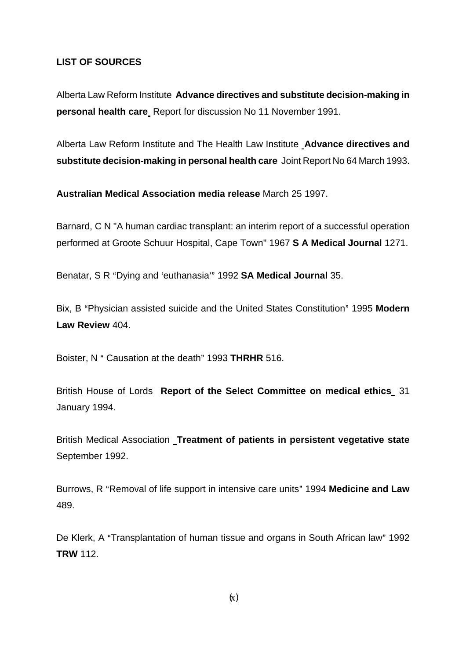### **LIST OF SOURCES**

Alberta Law Reform Institute **Advance directives and substitute decision-making in personal health care** Report for discussion No 11 November 1991.

Alberta Law Reform Institute and The Health Law Institute **Advance directives and substitute decision-making in personal health care** Joint Report No 64 March 1993.

**Australian Medical Association media release** March 25 1997.

Barnard, C N "A human cardiac transplant: an interim report of a successful operation performed at Groote Schuur Hospital, Cape Town" 1967 **S A Medical Journal** 1271.

Benatar, S R "Dying and 'euthanasia'" 1992 **SA Medical Journal** 35.

Bix, B "Physician assisted suicide and the United States Constitution" 1995 Modern **Law Review** 404.

Boister, N " Causation at the death" 1993 **THRHR** 516.

British House of Lords **Report of the Select Committee on medical ethics** 31 January 1994.

British Medical Association **Treatment of patients in persistent vegetative state** September 1992.

Burrows, R "Removal of life support in intensive care units" 1994 Medicine and Law 489.

De Klerk, A "Transplantation of human tissue and organs in South African law" 1992 **TRW** 112.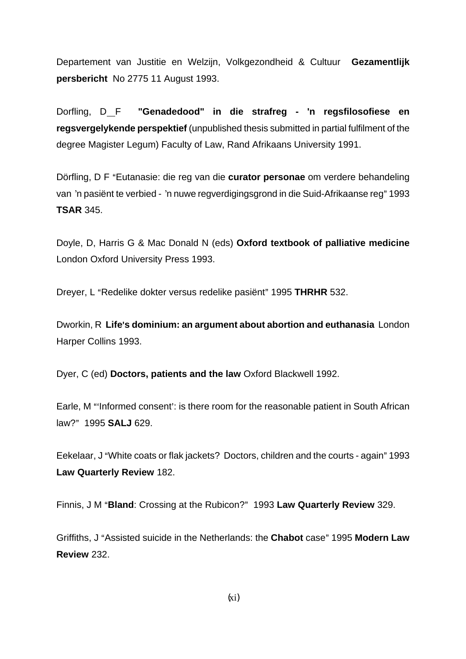Departement van Justitie en Welzijn, Volkgezondheid & Cultuur **Gezamentlijk persbericht** No 2775 11 August 1993.

Dorfling, D F **"Genadedood" in die strafreg - 'n regsfilosofiese en regsvergelykende perspektief** (unpublished thesis submitted in partial fulfilment of the degree Magister Legum) Faculty of Law, Rand Afrikaans University 1991.

Dörfling, D F "Eutanasie: die reg van die **curator personae** om verdere behandeling van 'n pasiënt te verbied - 'n nuwe regverdigingsgrond in die Suid-Afrikaanse reg" 1993 **TSAR** 345.

Doyle, D, Harris G & Mac Donald N (eds) **Oxford textbook of palliative medicine**  London Oxford University Press 1993.

Dreyer, L "Redelike dokter versus redelike pasiënt" 1995 **THRHR** 532.

Dworkin, R Life's dominium: an argument about abortion and euthanasia London Harper Collins 1993.

Dyer, C (ed) **Doctors, patients and the law** Oxford Blackwell 1992.

Earle, M "Informed consent": is there room for the reasonable patient in South African law?@ 1995 **SALJ** 629.

Eekelaar, J "White coats or flak jackets? Doctors, children and the courts - again" 1993 **Law Quarterly Review** 182.

Finnis, J M "**Bland**: Crossing at the Rubicon?" 1993 Law Quarterly Review 329.

Griffiths, J "Assisted suicide in the Netherlands: the **Chabot** case" 1995 Modern Law **Review** 232.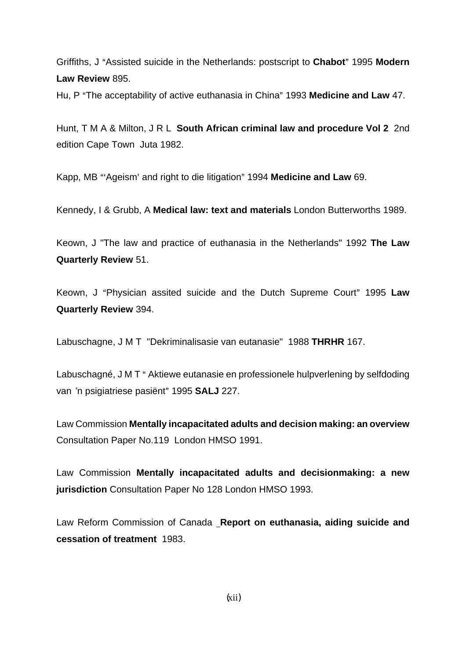Griffiths, J "Assisted suicide in the Netherlands: postscript to **Chabot**" 1995 Modern **Law Review** 895.

Hu, P AThe acceptability of active euthanasia in China@ 1993 **Medicine and Law** 47.

Hunt, T M A & Milton, J R L **South African criminal law and procedure Vol 2** 2nd edition Cape Town Juta 1982.

Kapp, MB "Ageism' and right to die litigation" 1994 Medicine and Law 69.

Kennedy, I & Grubb, A **Medical law: text and materials** London Butterworths 1989.

Keown, J "The law and practice of euthanasia in the Netherlands" 1992 **The Law Quarterly Review** 51.

Keown, J "Physician assited suicide and the Dutch Supreme Court" 1995 Law **Quarterly Review** 394.

Labuschagne, J M T "Dekriminalisasie van eutanasie" 1988 **THRHR** 167.

Labuschagné, J M T " Aktiewe eutanasie en professionele hulpverlening by selfdoding van 'n psigiatriese pasiënt" 1995 **SALJ** 227.

Law Commission **Mentally incapacitated adults and decision making: an overview**  Consultation Paper No.119London HMSO 1991.

Law Commission **Mentally incapacitated adults and decisionmaking: a new jurisdiction** Consultation Paper No 128 London HMSO 1993.

Law Reform Commission of Canada **Report on euthanasia, aiding suicide and cessation of treatment** 1983.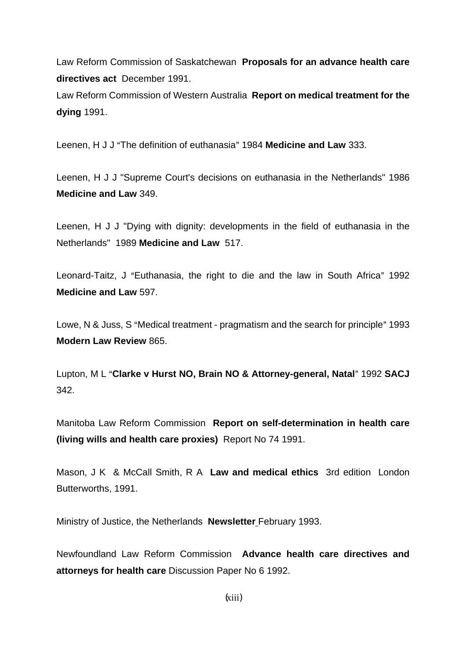Law Reform Commission of Saskatchewan **Proposals for an advance health care directives act** December 1991.

Law Reform Commission of Western Australia **Report on medical treatment for the dying** 1991.

Leenen, H J J "The definition of euthanasia" 1984 **Medicine and Law** 333.

Leenen, H J J "Supreme Court's decisions on euthanasia in the Netherlands" 1986 **Medicine and Law** 349.

Leenen, H J J "Dying with dignity: developments in the field of euthanasia in the Netherlands" 1989 **Medicine and Law** 517.

Leonard-Taitz, J "Euthanasia, the right to die and the law in South Africa" 1992 **Medicine and Law** 597.

Lowe, N & Juss, S "Medical treatment - pragmatism and the search for principle" 1993 **Modern Law Review** 865.

Lupton, M L "Clarke v Hurst NO, Brain NO & Attorney-general, Natal" 1992 SACJ 342.

Manitoba Law Reform Commission **Report on self-determination in health care (living wills and health care proxies)** Report No 74 1991.

Mason, J K & McCall Smith, R A **Law and medical ethics** 3rd edition London Butterworths, 1991.

Ministry of Justice, the Netherlands **Newsletter** February 1993.

Newfoundland Law Reform Commission **Advance health care directives and attorneys for health care** Discussion Paper No 6 1992.

(xiii)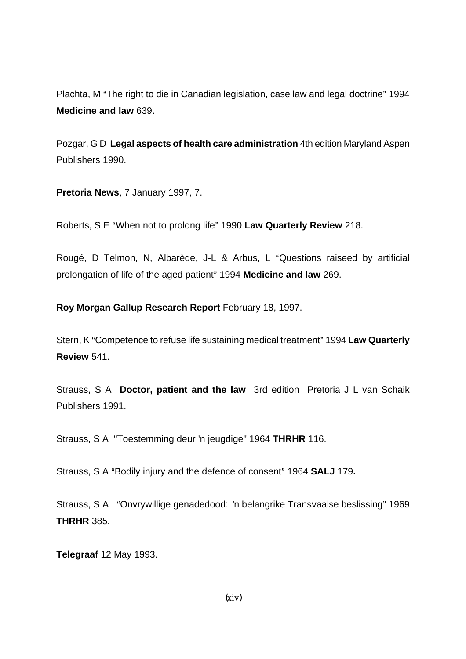Plachta, M "The right to die in Canadian legislation, case law and legal doctrine" 1994 **Medicine and law** 639.

Pozgar, G D **Legal aspects of health care administration** 4th edition Maryland Aspen Publishers 1990.

**Pretoria News**, 7 January 1997, 7.

Roberts, S E "When not to prolong life" 1990 Law Quarterly Review 218.

Rougé, D Telmon, N, Albarède, J-L & Arbus, L "Questions raiseed by artificial prolongation of life of the aged patient" 1994 Medicine and law 269.

**Roy Morgan Gallup Research Report** February 18, 1997.

Stern, K "Competence to refuse life sustaining medical treatment" 1994 Law Quarterly **Review** 541.

Strauss, S A **Doctor, patient and the law** 3rd edition Pretoria J L van Schaik Publishers 1991.

Strauss, S A "Toestemming deur 'n jeugdige" 1964 **THRHR** 116.

Strauss, S A "Bodily injury and the defence of consent" 1964 **SALJ** 179.

Strauss, S A "Onvrywillige genadedood: 'n belangrike Transvaalse beslissing" 1969 **THRHR** 385.

**Telegraaf** 12 May 1993.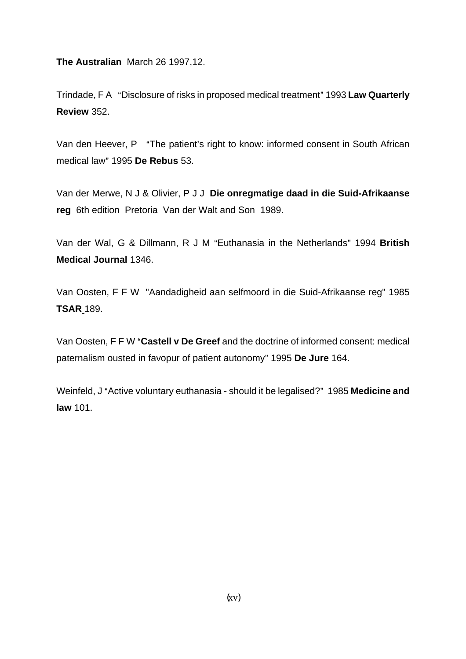**The Australian** March 26 1997,12.

Trindade, F A "Disclosure of risks in proposed medical treatment" 1993 Law Quarterly **Review** 352.

Van den Heever, P "The patient's right to know: informed consent in South African medical law@ 1995 **De Rebus** 53.

Van der Merwe, N J & Olivier, P J J **Die onregmatige daad in die Suid-Afrikaanse reg** 6th edition Pretoria Van der Walt and Son 1989.

Van der Wal, G & Dillmann, R J M "Euthanasia in the Netherlands" 1994 British **Medical Journal** 1346.

Van Oosten, F F W "Aandadigheid aan selfmoord in die Suid-Afrikaanse reg" 1985 **TSAR** 189.

Van Oosten, F F W "Castell v De Greef and the doctrine of informed consent: medical paternalism ousted in favopur of patient autonomy" 1995 De Jure 164.

Weinfeld, J "Active voluntary euthanasia - should it be legalised?" 1985 Medicine and **law** 101.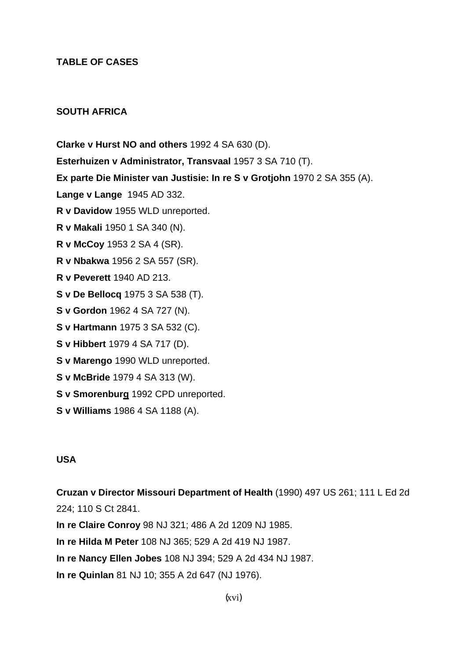### **TABLE OF CASES**

### **SOUTH AFRICA**

**Clarke v Hurst NO and others** 1992 4 SA 630 (D). **Esterhuizen v Administrator, Transvaal** 1957 3 SA 710 (T). **Ex parte Die Minister van Justisie: In re S v Grotjohn** 1970 2 SA 355 (A). **Lange v Lange** 1945 AD 332. **R v Davidow** 1955 WLD unreported. **R v Makali** 1950 1 SA 340 (N). **R v McCoy** 1953 2 SA 4 (SR). **R v Nbakwa** 1956 2 SA 557 (SR). **R v Peverett** 1940 AD 213. **S v De Bellocq** 1975 3 SA 538 (T). **S v Gordon** 1962 4 SA 727 (N). **S v Hartmann** 1975 3 SA 532 (C). **S v Hibbert** 1979 4 SA 717 (D). **S v Marengo** 1990 WLD unreported. **S v McBride** 1979 4 SA 313 (W).

- **S v Smorenburg** 1992 CPD unreported.
- **S v Williams** 1986 4 SA 1188 (A).

### **USA**

**Cruzan v Director Missouri Department of Health** (1990) 497 US 261; 111 L Ed 2d 224; 110 S Ct 2841.

**In re Claire Conroy** 98 NJ 321; 486 A 2d 1209 NJ 1985.

**In re Hilda M Peter** 108 NJ 365; 529 A 2d 419 NJ 1987.

**In re Nancy Ellen Jobes** 108 NJ 394; 529 A 2d 434 NJ 1987.

**In re Quinlan** 81 NJ 10; 355 A 2d 647 (NJ 1976).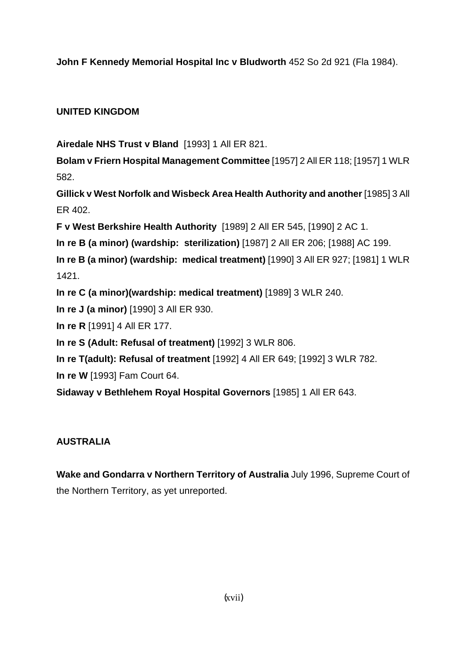**John F Kennedy Memorial Hospital Inc v Bludworth** 452 So 2d 921 (Fla 1984).

## **UNITED KINGDOM**

**Airedale NHS Trust v Bland** [1993] 1 All ER 821.

**Bolam v Friern Hospital Management Committee** [1957] 2 All ER 118; [1957] 1 WLR 582.

**Gillick v West Norfolk and Wisbeck Area Health Authority and another** [1985] 3 All ER 402.

**F v West Berkshire Health Authority** [1989] 2 All ER 545, [1990] 2 AC 1.

**In re B (a minor) (wardship: sterilization)** [1987] 2 All ER 206; [1988] AC 199.

**In re B (a minor) (wardship: medical treatment)** [1990] 3 All ER 927; [1981] 1 WLR 1421.

**In re C (a minor)(wardship: medical treatment)** [1989] 3 WLR 240.

**In re J (a minor)** [1990] 3 All ER 930.

**In re R** [1991] 4 All ER 177.

**In re S (Adult: Refusal of treatment)** [1992] 3 WLR 806.

**In re T(adult): Refusal of treatment** [1992] 4 All ER 649; [1992] 3 WLR 782.

**In re W** [1993] Fam Court 64.

**Sidaway v Bethlehem Royal Hospital Governors** [1985] 1 All ER 643.

## **AUSTRALIA**

**Wake and Gondarra v Northern Territory of Australia** July 1996, Supreme Court of the Northern Territory, as yet unreported.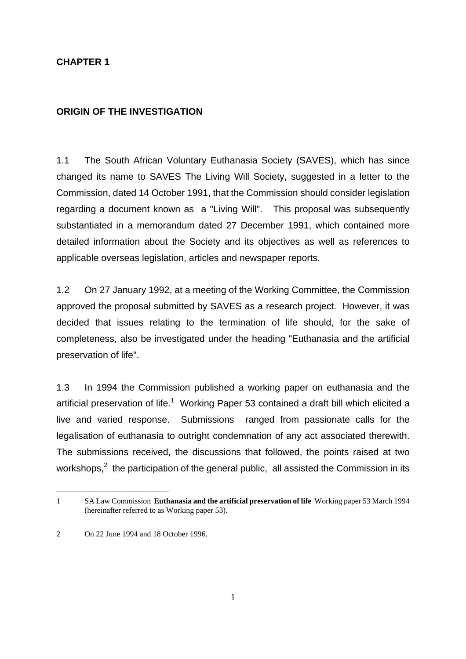### **CHAPTER 1**

### **ORIGIN OF THE INVESTIGATION**

1.1 The South African Voluntary Euthanasia Society (SAVES), which has since changed its name to SAVES The Living Will Society, suggested in a letter to the Commission, dated 14 October 1991, that the Commission should consider legislation regarding a document known as a "Living Will". This proposal was subsequently substantiated in a memorandum dated 27 December 1991, which contained more detailed information about the Society and its objectives as well as references to applicable overseas legislation, articles and newspaper reports.

1.2 On 27 January 1992, at a meeting of the Working Committee, the Commission approved the proposal submitted by SAVES as a research project. However, it was decided that issues relating to the termination of life should, for the sake of completeness, also be investigated under the heading "Euthanasia and the artificial preservation of life".

1.3 In 1994 the Commission published a working paper on euthanasia and the artificial preservation of life.<sup>1</sup> Working Paper 53 contained a draft bill which elicited a live and varied response. Submissions ranged from passionate calls for the legalisation of euthanasia to outright condemnation of any act associated therewith. The submissions received, the discussions that followed, the points raised at two workshops, $2$  the participation of the general public, all assisted the Commission in its

<sup>1</sup> SA Law Commission **Euthanasia and the artificial preservation of life** Working paper 53 March 1994 (hereinafter referred to as Working paper 53).

<sup>2</sup> On 22 June 1994 and 18 October 1996.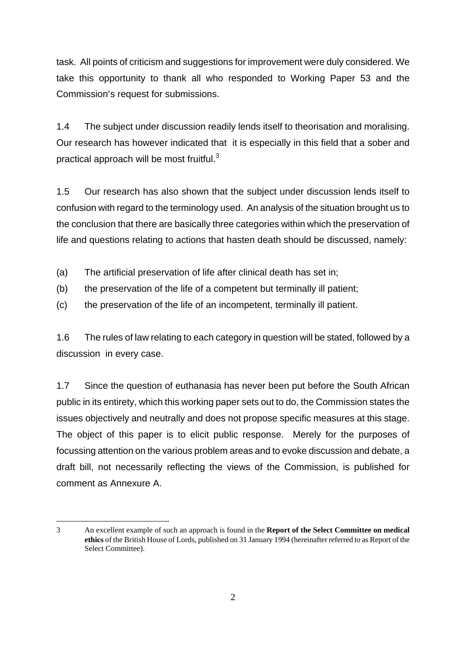task. All points of criticism and suggestions for improvement were duly considered. We take this opportunity to thank all who responded to Working Paper 53 and the Commission's request for submissions.

1.4 The subject under discussion readily lends itself to theorisation and moralising. Our research has however indicated that it is especially in this field that a sober and practical approach will be most fruitful.<sup>3</sup>

1.5 Our research has also shown that the subject under discussion lends itself to confusion with regard to the terminology used. An analysis of the situation brought us to the conclusion that there are basically three categories within which the preservation of life and questions relating to actions that hasten death should be discussed, namely:

- (a) The artificial preservation of life after clinical death has set in;
- (b) the preservation of the life of a competent but terminally ill patient;
- (c) the preservation of the life of an incompetent, terminally ill patient.

1.6 The rules of law relating to each category in question will be stated, followed by a discussion in every case.

1.7 Since the question of euthanasia has never been put before the South African public in its entirety, which this working paper sets out to do, the Commission states the issues objectively and neutrally and does not propose specific measures at this stage. The object of this paper is to elicit public response. Merely for the purposes of focussing attention on the various problem areas and to evoke discussion and debate, a draft bill, not necessarily reflecting the views of the Commission, is published for comment as Annexure A.

 $\overline{a}$ 3 An excellent example of such an approach is found in the **Report of the Select Committee on medical ethics** of the British House of Lords, published on 31 January 1994 (hereinafter referred to as Report of the Select Committee).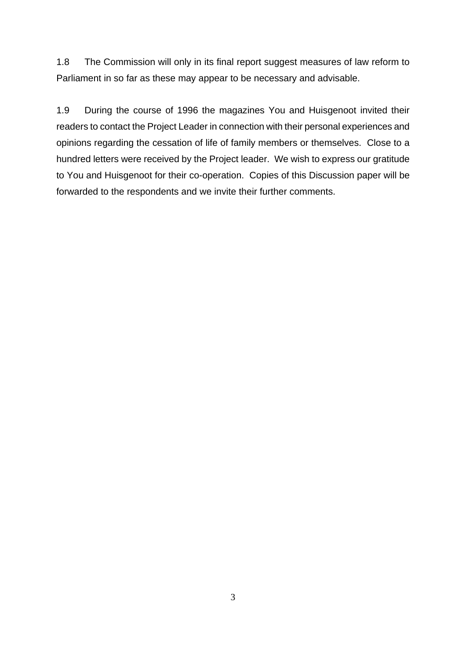1.8 The Commission will only in its final report suggest measures of law reform to Parliament in so far as these may appear to be necessary and advisable.

1.9 During the course of 1996 the magazines You and Huisgenoot invited their readers to contact the Project Leader in connection with their personal experiences and opinions regarding the cessation of life of family members or themselves. Close to a hundred letters were received by the Project leader. We wish to express our gratitude to You and Huisgenoot for their co-operation. Copies of this Discussion paper will be forwarded to the respondents and we invite their further comments.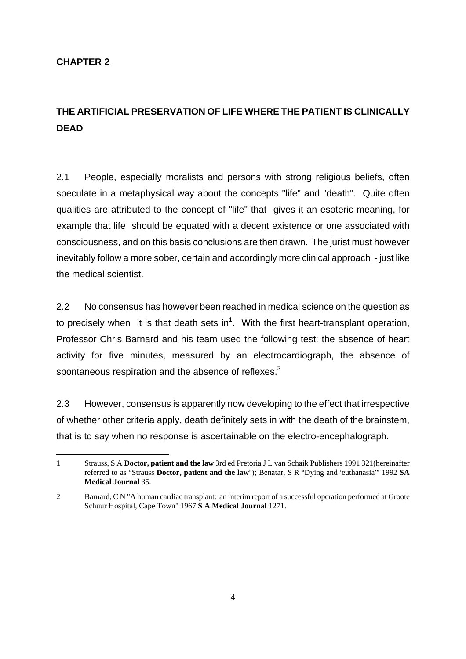### **CHAPTER 2**

 $\overline{a}$ 

# **THE ARTIFICIAL PRESERVATION OF LIFE WHERE THE PATIENT IS CLINICALLY DEAD**

2.1 People, especially moralists and persons with strong religious beliefs, often speculate in a metaphysical way about the concepts "life" and "death". Quite often qualities are attributed to the concept of "life" that gives it an esoteric meaning, for example that life should be equated with a decent existence or one associated with consciousness, and on this basis conclusions are then drawn. The jurist must however inevitably follow a more sober, certain and accordingly more clinical approach - just like the medical scientist.

2.2 No consensus has however been reached in medical science on the question as to precisely when it is that death sets in<sup>1</sup>. With the first heart-transplant operation, Professor Chris Barnard and his team used the following test: the absence of heart activity for five minutes, measured by an electrocardiograph, the absence of spontaneous respiration and the absence of reflexes.<sup>2</sup>

2.3 However, consensus is apparently now developing to the effect that irrespective of whether other criteria apply, death definitely sets in with the death of the brainstem, that is to say when no response is ascertainable on the electro-encephalograph.

<sup>1</sup> Strauss, S A **Doctor, patient and the law** 3rd ed Pretoria J L van Schaik Publishers 1991 321(hereinafter referred to as "Strauss Doctor, patient and the law"); Benatar, S R "Dying and 'euthanasia'" 1992 SA **Medical Journal** 35.

<sup>2</sup> Barnard, C N "A human cardiac transplant: an interim report of a successful operation performed at Groote Schuur Hospital, Cape Town" 1967 **S A Medical Journal** 1271.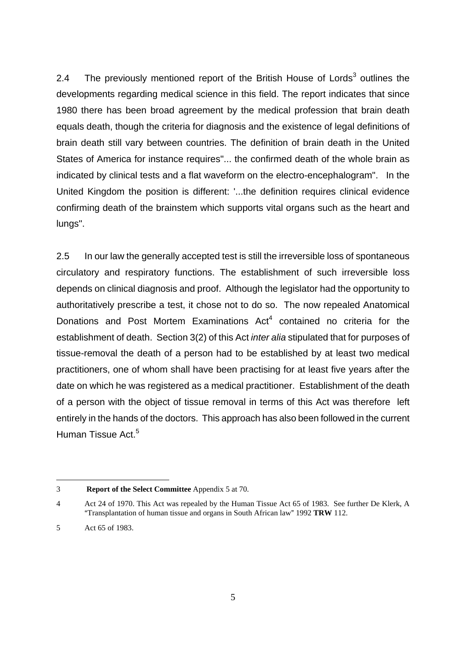2.4 The previously mentioned report of the British House of Lords<sup>3</sup> outlines the developments regarding medical science in this field. The report indicates that since 1980 there has been broad agreement by the medical profession that brain death equals death, though the criteria for diagnosis and the existence of legal definitions of brain death still vary between countries. The definition of brain death in the United States of America for instance requires"... the confirmed death of the whole brain as indicated by clinical tests and a flat waveform on the electro-encephalogram". In the United Kingdom the position is different: '...the definition requires clinical evidence confirming death of the brainstem which supports vital organs such as the heart and lungs".

2.5 In our law the generally accepted test is still the irreversible loss of spontaneous circulatory and respiratory functions. The establishment of such irreversible loss depends on clinical diagnosis and proof. Although the legislator had the opportunity to authoritatively prescribe a test, it chose not to do so. The now repealed Anatomical Donations and Post Mortem Examinations Act<sup>4</sup> contained no criteria for the establishment of death. Section 3(2) of this Act *inter alia* stipulated that for purposes of tissue-removal the death of a person had to be established by at least two medical practitioners, one of whom shall have been practising for at least five years after the date on which he was registered as a medical practitioner. Establishment of the death of a person with the object of tissue removal in terms of this Act was therefore left entirely in the hands of the doctors. This approach has also been followed in the current Human Tissue Act.<sup>5</sup>

<sup>3</sup> **Report of the Select Committee** Appendix 5 at 70.

<sup>4</sup> Act 24 of 1970. This Act was repealed by the Human Tissue Act 65 of 1983. See further De Klerk, A ATransplantation of human tissue and organs in South African law@ 1992 **TRW** 112.

<sup>5</sup> Act 65 of 1983.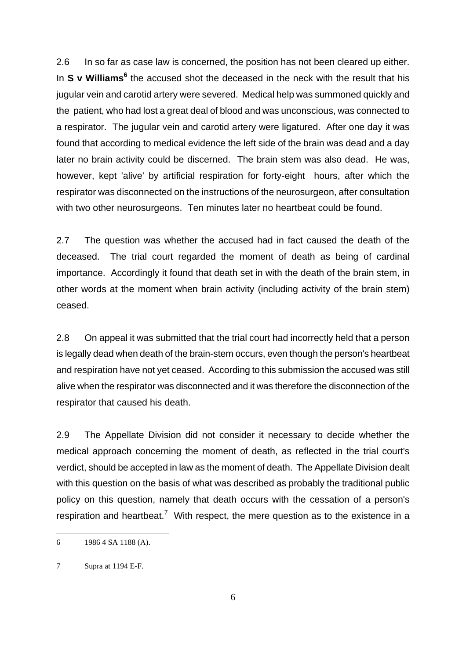2.6 In so far as case law is concerned, the position has not been cleared up either. In **S v Williams<sup>6</sup>** the accused shot the deceased in the neck with the result that his jugular vein and carotid artery were severed. Medical help was summoned quickly and the patient, who had lost a great deal of blood and was unconscious, was connected to a respirator. The jugular vein and carotid artery were ligatured. After one day it was found that according to medical evidence the left side of the brain was dead and a day later no brain activity could be discerned. The brain stem was also dead. He was, however, kept 'alive' by artificial respiration for forty-eight hours, after which the respirator was disconnected on the instructions of the neurosurgeon, after consultation with two other neurosurgeons. Ten minutes later no heartbeat could be found.

2.7 The question was whether the accused had in fact caused the death of the deceased. The trial court regarded the moment of death as being of cardinal importance. Accordingly it found that death set in with the death of the brain stem, in other words at the moment when brain activity (including activity of the brain stem) ceased.

2.8 On appeal it was submitted that the trial court had incorrectly held that a person is legally dead when death of the brain-stem occurs, even though the person's heartbeat and respiration have not yet ceased. According to this submission the accused was still alive when the respirator was disconnected and it was therefore the disconnection of the respirator that caused his death.

2.9 The Appellate Division did not consider it necessary to decide whether the medical approach concerning the moment of death, as reflected in the trial court's verdict, should be accepted in law as the moment of death. The Appellate Division dealt with this question on the basis of what was described as probably the traditional public policy on this question, namely that death occurs with the cessation of a person's respiration and heartbeat.<sup>7</sup> With respect, the mere question as to the existence in a

<sup>6 1986 4</sup> SA 1188 (A).

<sup>7</sup> Supra at 1194 E-F.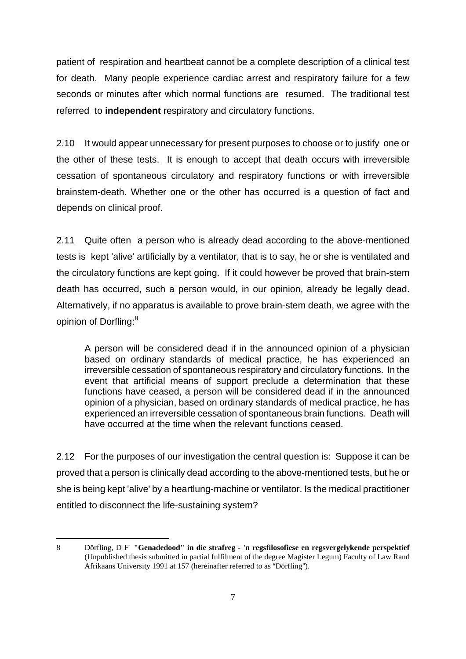patient of respiration and heartbeat cannot be a complete description of a clinical test for death. Many people experience cardiac arrest and respiratory failure for a few seconds or minutes after which normal functions are resumed. The traditional test referred to **independent** respiratory and circulatory functions.

2.10 It would appear unnecessary for present purposes to choose or to justify one or the other of these tests. It is enough to accept that death occurs with irreversible cessation of spontaneous circulatory and respiratory functions or with irreversible brainstem-death. Whether one or the other has occurred is a question of fact and depends on clinical proof.

2.11 Quite often a person who is already dead according to the above-mentioned tests is kept 'alive' artificially by a ventilator, that is to say, he or she is ventilated and the circulatory functions are kept going. If it could however be proved that brain-stem death has occurred, such a person would, in our opinion, already be legally dead. Alternatively, if no apparatus is available to prove brain-stem death, we agree with the opinion of Dorfling:<sup>8</sup>

A person will be considered dead if in the announced opinion of a physician based on ordinary standards of medical practice, he has experienced an irreversible cessation of spontaneous respiratory and circulatory functions. In the event that artificial means of support preclude a determination that these functions have ceased, a person will be considered dead if in the announced opinion of a physician, based on ordinary standards of medical practice, he has experienced an irreversible cessation of spontaneous brain functions. Death will have occurred at the time when the relevant functions ceased.

2.12 For the purposes of our investigation the central question is: Suppose it can be proved that a person is clinically dead according to the above-mentioned tests, but he or she is being kept 'alive' by a heartlung-machine or ventilator. Is the medical practitioner entitled to disconnect the life-sustaining system?

<sup>8</sup> Dörfling, D F **"Genadedood" in die strafreg - 'n regsfilosofiese en regsvergelykende perspektief**  (Unpublished thesis submitted in partial fulfilment of the degree Magister Legum) Faculty of Law Rand Afrikaans University 1991 at 157 (hereinafter referred to as "Dörfling").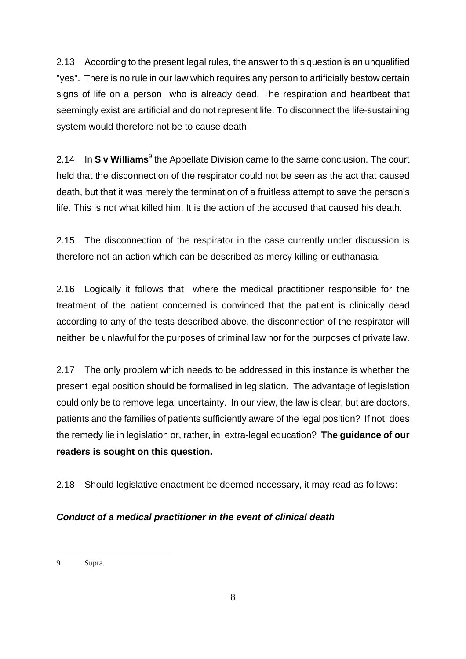2.13 According to the present legal rules, the answer to this question is an unqualified "yes". There is no rule in our law which requires any person to artificially bestow certain signs of life on a person who is already dead. The respiration and heartbeat that seemingly exist are artificial and do not represent life. To disconnect the life-sustaining system would therefore not be to cause death.

2.14 In S v Williams<sup>9</sup> the Appellate Division came to the same conclusion. The court held that the disconnection of the respirator could not be seen as the act that caused death, but that it was merely the termination of a fruitless attempt to save the person's life. This is not what killed him. It is the action of the accused that caused his death.

2.15 The disconnection of the respirator in the case currently under discussion is therefore not an action which can be described as mercy killing or euthanasia.

2.16 Logically it follows that where the medical practitioner responsible for the treatment of the patient concerned is convinced that the patient is clinically dead according to any of the tests described above, the disconnection of the respirator will neither be unlawful for the purposes of criminal law nor for the purposes of private law.

2.17 The only problem which needs to be addressed in this instance is whether the present legal position should be formalised in legislation. The advantage of legislation could only be to remove legal uncertainty. In our view, the law is clear, but are doctors, patients and the families of patients sufficiently aware of the legal position? If not, does the remedy lie in legislation or, rather, in extra-legal education? **The guidance of our readers is sought on this question.** 

2.18 Should legislative enactment be deemed necessary, it may read as follows:

### *Conduct of a medical practitioner in the event of clinical death*

<sup>9</sup> Supra.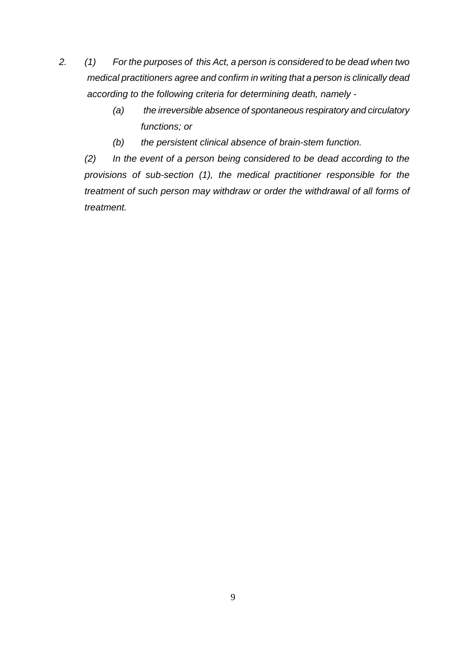- *2. (1) For the purposes of this Act, a person is considered to be dead when two medical practitioners agree and confirm in writing that a person is clinically dead according to the following criteria for determining death, namely -* 
	- *(a) the irreversible absence of spontaneous respiratory and circulatory functions; or*
	- *(b) the persistent clinical absence of brain-stem function.*

*(2) In the event of a person being considered to be dead according to the provisions of sub-section (1), the medical practitioner responsible for the treatment of such person may withdraw or order the withdrawal of all forms of treatment.*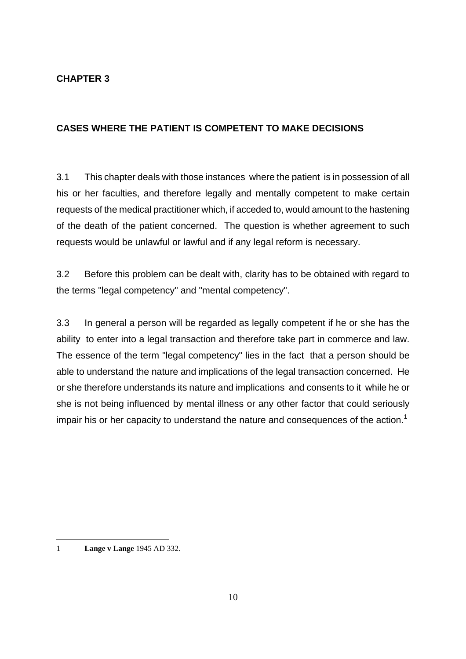### **CHAPTER 3**

### **CASES WHERE THE PATIENT IS COMPETENT TO MAKE DECISIONS**

3.1 This chapter deals with those instances where the patient is in possession of all his or her faculties, and therefore legally and mentally competent to make certain requests of the medical practitioner which, if acceded to, would amount to the hastening of the death of the patient concerned. The question is whether agreement to such requests would be unlawful or lawful and if any legal reform is necessary.

3.2 Before this problem can be dealt with, clarity has to be obtained with regard to the terms "legal competency" and "mental competency".

3.3 In general a person will be regarded as legally competent if he or she has the ability to enter into a legal transaction and therefore take part in commerce and law. The essence of the term "legal competency" lies in the fact that a person should be able to understand the nature and implications of the legal transaction concerned. He or she therefore understands its nature and implications and consents to it while he or she is not being influenced by mental illness or any other factor that could seriously impair his or her capacity to understand the nature and consequences of the action.<sup>1</sup>

<sup>1</sup> **Lange v Lange** 1945 AD 332.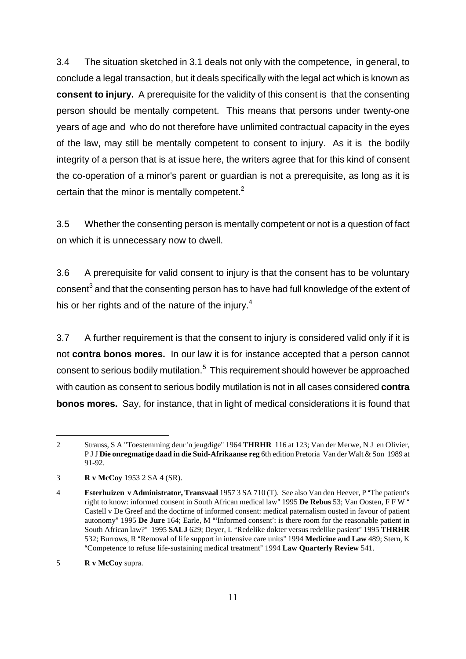3.4 The situation sketched in 3.1 deals not only with the competence, in general, to conclude a legal transaction, but it deals specifically with the legal act which is known as **consent to injury.** A prerequisite for the validity of this consent is that the consenting person should be mentally competent. This means that persons under twenty-one years of age and who do not therefore have unlimited contractual capacity in the eyes of the law, may still be mentally competent to consent to injury. As it is the bodily integrity of a person that is at issue here, the writers agree that for this kind of consent the co-operation of a minor's parent or guardian is not a prerequisite, as long as it is certain that the minor is mentally competent.<sup>2</sup>

3.5 Whether the consenting person is mentally competent or not is a question of fact on which it is unnecessary now to dwell.

3.6 A prerequisite for valid consent to injury is that the consent has to be voluntary consent $^3$  and that the consenting person has to have had full knowledge of the extent of his or her rights and of the nature of the injury.<sup>4</sup>

3.7 A further requirement is that the consent to injury is considered valid only if it is not **contra bonos mores.** In our law it is for instance accepted that a person cannot consent to serious bodily mutilation.<sup>5</sup> This requirement should however be approached with caution as consent to serious bodily mutilation is not in all cases considered **contra bonos mores.** Say, for instance, that in light of medical considerations it is found that

<sup>2</sup> Strauss, S A "Toestemming deur 'n jeugdige" 1964 **THRHR** 116 at 123; Van der Merwe, N J en Olivier, P J J **Die onregmatige daad in die Suid-Afrikaanse reg** 6th edition Pretoria Van der Walt & Son 1989 at 91-92.

<sup>3</sup> **R v McCoy** 1953 2 SA 4 (SR).

<sup>4</sup> **Esterhuizen v Administrator, Transvaal** 1957 3 SA 710 (T). See also Van den Heever, P "The patient's right to know: informed consent in South African medical law" 1995 De Rebus 53; Van Oosten, F F W " Castell v De Greef and the doctirne of informed consent: medical paternalism ousted in favour of patient autonomy" 1995 **De Jure** 164; Earle, M "Informed consent': is there room for the reasonable patient in South African law?" 1995 **SALJ** 629; Deyer, L "Redelike dokter versus redelike pasient" 1995 **THRHR** 532; Burrows, R "Removal of life support in intensive care units" 1994 **Medicine and Law** 489; Stern, K ACompetence to refuse life-sustaining medical treatment@ 1994 **Law Quarterly Review** 541.

<sup>5</sup> **R v McCoy** supra.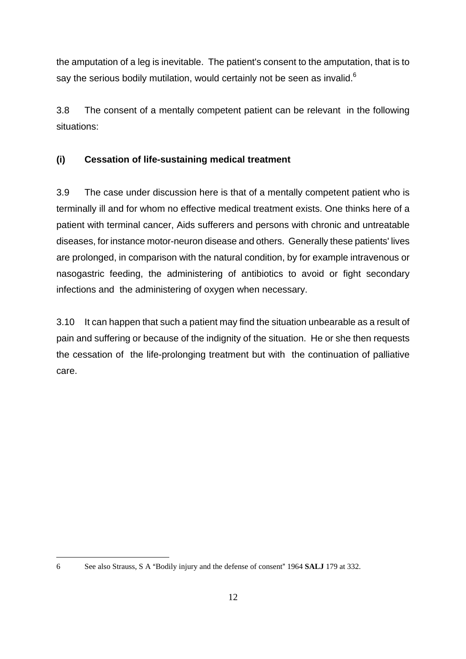the amputation of a leg is inevitable. The patient's consent to the amputation, that is to say the serious bodily mutilation, would certainly not be seen as invalid.<sup>6</sup>

3.8 The consent of a mentally competent patient can be relevant in the following situations:

### **(i) Cessation of life-sustaining medical treatment**

3.9 The case under discussion here is that of a mentally competent patient who is terminally ill and for whom no effective medical treatment exists. One thinks here of a patient with terminal cancer, Aids sufferers and persons with chronic and untreatable diseases, for instance motor-neuron disease and others. Generally these patients' lives are prolonged, in comparison with the natural condition, by for example intravenous or nasogastric feeding, the administering of antibiotics to avoid or fight secondary infections and the administering of oxygen when necessary.

3.10 It can happen that such a patient may find the situation unbearable as a result of pain and suffering or because of the indignity of the situation. He or she then requests the cessation of the life-prolonging treatment but with the continuation of palliative care.

<sup>6</sup> See also Strauss, S A "Bodily injury and the defense of consent" 1964 **SALJ** 179 at 332.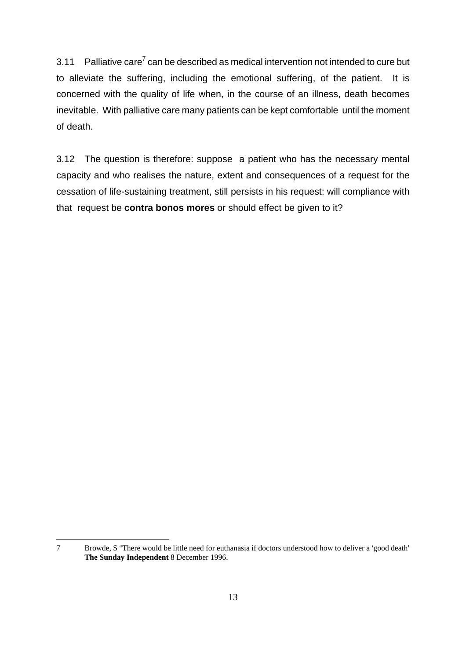3.11 Palliative care<sup>7</sup> can be described as medical intervention not intended to cure but to alleviate the suffering, including the emotional suffering, of the patient. It is concerned with the quality of life when, in the course of an illness, death becomes inevitable. With palliative care many patients can be kept comfortable until the moment of death.

3.12 The question is therefore: suppose a patient who has the necessary mental capacity and who realises the nature, extent and consequences of a request for the cessation of life-sustaining treatment, still persists in his request: will compliance with that request be **contra bonos mores** or should effect be given to it?

<sup>7</sup> Browde, S "There would be little need for euthanasia if doctors understood how to deliver a 'good death' **The Sunday Independent** 8 December 1996.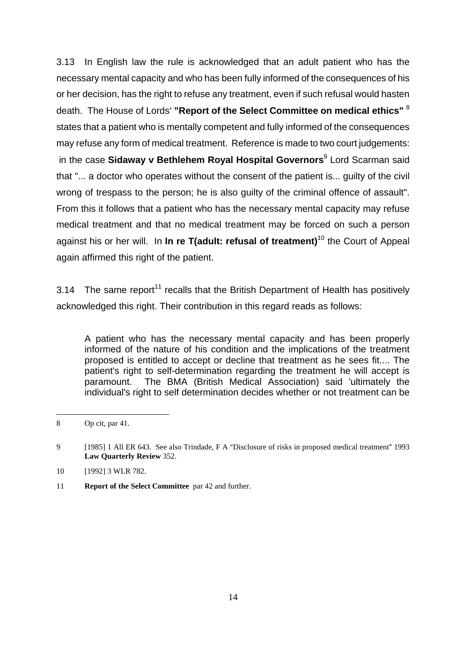3.13 In English law the rule is acknowledged that an adult patient who has the necessary mental capacity and who has been fully informed of the consequences of his or her decision, has the right to refuse any treatment, even if such refusal would hasten death. The House of Lords' "Report of the Select Committee on medical ethics" <sup>8</sup> states that a patient who is mentally competent and fully informed of the consequences may refuse any form of medical treatment. Reference is made to two court judgements: in the case Sidaway v Bethlehem Royal Hospital Governors<sup>9</sup> Lord Scarman said that "... a doctor who operates without the consent of the patient is... guilty of the civil wrong of trespass to the person; he is also guilty of the criminal offence of assault". From this it follows that a patient who has the necessary mental capacity may refuse medical treatment and that no medical treatment may be forced on such a person against his or her will. In **In re T(adult: refusal of treatment)**10 the Court of Appeal again affirmed this right of the patient.

3.14 The same report<sup>11</sup> recalls that the British Department of Health has positively acknowledged this right. Their contribution in this regard reads as follows:

A patient who has the necessary mental capacity and has been properly informed of the nature of his condition and the implications of the treatment proposed is entitled to accept or decline that treatment as he sees fit.... The patient's right to self-determination regarding the treatment he will accept is paramount. The BMA (British Medical Association) said 'ultimately the individual's right to self determination decides whether or not treatment can be

<sup>8</sup> Op cit, par 41.

<sup>9 [1985] 1</sup> All ER 643. See also Trindade, F A "Disclosure of risks in proposed medical treatment" 1993 **Law Quarterly Review** 352.

<sup>10 [1992] 3</sup> WLR 782.

<sup>11</sup> **Report of the Select Committee** par 42 and further.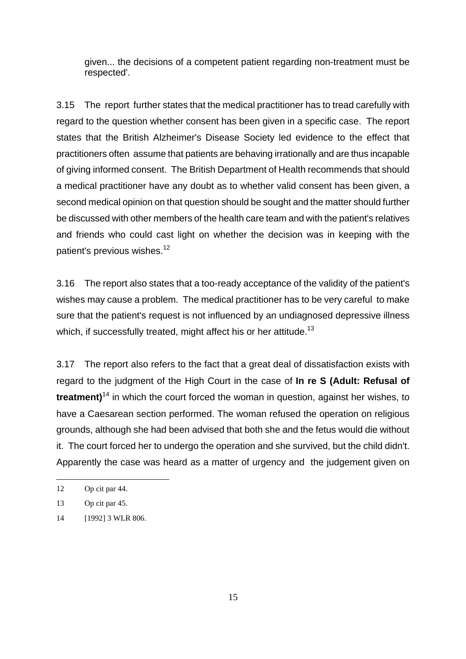given... the decisions of a competent patient regarding non-treatment must be respected'.

3.15 The report further states that the medical practitioner has to tread carefully with regard to the question whether consent has been given in a specific case. The report states that the British Alzheimer's Disease Society led evidence to the effect that practitioners often assume that patients are behaving irrationally and are thus incapable of giving informed consent. The British Department of Health recommends that should a medical practitioner have any doubt as to whether valid consent has been given, a second medical opinion on that question should be sought and the matter should further be discussed with other members of the health care team and with the patient's relatives and friends who could cast light on whether the decision was in keeping with the patient's previous wishes.<sup>12</sup>

3.16 The report also states that a too-ready acceptance of the validity of the patient's wishes may cause a problem. The medical practitioner has to be very careful to make sure that the patient's request is not influenced by an undiagnosed depressive illness which, if successfully treated, might affect his or her attitude.<sup>13</sup>

3.17 The report also refers to the fact that a great deal of dissatisfaction exists with regard to the judgment of the High Court in the case of **In re S (Adult: Refusal of treatment)**14 in which the court forced the woman in question, against her wishes, to have a Caesarean section performed. The woman refused the operation on religious grounds, although she had been advised that both she and the fetus would die without it. The court forced her to undergo the operation and she survived, but the child didn't. Apparently the case was heard as a matter of urgency and the judgement given on

<sup>12</sup> Op cit par 44.

<sup>13</sup> Op cit par 45.

<sup>14 [1992] 3</sup> WLR 806.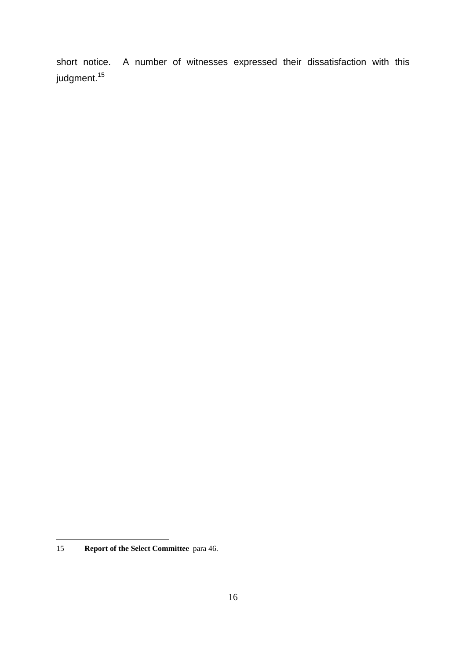short notice. A number of witnesses expressed their dissatisfaction with this judgment.<sup>15</sup>

<sup>15</sup> **Report of the Select Committee** para 46.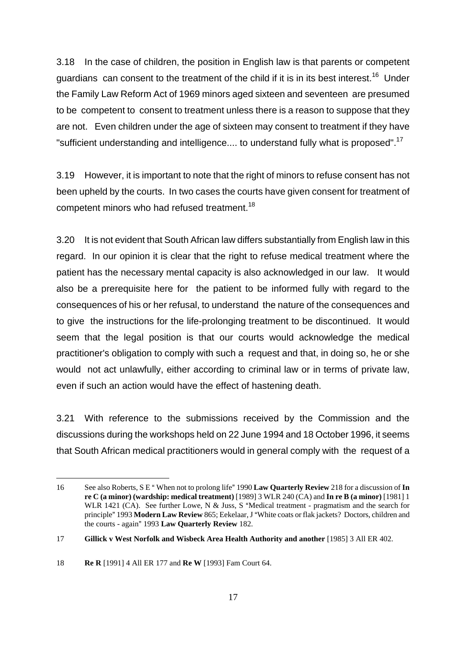3.18 In the case of children, the position in English law is that parents or competent guardians can consent to the treatment of the child if it is in its best interest.<sup>16</sup> Under the Family Law Reform Act of 1969 minors aged sixteen and seventeen are presumed to be competent to consent to treatment unless there is a reason to suppose that they are not. Even children under the age of sixteen may consent to treatment if they have "sufficient understanding and intelligence.... to understand fully what is proposed".<sup>17</sup>

3.19 However, it is important to note that the right of minors to refuse consent has not been upheld by the courts. In two cases the courts have given consent for treatment of competent minors who had refused treatment.<sup>18</sup>

3.20 It is not evident that South African law differs substantially from English law in this regard. In our opinion it is clear that the right to refuse medical treatment where the patient has the necessary mental capacity is also acknowledged in our law. It would also be a prerequisite here for the patient to be informed fully with regard to the consequences of his or her refusal, to understand the nature of the consequences and to give the instructions for the life-prolonging treatment to be discontinued. It would seem that the legal position is that our courts would acknowledge the medical practitioner's obligation to comply with such a request and that, in doing so, he or she would not act unlawfully, either according to criminal law or in terms of private law, even if such an action would have the effect of hastening death.

3.21 With reference to the submissions received by the Commission and the discussions during the workshops held on 22 June 1994 and 18 October 1996, it seems that South African medical practitioners would in general comply with the request of a

18 **Re R** [1991] 4 All ER 177 and **Re W** [1993] Fam Court 64.

<sup>16</sup> See also Roberts, S E "When not to prolong life" 1990 Law Quarterly Review 218 for a discussion of In **re C (a minor) (wardship: medical treatment)** [1989] 3 WLR 240 (CA) and **In re B (a minor)** [1981] 1 WLR 1421 (CA). See further Lowe, N & Juss, S "Medical treatment - pragmatism and the search for principle" 1993 Modern Law Review 865; Eekelaar, J "White coats or flak jackets? Doctors, children and the courts - again" 1993 Law Quarterly Review 182.

<sup>17</sup> **Gillick v West Norfolk and Wisbeck Area Health Authority and another** [1985] 3 All ER 402.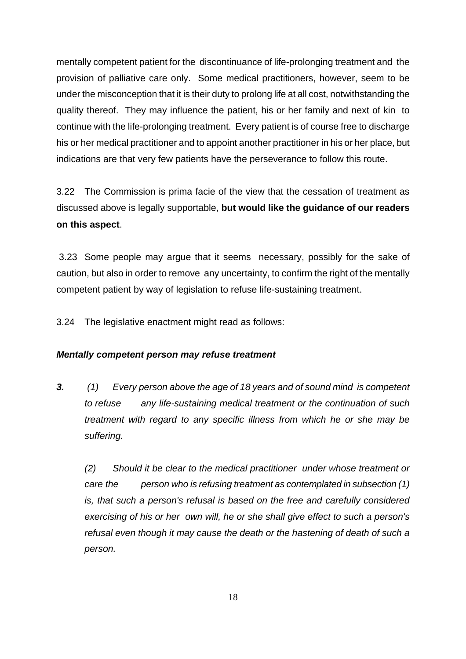mentally competent patient for the discontinuance of life-prolonging treatment and the provision of palliative care only. Some medical practitioners, however, seem to be under the misconception that it is their duty to prolong life at all cost, notwithstanding the quality thereof. They may influence the patient, his or her family and next of kin to continue with the life-prolonging treatment. Every patient is of course free to discharge his or her medical practitioner and to appoint another practitioner in his or her place, but indications are that very few patients have the perseverance to follow this route.

3.22 The Commission is prima facie of the view that the cessation of treatment as discussed above is legally supportable, **but would like the guidance of our readers on this aspect**.

 3.23 Some people may argue that it seems necessary, possibly for the sake of caution, but also in order to remove any uncertainty, to confirm the right of the mentally competent patient by way of legislation to refuse life-sustaining treatment.

3.24 The legislative enactment might read as follows:

#### *Mentally competent person may refuse treatment*

*3. (1) Every person above the age of 18 years and of sound mind is competent to refuse any life-sustaining medical treatment or the continuation of such treatment with regard to any specific illness from which he or she may be suffering.* 

*(2) Should it be clear to the medical practitioner under whose treatment or care the person who is refusing treatment as contemplated in subsection (1) is, that such a person's refusal is based on the free and carefully considered exercising of his or her own will, he or she shall give effect to such a person's refusal even though it may cause the death or the hastening of death of such a person.*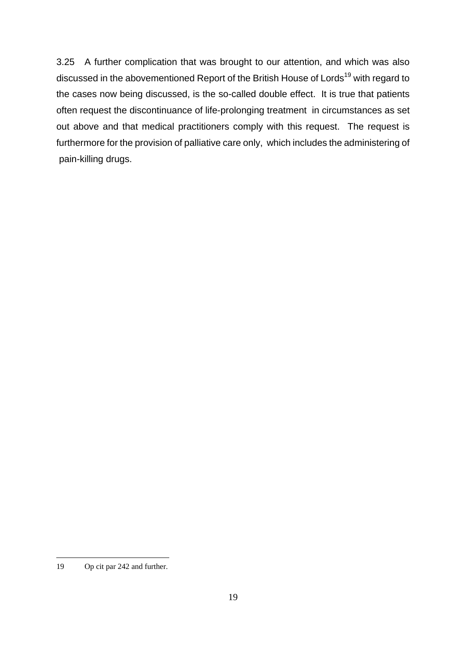3.25 A further complication that was brought to our attention, and which was also discussed in the abovementioned Report of the British House of Lords<sup>19</sup> with regard to the cases now being discussed, is the so-called double effect. It is true that patients often request the discontinuance of life-prolonging treatment in circumstances as set out above and that medical practitioners comply with this request. The request is furthermore for the provision of palliative care only, which includes the administering of pain-killing drugs.

 $\overline{a}$ 19 Op cit par 242 and further.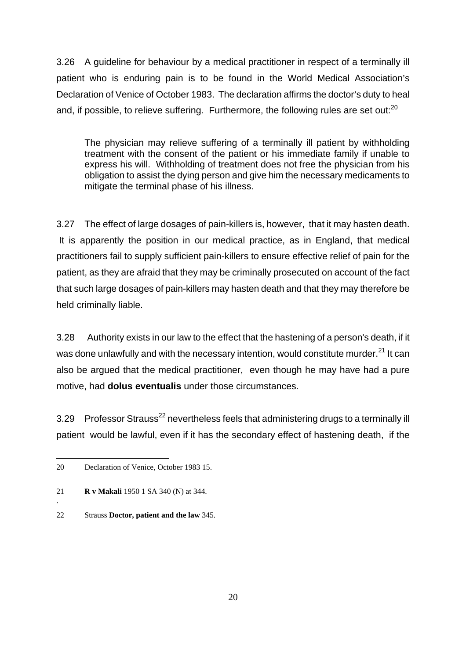3.26 A guideline for behaviour by a medical practitioner in respect of a terminally ill patient who is enduring pain is to be found in the World Medical Association's Declaration of Venice of October 1983. The declaration affirms the doctor's duty to heal and, if possible, to relieve suffering. Furthermore, the following rules are set out:<sup>20</sup>

The physician may relieve suffering of a terminally ill patient by withholding treatment with the consent of the patient or his immediate family if unable to express his will. Withholding of treatment does not free the physician from his obligation to assist the dying person and give him the necessary medicaments to mitigate the terminal phase of his illness.

3.27 The effect of large dosages of pain-killers is, however, that it may hasten death. It is apparently the position in our medical practice, as in England, that medical practitioners fail to supply sufficient pain-killers to ensure effective relief of pain for the patient, as they are afraid that they may be criminally prosecuted on account of the fact that such large dosages of pain-killers may hasten death and that they may therefore be held criminally liable.

3.28 Authority exists in our law to the effect that the hastening of a person's death, if it was done unlawfully and with the necessary intention, would constitute murder.<sup>21</sup> It can also be argued that the medical practitioner, even though he may have had a pure motive, had **dolus eventualis** under those circumstances.

3.29 Professor Strauss<sup>22</sup> nevertheless feels that administering drugs to a terminally ill patient would be lawful, even if it has the secondary effect of hastening death, if the

.

 $\overline{a}$ 20 Declaration of Venice, October 1983 15.

<sup>21</sup> **R v Makali** 1950 1 SA 340 (N) at 344.

<sup>22</sup> Strauss **Doctor, patient and the law** 345.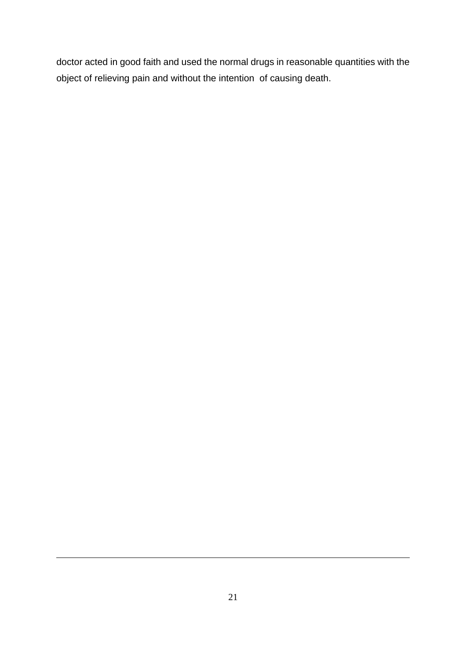doctor acted in good faith and used the normal drugs in reasonable quantities with the object of relieving pain and without the intention of causing death.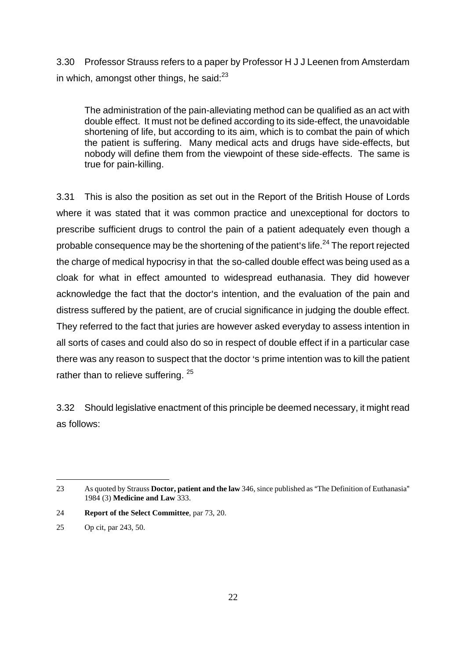3.30 Professor Strauss refers to a paper by Professor H J J Leenen from Amsterdam in which, amongst other things, he said: $^{23}$ 

The administration of the pain-alleviating method can be qualified as an act with double effect. It must not be defined according to its side-effect, the unavoidable shortening of life, but according to its aim, which is to combat the pain of which the patient is suffering. Many medical acts and drugs have side-effects, but nobody will define them from the viewpoint of these side-effects. The same is true for pain-killing.

3.31 This is also the position as set out in the Report of the British House of Lords where it was stated that it was common practice and unexceptional for doctors to prescribe sufficient drugs to control the pain of a patient adequately even though a probable consequence may be the shortening of the patient's life.<sup>24</sup> The report rejected the charge of medical hypocrisy in that the so-called double effect was being used as a cloak for what in effect amounted to widespread euthanasia. They did however acknowledge the fact that the doctor's intention, and the evaluation of the pain and distress suffered by the patient, are of crucial significance in judging the double effect. They referred to the fact that juries are however asked everyday to assess intention in all sorts of cases and could also do so in respect of double effect if in a particular case there was any reason to suspect that the doctor 's prime intention was to kill the patient rather than to relieve suffering. 25

3.32 Should legislative enactment of this principle be deemed necessary, it might read as follows:

24 **Report of the Select Committee**, par 73, 20.

25 Op cit, par 243, 50.

<sup>23</sup> As quoted by Strauss **Doctor, patient and the law** 346, since published as "The Definition of Euthanasia" 1984 (3) **Medicine and Law** 333.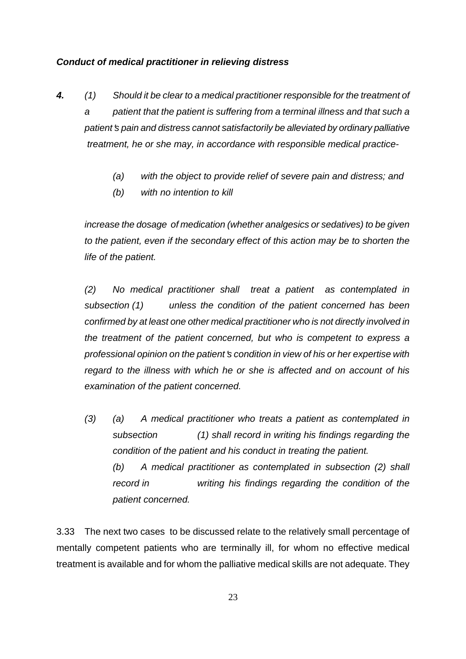#### *Conduct of medical practitioner in relieving distress*

*4. (1) Should it be clear to a medical practitioner responsible for the treatment of a patient that the patient is suffering from a terminal illness and that such a*  patient's pain and distress cannot satisfactorily be alleviated by ordinary palliative  *treatment, he or she may, in accordance with responsible medical practice-* 

- *(a) with the object to provide relief of severe pain and distress; and*
- *(b) with no intention to kill*

*increase the dosage of medication (whether analgesics or sedatives) to be given to the patient, even if the secondary effect of this action may be to shorten the life of the patient.* 

*(2) No medical practitioner shall treat a patient as contemplated in subsection (1) unless the condition of the patient concerned has been confirmed by at least one other medical practitioner who is not directly involved in the treatment of the patient concerned, but who is competent to express a professional opinion on the patient*=*s condition in view of his or her expertise with regard to the illness with which he or she is affected and on account of his examination of the patient concerned.* 

*(3) (a) A medical practitioner who treats a patient as contemplated in subsection (1) shall record in writing his findings regarding the condition of the patient and his conduct in treating the patient. (b) A medical practitioner as contemplated in subsection (2) shall record in writing his findings regarding the condition of the patient concerned.* 

3.33 The next two cases to be discussed relate to the relatively small percentage of mentally competent patients who are terminally ill, for whom no effective medical treatment is available and for whom the palliative medical skills are not adequate. They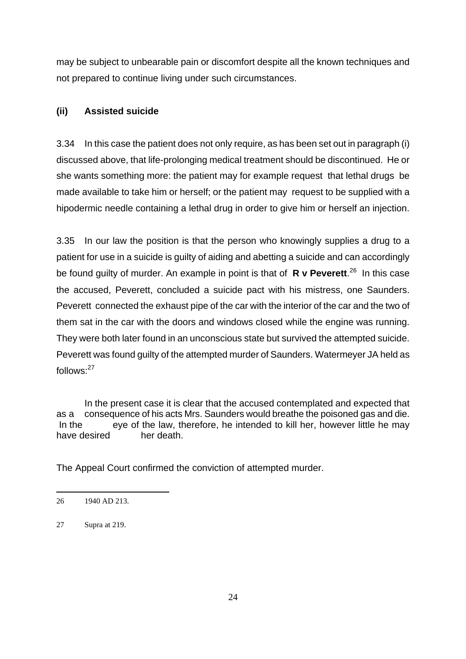may be subject to unbearable pain or discomfort despite all the known techniques and not prepared to continue living under such circumstances.

## **(ii) Assisted suicide**

3.34 In this case the patient does not only require, as has been set out in paragraph (i) discussed above, that life-prolonging medical treatment should be discontinued. He or she wants something more: the patient may for example request that lethal drugs be made available to take him or herself; or the patient may request to be supplied with a hipodermic needle containing a lethal drug in order to give him or herself an injection.

3.35 In our law the position is that the person who knowingly supplies a drug to a patient for use in a suicide is guilty of aiding and abetting a suicide and can accordingly be found guilty of murder. An example in point is that of **R v Peverett**. 26 In this case the accused, Peverett, concluded a suicide pact with his mistress, one Saunders. Peverett connected the exhaust pipe of the car with the interior of the car and the two of them sat in the car with the doors and windows closed while the engine was running. They were both later found in an unconscious state but survived the attempted suicide. Peverett was found guilty of the attempted murder of Saunders. Watermeyer JA held as follows:<sup>27</sup>

In the present case it is clear that the accused contemplated and expected that as a consequence of his acts Mrs. Saunders would breathe the poisoned gas and die.<br>In the seve of the law, therefore, he intended to kill her, however little he may eye of the law, therefore, he intended to kill her, however little he may have desired her death.

The Appeal Court confirmed the conviction of attempted murder.

 $\overline{a}$ 26 1940 AD 213.

<sup>27</sup> Supra at 219.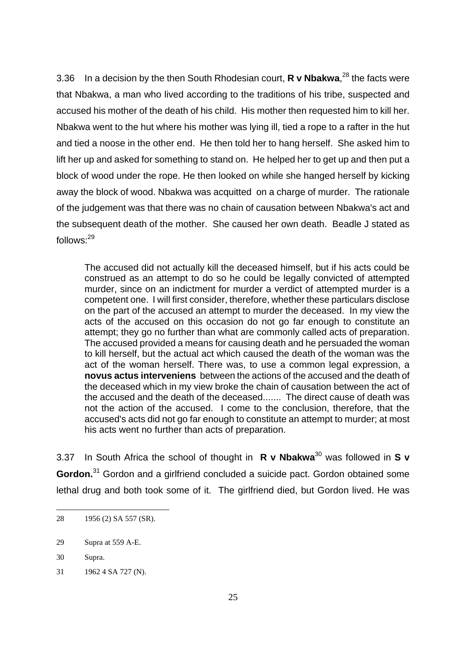3.36 In a decision by the then South Rhodesian court, **R v Nbakwa**, 28 the facts were that Nbakwa, a man who lived according to the traditions of his tribe, suspected and accused his mother of the death of his child. His mother then requested him to kill her. Nbakwa went to the hut where his mother was lying ill, tied a rope to a rafter in the hut and tied a noose in the other end. He then told her to hang herself. She asked him to lift her up and asked for something to stand on. He helped her to get up and then put a block of wood under the rope. He then looked on while she hanged herself by kicking away the block of wood. Nbakwa was acquitted on a charge of murder. The rationale of the judgement was that there was no chain of causation between Nbakwa's act and the subsequent death of the mother. She caused her own death. Beadle J stated as follows:<sup>29</sup>

The accused did not actually kill the deceased himself, but if his acts could be construed as an attempt to do so he could be legally convicted of attempted murder, since on an indictment for murder a verdict of attempted murder is a competent one. I will first consider, therefore, whether these particulars disclose on the part of the accused an attempt to murder the deceased. In my view the acts of the accused on this occasion do not go far enough to constitute an attempt; they go no further than what are commonly called acts of preparation. The accused provided a means for causing death and he persuaded the woman to kill herself, but the actual act which caused the death of the woman was the act of the woman herself. There was, to use a common legal expression, a **novus actus interveniens** between the actions of the accused and the death of the deceased which in my view broke the chain of causation between the act of the accused and the death of the deceased....... The direct cause of death was not the action of the accused. I come to the conclusion, therefore, that the accused's acts did not go far enough to constitute an attempt to murder; at most his acts went no further than acts of preparation.

3.37 In South Africa the school of thought in **R v Nbakwa**30 was followed in **S v Gordon.**31 Gordon and a girlfriend concluded a suicide pact. Gordon obtained some lethal drug and both took some of it. The girlfriend died, but Gordon lived. He was

<sup>28 1956 (2)</sup> SA 557 (SR).

<sup>29</sup> Supra at 559 A-E.

<sup>30</sup> Supra.

<sup>31 1962 4</sup> SA 727 (N).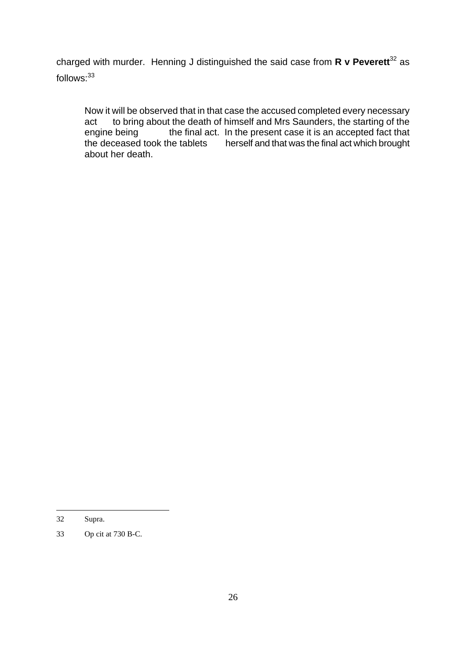charged with murder. Henning J distinguished the said case from **R v Peverett**<sup>32</sup> as  $follows: <sup>33</sup>$ 

Now it will be observed that in that case the accused completed every necessary act to bring about the death of himself and Mrs Saunders, the starting of the engine being the final act. In the present case it is an accepted fact that<br>the deceased took the tablets herself and that was the final act which brought herself and that was the final act which brought about her death.

 $\overline{a}$ 32 Supra.

<sup>33</sup> Op cit at 730 B-C.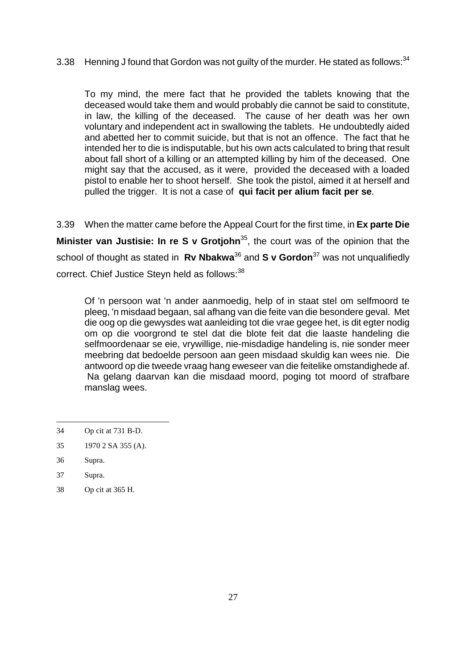## 3.38 Henning J found that Gordon was not guilty of the murder. He stated as follows: 34

To my mind, the mere fact that he provided the tablets knowing that the deceased would take them and would probably die cannot be said to constitute, in law, the killing of the deceased. The cause of her death was her own voluntary and independent act in swallowing the tablets. He undoubtedly aided and abetted her to commit suicide, but that is not an offence. The fact that he intended her to die is indisputable, but his own acts calculated to bring that result about fall short of a killing or an attempted killing by him of the deceased. One might say that the accused, as it were, provided the deceased with a loaded pistol to enable her to shoot herself. She took the pistol, aimed it at herself and pulled the trigger. It is not a case of **qui facit per alium facit per se**.

3.39 When the matter came before the Appeal Court for the first time, in **Ex parte Die Minister van Justisie: In re S v Grotjohn<sup>35</sup>, the court was of the opinion that the** school of thought as stated in **Rv Nbakwa**36 and **S v Gordon**37 was not unqualifiedly correct. Chief Justice Stevn held as follows: 38

Of 'n persoon wat 'n ander aanmoedig, help of in staat stel om selfmoord te pleeg, 'n misdaad begaan, sal afhang van die feite van die besondere geval. Met die oog op die gewysdes wat aanleiding tot die vrae gegee het, is dit egter nodig om op die voorgrond te stel dat die blote feit dat die laaste handeling die selfmoordenaar se eie, vrywillige, nie-misdadige handeling is, nie sonder meer meebring dat bedoelde persoon aan geen misdaad skuldig kan wees nie. Die antwoord op die tweede vraag hang eweseer van die feitelike omstandighede af. Na gelang daarvan kan die misdaad moord, poging tot moord of strafbare manslag wees.

36 Supra.

- 37 Supra.
- 38 Op cit at 365 H.

<sup>34</sup> Op cit at 731 B-D.

<sup>35 1970 2</sup> SA 355 (A).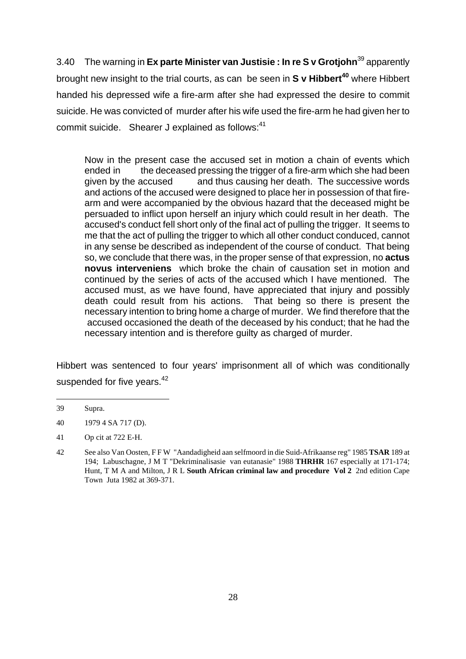3.40 The warning in **Ex parte Minister van Justisie : In re S v Grotjohn**39 apparently brought new insight to the trial courts, as can be seen in **S v Hibbert<sup>40</sup>** where Hibbert handed his depressed wife a fire-arm after she had expressed the desire to commit suicide. He was convicted of murder after his wife used the fire-arm he had given her to commit suicide. Shearer J explained as follows:<sup>41</sup>

Now in the present case the accused set in motion a chain of events which ended in the deceased pressing the trigger of a fire-arm which she had been given by the accused and thus causing her death. The successive words and actions of the accused were designed to place her in possession of that firearm and were accompanied by the obvious hazard that the deceased might be persuaded to inflict upon herself an injury which could result in her death. The accused's conduct fell short only of the final act of pulling the trigger. It seems to me that the act of pulling the trigger to which all other conduct conduced, cannot in any sense be described as independent of the course of conduct. That being so, we conclude that there was, in the proper sense of that expression, no **actus novus interveniens** which broke the chain of causation set in motion and continued by the series of acts of the accused which I have mentioned. The accused must, as we have found, have appreciated that injury and possibly death could result from his actions. That being so there is present the necessary intention to bring home a charge of murder. We find therefore that the accused occasioned the death of the deceased by his conduct; that he had the necessary intention and is therefore guilty as charged of murder.

Hibbert was sentenced to four years' imprisonment all of which was conditionally suspended for five years.<sup>42</sup>

<sup>39</sup> Supra.

<sup>40 1979 4</sup> SA 717 (D).

<sup>41</sup> Op cit at 722 E-H.

<sup>42</sup> See also Van Oosten, F F W "Aandadigheid aan selfmoord in die Suid-Afrikaanse reg" 1985 **TSAR** 189 at 194; Labuschagne, J M T "Dekriminalisasie van eutanasie" 1988 **THRHR** 167 especially at 171-174; Hunt, T M A and Milton, J R L **South African criminal law and procedure Vol 2** 2nd edition Cape Town Juta 1982 at 369-371.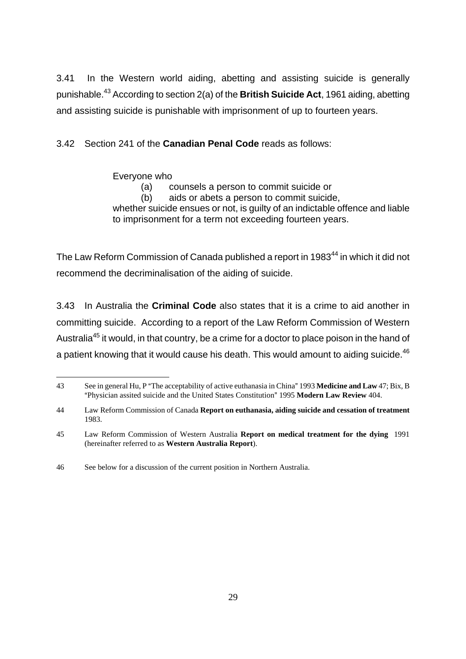3.41 In the Western world aiding, abetting and assisting suicide is generally punishable.43 According to section 2(a) of the **British Suicide Act**, 1961 aiding, abetting and assisting suicide is punishable with imprisonment of up to fourteen years.

### 3.42 Section 241 of the **Canadian Penal Code** reads as follows:

Everyone who

(a) counsels a person to commit suicide or (b) aids or abets a person to commit suicide, whether suicide ensues or not, is guilty of an indictable offence and liable to imprisonment for a term not exceeding fourteen years.

The Law Reform Commission of Canada published a report in 1983<sup>44</sup> in which it did not recommend the decriminalisation of the aiding of suicide.

3.43 In Australia the **Criminal Code** also states that it is a crime to aid another in committing suicide. According to a report of the Law Reform Commission of Western Australia<sup>45</sup> it would, in that country, be a crime for a doctor to place poison in the hand of a patient knowing that it would cause his death. This would amount to aiding suicide.<sup>46</sup>

 $\overline{a}$ 43 See in general Hu, P "The acceptability of active euthanasia in China" 1993 **Medicine and Law** 47; Bix, B APhysician assited suicide and the United States Constitution@ 1995 **Modern Law Review** 404.

<sup>44</sup> Law Reform Commission of Canada **Report on euthanasia, aiding suicide and cessation of treatment** 1983.

<sup>45</sup> Law Reform Commission of Western Australia **Report on medical treatment for the dying** 1991 (hereinafter referred to as **Western Australia Report**).

<sup>46</sup> See below for a discussion of the current position in Northern Australia.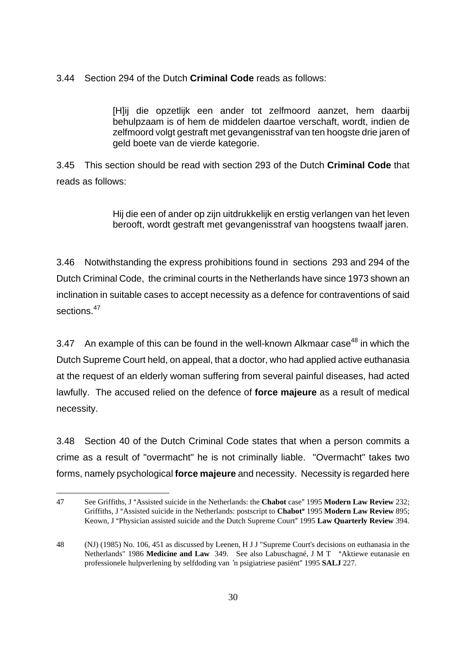3.44 Section 294 of the Dutch **Criminal Code** reads as follows:

[H]ij die opzetlijk een ander tot zelfmoord aanzet, hem daarbij behulpzaam is of hem de middelen daartoe verschaft, wordt, indien de zelfmoord volgt gestraft met gevangenisstraf van ten hoogste drie jaren of geld boete van de vierde kategorie.

3.45 This section should be read with section 293 of the Dutch **Criminal Code** that reads as follows:

> Hij die een of ander op zijn uitdrukkelijk en erstig verlangen van het leven berooft, wordt gestraft met gevangenisstraf van hoogstens twaalf jaren.

3.46 Notwithstanding the express prohibitions found in sections 293 and 294 of the Dutch Criminal Code, the criminal courts in the Netherlands have since 1973 shown an inclination in suitable cases to accept necessity as a defence for contraventions of said sections.<sup>47</sup>

3.47 An example of this can be found in the well-known Alkmaar case $^{48}$  in which the Dutch Supreme Court held, on appeal, that a doctor, who had applied active euthanasia at the request of an elderly woman suffering from several painful diseases, had acted lawfully. The accused relied on the defence of **force majeure** as a result of medical necessity.

3.48 Section 40 of the Dutch Criminal Code states that when a person commits a crime as a result of "overmacht" he is not criminally liable. "Overmacht" takes two forms, namely psychological **force majeure** and necessity. Necessity is regarded here

<sup>47</sup> See Griffiths, J "Assisted suicide in the Netherlands: the **Chabot** case" 1995 Modern Law Review 232; Griffiths, J "Assisted suicide in the Netherlands: postscript to **Chabot"** 1995 **Modern Law Review** 895; Keown, J "Physician assisted suicide and the Dutch Supreme Court" 1995 **Law Quarterly Review** 394.

<sup>48 (</sup>NJ) (1985) No. 106, 451 as discussed by Leenen, H J J "Supreme Court's decisions on euthanasia in the Netherlands" 1986 Medicine and Law 349. See also Labuschagné, J M T "Aktiewe eutanasie en professionele hulpverlening by selfdoding van 'n psigiatriese pasiënt" 1995 SALJ 227.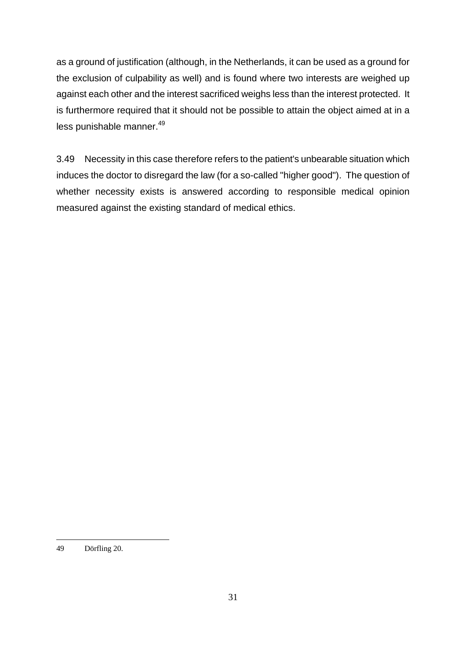as a ground of justification (although, in the Netherlands, it can be used as a ground for the exclusion of culpability as well) and is found where two interests are weighed up against each other and the interest sacrificed weighs less than the interest protected. It is furthermore required that it should not be possible to attain the object aimed at in a less punishable manner.<sup>49</sup>

3.49 Necessity in this case therefore refers to the patient's unbearable situation which induces the doctor to disregard the law (for a so-called "higher good"). The question of whether necessity exists is answered according to responsible medical opinion measured against the existing standard of medical ethics.

<sup>49</sup> Dörfling 20.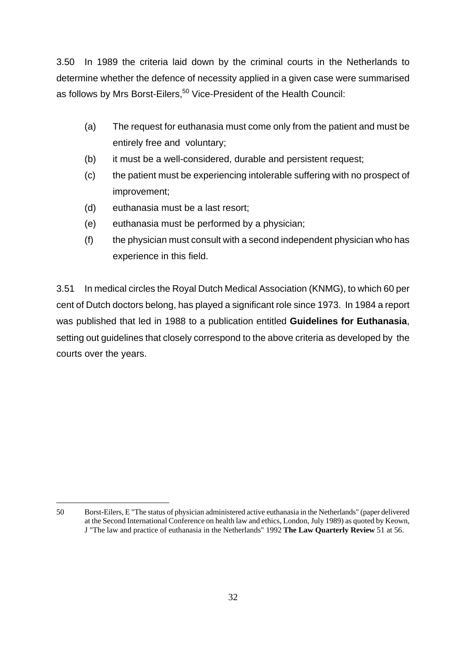3.50 In 1989 the criteria laid down by the criminal courts in the Netherlands to determine whether the defence of necessity applied in a given case were summarised as follows by Mrs Borst-Eilers,<sup>50</sup> Vice-President of the Health Council:

- (a) The request for euthanasia must come only from the patient and must be entirely free and voluntary;
- (b) it must be a well-considered, durable and persistent request;
- (c) the patient must be experiencing intolerable suffering with no prospect of improvement;
- (d) euthanasia must be a last resort;
- (e) euthanasia must be performed by a physician;
- (f) the physician must consult with a second independent physician who has experience in this field.

3.51 In medical circles the Royal Dutch Medical Association (KNMG), to which 60 per cent of Dutch doctors belong, has played a significant role since 1973. In 1984 a report was published that led in 1988 to a publication entitled **Guidelines for Euthanasia**, setting out guidelines that closely correspond to the above criteria as developed by the courts over the years.

 $\overline{a}$ 50 Borst-Eilers, E "The status of physician administered active euthanasia in the Netherlands" (paper delivered at the Second International Conference on health law and ethics, London, July 1989) as quoted by Keown, J "The law and practice of euthanasia in the Netherlands" 1992 **The Law Quarterly Review** 51 at 56.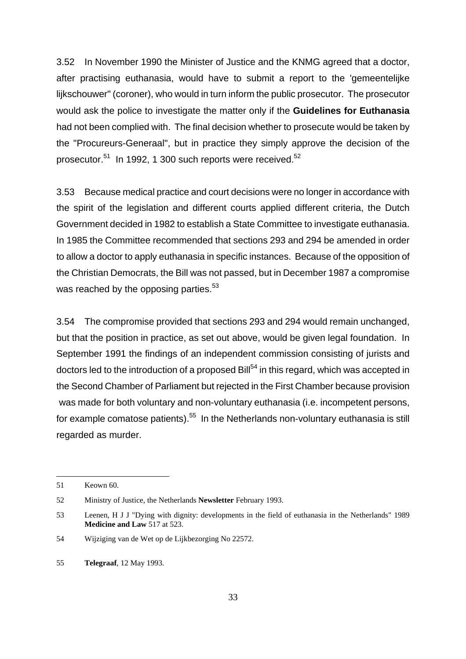3.52 In November 1990 the Minister of Justice and the KNMG agreed that a doctor, after practising euthanasia, would have to submit a report to the 'gemeentelijke lijkschouwer" (coroner), who would in turn inform the public prosecutor. The prosecutor would ask the police to investigate the matter only if the **Guidelines for Euthanasia** had not been complied with. The final decision whether to prosecute would be taken by the "Procureurs-Generaal", but in practice they simply approve the decision of the prosecutor.<sup>51</sup> In 1992, 1 300 such reports were received.<sup>52</sup>

3.53 Because medical practice and court decisions were no longer in accordance with the spirit of the legislation and different courts applied different criteria, the Dutch Government decided in 1982 to establish a State Committee to investigate euthanasia. In 1985 the Committee recommended that sections 293 and 294 be amended in order to allow a doctor to apply euthanasia in specific instances. Because of the opposition of the Christian Democrats, the Bill was not passed, but in December 1987 a compromise was reached by the opposing parties.<sup>53</sup>

3.54 The compromise provided that sections 293 and 294 would remain unchanged, but that the position in practice, as set out above, would be given legal foundation. In September 1991 the findings of an independent commission consisting of jurists and doctors led to the introduction of a proposed Bill<sup>54</sup> in this regard, which was accepted in the Second Chamber of Parliament but rejected in the First Chamber because provision was made for both voluntary and non-voluntary euthanasia (i.e. incompetent persons, for example comatose patients).<sup>55</sup> In the Netherlands non-voluntary euthanasia is still regarded as murder.

<sup>51</sup> Keown 60.

<sup>52</sup> Ministry of Justice, the Netherlands **Newsletter** February 1993.

<sup>53</sup> Leenen, H J J "Dying with dignity: developments in the field of euthanasia in the Netherlands" 1989 **Medicine and Law** 517 at 523.

<sup>54</sup> Wijziging van de Wet op de Lijkbezorging No 22572.

<sup>55</sup> **Telegraaf**, 12 May 1993.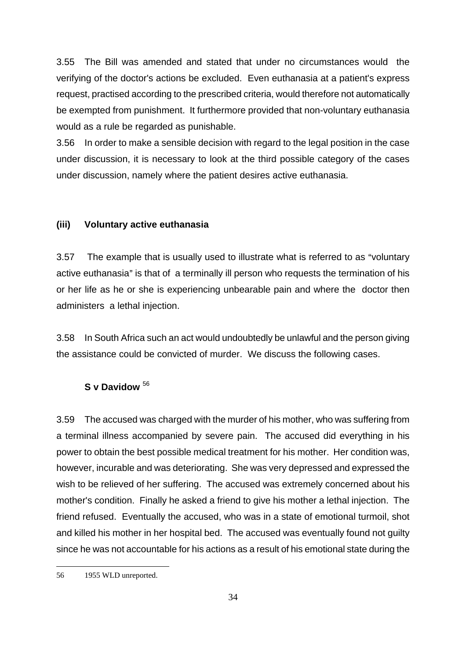3.55 The Bill was amended and stated that under no circumstances would the verifying of the doctor's actions be excluded. Even euthanasia at a patient's express request, practised according to the prescribed criteria, would therefore not automatically be exempted from punishment. It furthermore provided that non-voluntary euthanasia would as a rule be regarded as punishable.

3.56 In order to make a sensible decision with regard to the legal position in the case under discussion, it is necessary to look at the third possible category of the cases under discussion, namely where the patient desires active euthanasia.

#### **(iii) Voluntary active euthanasia**

3.57 The example that is usually used to illustrate what is referred to as "voluntary" active euthanasia" is that of a terminally ill person who requests the termination of his or her life as he or she is experiencing unbearable pain and where the doctor then administers a lethal injection.

3.58 In South Africa such an act would undoubtedly be unlawful and the person giving the assistance could be convicted of murder. We discuss the following cases.

#### **S v Davidow** <sup>56</sup>

3.59 The accused was charged with the murder of his mother, who was suffering from a terminal illness accompanied by severe pain. The accused did everything in his power to obtain the best possible medical treatment for his mother. Her condition was, however, incurable and was deteriorating. She was very depressed and expressed the wish to be relieved of her suffering. The accused was extremely concerned about his mother's condition. Finally he asked a friend to give his mother a lethal injection. The friend refused. Eventually the accused, who was in a state of emotional turmoil, shot and killed his mother in her hospital bed. The accused was eventually found not guilty since he was not accountable for his actions as a result of his emotional state during the

<sup>56 1955</sup> WLD unreported.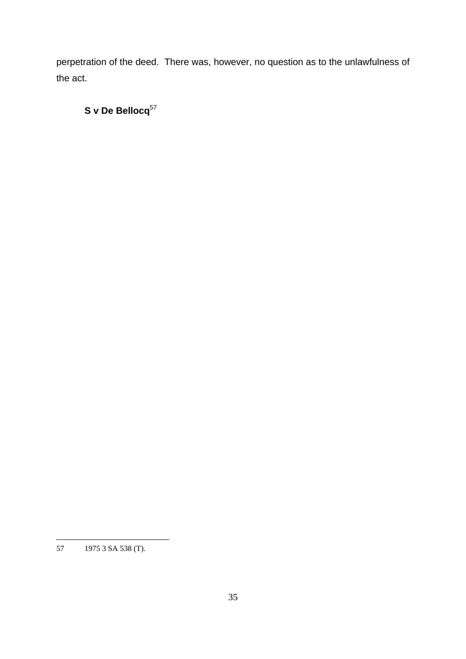perpetration of the deed. There was, however, no question as to the unlawfulness of the act.

**S v De Bellocq**<sup>57</sup>

 $\overline{a}$ 57 1975 3 SA 538 (T).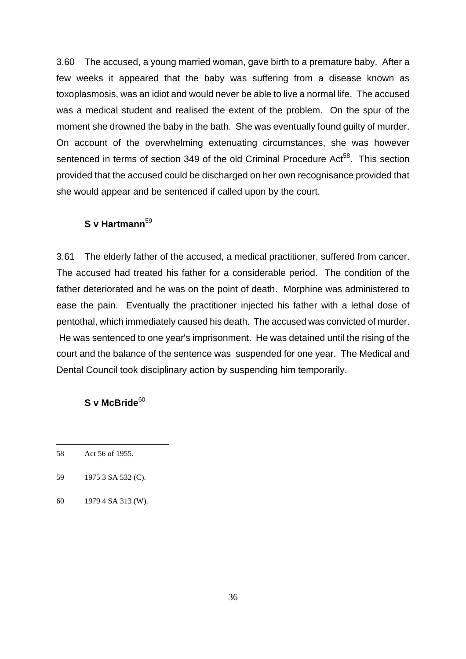3.60 The accused, a young married woman, gave birth to a premature baby. After a few weeks it appeared that the baby was suffering from a disease known as toxoplasmosis, was an idiot and would never be able to live a normal life. The accused was a medical student and realised the extent of the problem. On the spur of the moment she drowned the baby in the bath. She was eventually found guilty of murder. On account of the overwhelming extenuating circumstances, she was however sentenced in terms of section 349 of the old Criminal Procedure Act<sup>58</sup>. This section provided that the accused could be discharged on her own recognisance provided that she would appear and be sentenced if called upon by the court.

# **S v Hartmann**<sup>59</sup>

3.61 The elderly father of the accused, a medical practitioner, suffered from cancer. The accused had treated his father for a considerable period. The condition of the father deteriorated and he was on the point of death. Morphine was administered to ease the pain. Eventually the practitioner injected his father with a lethal dose of pentothal, which immediately caused his death. The accused was convicted of murder. He was sentenced to one year's imprisonment. He was detained until the rising of the court and the balance of the sentence was suspended for one year. The Medical and Dental Council took disciplinary action by suspending him temporarily.

S v McBride<sup>60</sup>

 $\overline{a}$ 

60 1979 4 SA 313 (W).

<sup>58</sup> Act 56 of 1955.

<sup>59 1975 3</sup> SA 532 (C).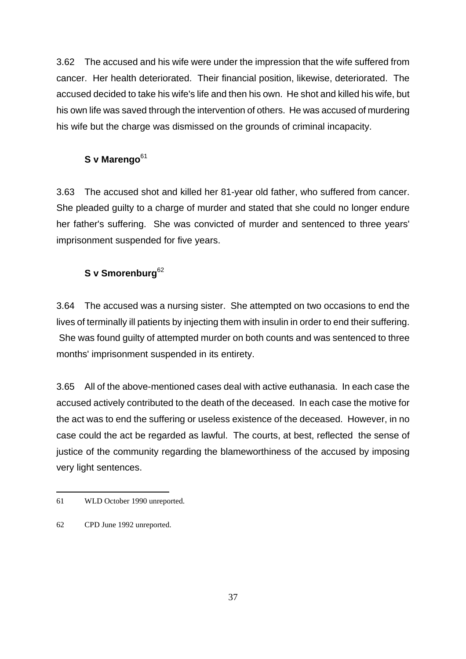3.62 The accused and his wife were under the impression that the wife suffered from cancer. Her health deteriorated. Their financial position, likewise, deteriorated. The accused decided to take his wife's life and then his own. He shot and killed his wife, but his own life was saved through the intervention of others. He was accused of murdering his wife but the charge was dismissed on the grounds of criminal incapacity.

# **S** v Marengo<sup>61</sup>

3.63 The accused shot and killed her 81-year old father, who suffered from cancer. She pleaded guilty to a charge of murder and stated that she could no longer endure her father's suffering. She was convicted of murder and sentenced to three years' imprisonment suspended for five years.

# **S** v Smorenburg<sup>62</sup>

3.64 The accused was a nursing sister. She attempted on two occasions to end the lives of terminally ill patients by injecting them with insulin in order to end their suffering. She was found guilty of attempted murder on both counts and was sentenced to three months' imprisonment suspended in its entirety.

3.65 All of the above-mentioned cases deal with active euthanasia. In each case the accused actively contributed to the death of the deceased. In each case the motive for the act was to end the suffering or useless existence of the deceased. However, in no case could the act be regarded as lawful. The courts, at best, reflected the sense of justice of the community regarding the blameworthiness of the accused by imposing very light sentences.

 $\overline{a}$ 61 WLD October 1990 unreported.

<sup>62</sup> CPD June 1992 unreported.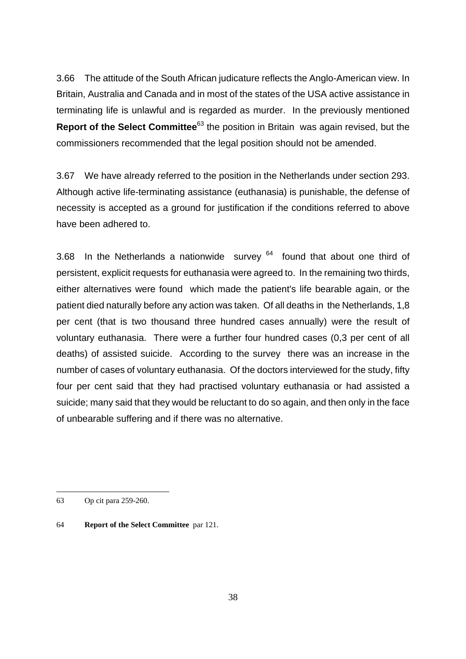3.66 The attitude of the South African judicature reflects the Anglo-American view. In Britain, Australia and Canada and in most of the states of the USA active assistance in terminating life is unlawful and is regarded as murder. In the previously mentioned **Report of the Select Committee**<sup>63</sup> the position in Britain was again revised, but the commissioners recommended that the legal position should not be amended.

3.67 We have already referred to the position in the Netherlands under section 293. Although active life-terminating assistance (euthanasia) is punishable, the defense of necessity is accepted as a ground for justification if the conditions referred to above have been adhered to.

3.68 In the Netherlands a nationwide survey  $64$  found that about one third of persistent, explicit requests for euthanasia were agreed to. In the remaining two thirds, either alternatives were found which made the patient's life bearable again, or the patient died naturally before any action was taken. Of all deaths in the Netherlands, 1,8 per cent (that is two thousand three hundred cases annually) were the result of voluntary euthanasia. There were a further four hundred cases (0,3 per cent of all deaths) of assisted suicide. According to the survey there was an increase in the number of cases of voluntary euthanasia. Of the doctors interviewed for the study, fifty four per cent said that they had practised voluntary euthanasia or had assisted a suicide; many said that they would be reluctant to do so again, and then only in the face of unbearable suffering and if there was no alternative.

<sup>63</sup> Op cit para 259-260.

<sup>64</sup> **Report of the Select Committee** par 121.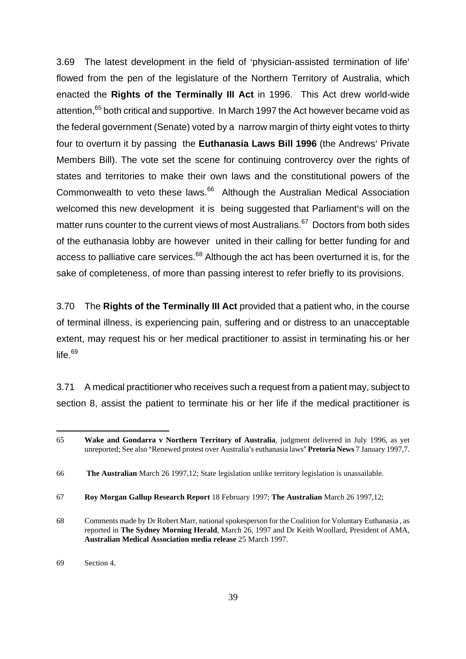3.69 The latest development in the field of 'physician-assisted termination of life' flowed from the pen of the legislature of the Northern Territory of Australia, which enacted the **Rights of the Terminally III Act** in 1996. This Act drew world-wide attention,<sup>65</sup> both critical and supportive. In March 1997 the Act however became void as the federal government (Senate) voted by a narrow margin of thirty eight votes to thirty four to overturn it by passing the **Euthanasia Laws Bill 1996** (the Andrews' Private Members Bill). The vote set the scene for continuing controvercy over the rights of states and territories to make their own laws and the constitutional powers of the Commonwealth to veto these laws.<sup>66</sup> Although the Australian Medical Association welcomed this new development it is being suggested that Parliament's will on the matter runs counter to the current views of most Australians.<sup>67</sup> Doctors from both sides of the euthanasia lobby are however united in their calling for better funding for and access to palliative care services.<sup>68</sup> Although the act has been overturned it is, for the sake of completeness, of more than passing interest to refer briefly to its provisions.

3.70 The **Rights of the Terminally III Act** provided that a patient who, in the course of terminal illness, is experiencing pain, suffering and or distress to an unacceptable extent, may request his or her medical practitioner to assist in terminating his or her life. $69$ 

3.71 A medical practitioner who receives such a request from a patient may, subject to section 8, assist the patient to terminate his or her life if the medical practitioner is

<sup>65</sup> **Wake and Gondarra v Northern Territory of Australia**, judgment delivered in July 1996, as yet unreported; See also "Renewed protest over Australia's euthanasia laws" Pretoria News 7 January 1997,7.

<sup>66</sup> **The Australian** March 26 1997,12; State legislation unlike territory legislation is unassailable.

<sup>67</sup> **Roy Morgan Gallup Research Report** 18 February 1997; **The Australian** March 26 1997,12;

<sup>68</sup> Comments made by Dr Robert Marr, national spokesperson for the Coalition for Voluntary Euthanasia , as reported in **The Sydney Morning Herald**, March 26, 1997 and Dr Keith Woollard, President of AMA, **Australian Medical Association media release** 25 March 1997.

<sup>69</sup> Section 4.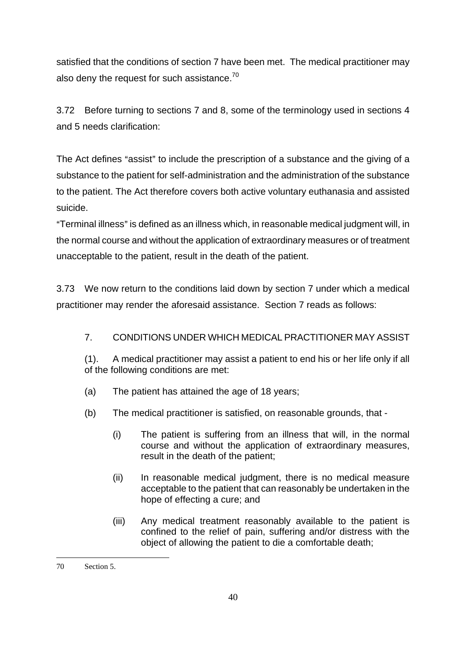satisfied that the conditions of section 7 have been met. The medical practitioner may also deny the request for such assistance.<sup>70</sup>

3.72 Before turning to sections 7 and 8, some of the terminology used in sections 4 and 5 needs clarification:

The Act defines "assist" to include the prescription of a substance and the giving of a substance to the patient for self-administration and the administration of the substance to the patient. The Act therefore covers both active voluntary euthanasia and assisted suicide.

"Terminal illness" is defined as an illness which, in reasonable medical judgment will, in the normal course and without the application of extraordinary measures or of treatment unacceptable to the patient, result in the death of the patient.

3.73 We now return to the conditions laid down by section 7 under which a medical practitioner may render the aforesaid assistance. Section 7 reads as follows:

# 7. CONDITIONS UNDER WHICH MEDICAL PRACTITIONER MAY ASSIST

(1). A medical practitioner may assist a patient to end his or her life only if all of the following conditions are met:

- (a) The patient has attained the age of 18 years;
- (b) The medical practitioner is satisfied, on reasonable grounds, that
	- (i) The patient is suffering from an illness that will, in the normal course and without the application of extraordinary measures, result in the death of the patient;
	- (ii) In reasonable medical judgment, there is no medical measure acceptable to the patient that can reasonably be undertaken in the hope of effecting a cure; and
	- (iii) Any medical treatment reasonably available to the patient is confined to the relief of pain, suffering and/or distress with the object of allowing the patient to die a comfortable death;

 $\overline{a}$ 70 Section 5.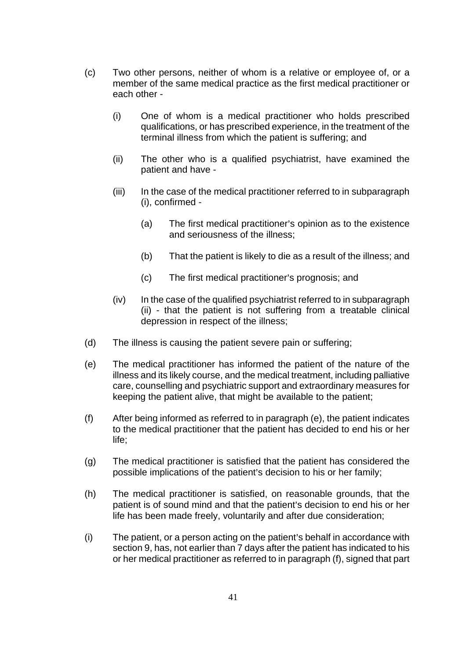- (c) Two other persons, neither of whom is a relative or employee of, or a member of the same medical practice as the first medical practitioner or each other -
	- (i) One of whom is a medical practitioner who holds prescribed qualifications, or has prescribed experience, in the treatment of the terminal illness from which the patient is suffering; and
	- (ii) The other who is a qualified psychiatrist, have examined the patient and have -
	- (iii) In the case of the medical practitioner referred to in subparagraph (i), confirmed -
		- $(a)$  The first medical practitioner's opinion as to the existence and seriousness of the illness;
		- (b) That the patient is likely to die as a result of the illness; and
		- (c) The first medical practitioner's prognosis; and
	- (iv) In the case of the qualified psychiatrist referred to in subparagraph (ii) - that the patient is not suffering from a treatable clinical depression in respect of the illness;
- (d) The illness is causing the patient severe pain or suffering;
- (e) The medical practitioner has informed the patient of the nature of the illness and its likely course, and the medical treatment, including palliative care, counselling and psychiatric support and extraordinary measures for keeping the patient alive, that might be available to the patient;
- (f) After being informed as referred to in paragraph (e), the patient indicates to the medical practitioner that the patient has decided to end his or her life;
- (g) The medical practitioner is satisfied that the patient has considered the possible implications of the patient's decision to his or her family;
- (h) The medical practitioner is satisfied, on reasonable grounds, that the patient is of sound mind and that the patient's decision to end his or her life has been made freely, voluntarily and after due consideration;
- $(i)$  The patient, or a person acting on the patient's behalf in accordance with section 9, has, not earlier than 7 days after the patient has indicated to his or her medical practitioner as referred to in paragraph (f), signed that part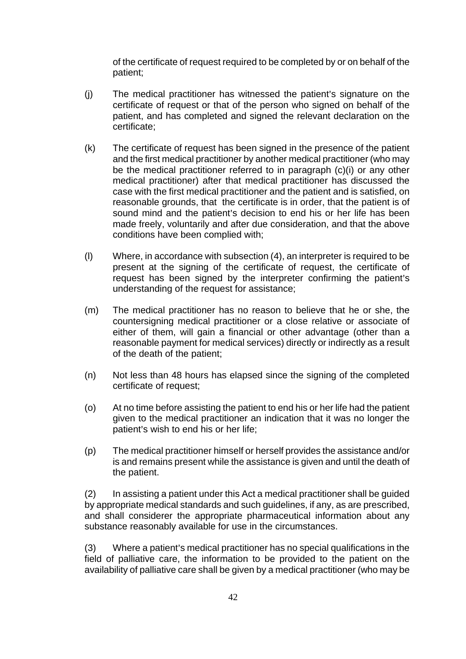of the certificate of request required to be completed by or on behalf of the patient;

- $(i)$  The medical practitioner has witnessed the patient's signature on the certificate of request or that of the person who signed on behalf of the patient, and has completed and signed the relevant declaration on the certificate;
- (k) The certificate of request has been signed in the presence of the patient and the first medical practitioner by another medical practitioner (who may be the medical practitioner referred to in paragraph (c)(i) or any other medical practitioner) after that medical practitioner has discussed the case with the first medical practitioner and the patient and is satisfied, on reasonable grounds, that the certificate is in order, that the patient is of sound mind and the patient's decision to end his or her life has been made freely, voluntarily and after due consideration, and that the above conditions have been complied with;
- (l) Where, in accordance with subsection (4), an interpreter is required to be present at the signing of the certificate of request, the certificate of request has been signed by the interpreter confirming the patient's understanding of the request for assistance;
- (m) The medical practitioner has no reason to believe that he or she, the countersigning medical practitioner or a close relative or associate of either of them, will gain a financial or other advantage (other than a reasonable payment for medical services) directly or indirectly as a result of the death of the patient;
- (n) Not less than 48 hours has elapsed since the signing of the completed certificate of request;
- (o) At no time before assisting the patient to end his or her life had the patient given to the medical practitioner an indication that it was no longer the patient's wish to end his or her life;
- (p) The medical practitioner himself or herself provides the assistance and/or is and remains present while the assistance is given and until the death of the patient.

(2) In assisting a patient under this Act a medical practitioner shall be guided by appropriate medical standards and such guidelines, if any, as are prescribed, and shall considerer the appropriate pharmaceutical information about any substance reasonably available for use in the circumstances.

 $(3)$  Where a patient's medical practitioner has no special qualifications in the field of palliative care, the information to be provided to the patient on the availability of palliative care shall be given by a medical practitioner (who may be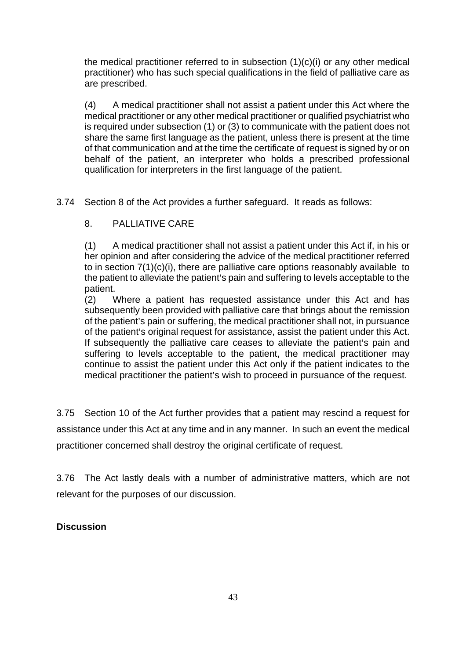the medical practitioner referred to in subsection  $(1)(c)(i)$  or any other medical practitioner) who has such special qualifications in the field of palliative care as are prescribed.

(4) A medical practitioner shall not assist a patient under this Act where the medical practitioner or any other medical practitioner or qualified psychiatrist who is required under subsection (1) or (3) to communicate with the patient does not share the same first language as the patient, unless there is present at the time of that communication and at the time the certificate of request is signed by or on behalf of the patient, an interpreter who holds a prescribed professional qualification for interpreters in the first language of the patient.

3.74 Section 8 of the Act provides a further safeguard. It reads as follows:

### 8. PALLIATIVE CARE

(1) A medical practitioner shall not assist a patient under this Act if, in his or her opinion and after considering the advice of the medical practitioner referred to in section 7(1)(c)(i), there are palliative care options reasonably available to the patient to alleviate the patient's pain and suffering to levels acceptable to the patient.

(2) Where a patient has requested assistance under this Act and has subsequently been provided with palliative care that brings about the remission of the patient's pain or suffering, the medical practitioner shall not, in pursuance of the patient's original request for assistance, assist the patient under this Act. If subsequently the palliative care ceases to alleviate the patient's pain and suffering to levels acceptable to the patient, the medical practitioner may continue to assist the patient under this Act only if the patient indicates to the medical practitioner the patient's wish to proceed in pursuance of the request.

3.75 Section 10 of the Act further provides that a patient may rescind a request for assistance under this Act at any time and in any manner. In such an event the medical practitioner concerned shall destroy the original certificate of request.

3.76 The Act lastly deals with a number of administrative matters, which are not relevant for the purposes of our discussion.

### **Discussion**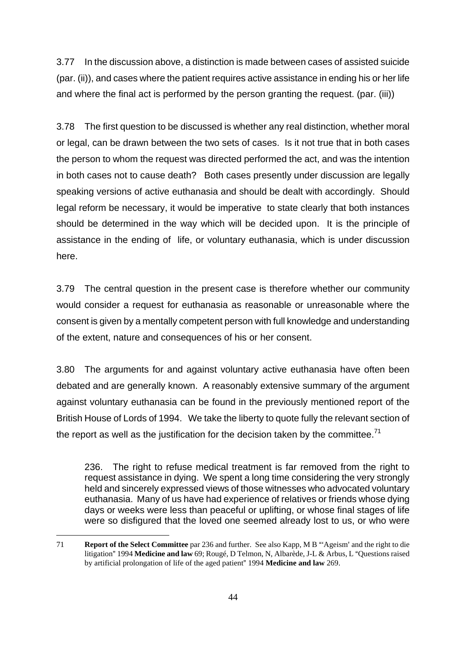3.77 In the discussion above, a distinction is made between cases of assisted suicide (par. (ii)), and cases where the patient requires active assistance in ending his or her life and where the final act is performed by the person granting the request. (par. (iii))

3.78 The first question to be discussed is whether any real distinction, whether moral or legal, can be drawn between the two sets of cases. Is it not true that in both cases the person to whom the request was directed performed the act, and was the intention in both cases not to cause death? Both cases presently under discussion are legally speaking versions of active euthanasia and should be dealt with accordingly. Should legal reform be necessary, it would be imperative to state clearly that both instances should be determined in the way which will be decided upon. It is the principle of assistance in the ending of life, or voluntary euthanasia, which is under discussion here.

3.79 The central question in the present case is therefore whether our community would consider a request for euthanasia as reasonable or unreasonable where the consent is given by a mentally competent person with full knowledge and understanding of the extent, nature and consequences of his or her consent.

3.80 The arguments for and against voluntary active euthanasia have often been debated and are generally known. A reasonably extensive summary of the argument against voluntary euthanasia can be found in the previously mentioned report of the British House of Lords of 1994. We take the liberty to quote fully the relevant section of the report as well as the justification for the decision taken by the committee.<sup>71</sup>

236. The right to refuse medical treatment is far removed from the right to request assistance in dying. We spent a long time considering the very strongly held and sincerely expressed views of those witnesses who advocated voluntary euthanasia. Many of us have had experience of relatives or friends whose dying days or weeks were less than peaceful or uplifting, or whose final stages of life were so disfigured that the loved one seemed already lost to us, or who were

**Report of the Select Committee** par 236 and further. See also Kapp, M B "Ageism' and the right to die litigation" 1994 Medicine and law 69; Rougé, D Telmon, N, Albarède, J-L & Arbus, L "Questions raised by artificial prolongation of life of the aged patient" 1994 Medicine and law 269.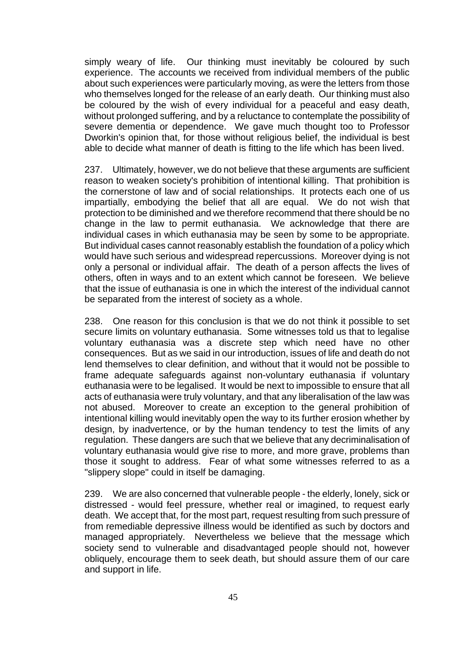simply weary of life. Our thinking must inevitably be coloured by such experience. The accounts we received from individual members of the public about such experiences were particularly moving, as were the letters from those who themselves longed for the release of an early death. Our thinking must also be coloured by the wish of every individual for a peaceful and easy death, without prolonged suffering, and by a reluctance to contemplate the possibility of severe dementia or dependence. We gave much thought too to Professor Dworkin's opinion that, for those without religious belief, the individual is best able to decide what manner of death is fitting to the life which has been lived.

237. Ultimately, however, we do not believe that these arguments are sufficient reason to weaken society's prohibition of intentional killing. That prohibition is the cornerstone of law and of social relationships. It protects each one of us impartially, embodying the belief that all are equal. We do not wish that protection to be diminished and we therefore recommend that there should be no change in the law to permit euthanasia. We acknowledge that there are individual cases in which euthanasia may be seen by some to be appropriate. But individual cases cannot reasonably establish the foundation of a policy which would have such serious and widespread repercussions. Moreover dying is not only a personal or individual affair. The death of a person affects the lives of others, often in ways and to an extent which cannot be foreseen. We believe that the issue of euthanasia is one in which the interest of the individual cannot be separated from the interest of society as a whole.

238. One reason for this conclusion is that we do not think it possible to set secure limits on voluntary euthanasia. Some witnesses told us that to legalise voluntary euthanasia was a discrete step which need have no other consequences. But as we said in our introduction, issues of life and death do not lend themselves to clear definition, and without that it would not be possible to frame adequate safeguards against non-voluntary euthanasia if voluntary euthanasia were to be legalised. It would be next to impossible to ensure that all acts of euthanasia were truly voluntary, and that any liberalisation of the law was not abused. Moreover to create an exception to the general prohibition of intentional killing would inevitably open the way to its further erosion whether by design, by inadvertence, or by the human tendency to test the limits of any regulation. These dangers are such that we believe that any decriminalisation of voluntary euthanasia would give rise to more, and more grave, problems than those it sought to address. Fear of what some witnesses referred to as a "slippery slope" could in itself be damaging.

239. We are also concerned that vulnerable people - the elderly, lonely, sick or distressed - would feel pressure, whether real or imagined, to request early death. We accept that, for the most part, request resulting from such pressure of from remediable depressive illness would be identified as such by doctors and managed appropriately. Nevertheless we believe that the message which society send to vulnerable and disadvantaged people should not, however obliquely, encourage them to seek death, but should assure them of our care and support in life.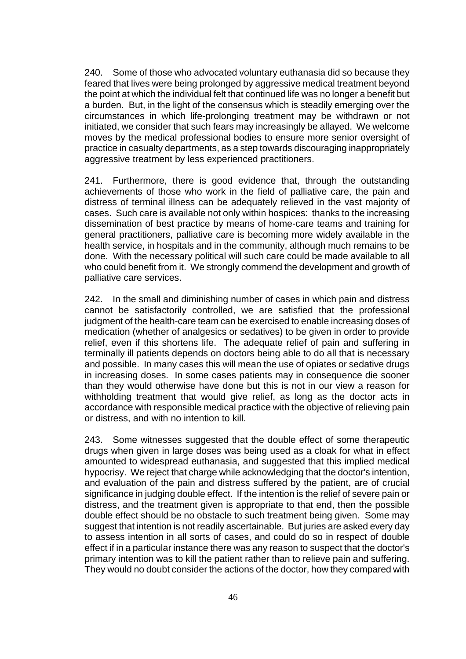240. Some of those who advocated voluntary euthanasia did so because they feared that lives were being prolonged by aggressive medical treatment beyond the point at which the individual felt that continued life was no longer a benefit but a burden. But, in the light of the consensus which is steadily emerging over the circumstances in which life-prolonging treatment may be withdrawn or not initiated, we consider that such fears may increasingly be allayed. We welcome moves by the medical professional bodies to ensure more senior oversight of practice in casualty departments, as a step towards discouraging inappropriately aggressive treatment by less experienced practitioners.

241. Furthermore, there is good evidence that, through the outstanding achievements of those who work in the field of palliative care, the pain and distress of terminal illness can be adequately relieved in the vast majority of cases. Such care is available not only within hospices: thanks to the increasing dissemination of best practice by means of home-care teams and training for general practitioners, palliative care is becoming more widely available in the health service, in hospitals and in the community, although much remains to be done. With the necessary political will such care could be made available to all who could benefit from it. We strongly commend the development and growth of palliative care services.

242. In the small and diminishing number of cases in which pain and distress cannot be satisfactorily controlled, we are satisfied that the professional judgment of the health-care team can be exercised to enable increasing doses of medication (whether of analgesics or sedatives) to be given in order to provide relief, even if this shortens life. The adequate relief of pain and suffering in terminally ill patients depends on doctors being able to do all that is necessary and possible. In many cases this will mean the use of opiates or sedative drugs in increasing doses. In some cases patients may in consequence die sooner than they would otherwise have done but this is not in our view a reason for withholding treatment that would give relief, as long as the doctor acts in accordance with responsible medical practice with the objective of relieving pain or distress, and with no intention to kill.

243. Some witnesses suggested that the double effect of some therapeutic drugs when given in large doses was being used as a cloak for what in effect amounted to widespread euthanasia, and suggested that this implied medical hypocrisy. We reject that charge while acknowledging that the doctor's intention, and evaluation of the pain and distress suffered by the patient, are of crucial significance in judging double effect. If the intention is the relief of severe pain or distress, and the treatment given is appropriate to that end, then the possible double effect should be no obstacle to such treatment being given. Some may suggest that intention is not readily ascertainable. But juries are asked every day to assess intention in all sorts of cases, and could do so in respect of double effect if in a particular instance there was any reason to suspect that the doctor's primary intention was to kill the patient rather than to relieve pain and suffering. They would no doubt consider the actions of the doctor, how they compared with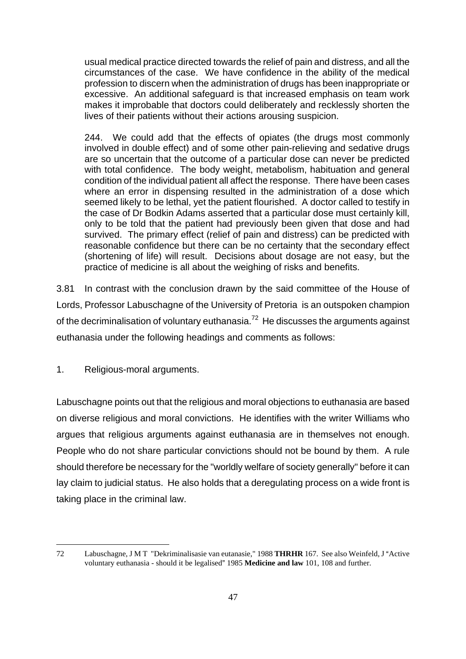usual medical practice directed towards the relief of pain and distress, and all the circumstances of the case. We have confidence in the ability of the medical profession to discern when the administration of drugs has been inappropriate or excessive. An additional safeguard is that increased emphasis on team work makes it improbable that doctors could deliberately and recklessly shorten the lives of their patients without their actions arousing suspicion.

244. We could add that the effects of opiates (the drugs most commonly involved in double effect) and of some other pain-relieving and sedative drugs are so uncertain that the outcome of a particular dose can never be predicted with total confidence. The body weight, metabolism, habituation and general condition of the individual patient all affect the response. There have been cases where an error in dispensing resulted in the administration of a dose which seemed likely to be lethal, yet the patient flourished. A doctor called to testify in the case of Dr Bodkin Adams asserted that a particular dose must certainly kill, only to be told that the patient had previously been given that dose and had survived. The primary effect (relief of pain and distress) can be predicted with reasonable confidence but there can be no certainty that the secondary effect (shortening of life) will result. Decisions about dosage are not easy, but the practice of medicine is all about the weighing of risks and benefits.

3.81 In contrast with the conclusion drawn by the said committee of the House of Lords, Professor Labuschagne of the University of Pretoria is an outspoken champion of the decriminalisation of voluntary euthanasia.<sup>72</sup> He discusses the arguments against euthanasia under the following headings and comments as follows:

1. Religious-moral arguments.

 $\overline{a}$ 

Labuschagne points out that the religious and moral objections to euthanasia are based on diverse religious and moral convictions. He identifies with the writer Williams who argues that religious arguments against euthanasia are in themselves not enough. People who do not share particular convictions should not be bound by them. A rule should therefore be necessary for the "worldly welfare of society generally" before it can lay claim to judicial status. He also holds that a deregulating process on a wide front is taking place in the criminal law.

<sup>72</sup> Labuschagne, J M T "Dekriminalisasie van eutanasie," 1988 **THRHR** 167. See also Weinfeld, J "Active" voluntary euthanasia - should it be legalised" 1985 Medicine and law 101, 108 and further.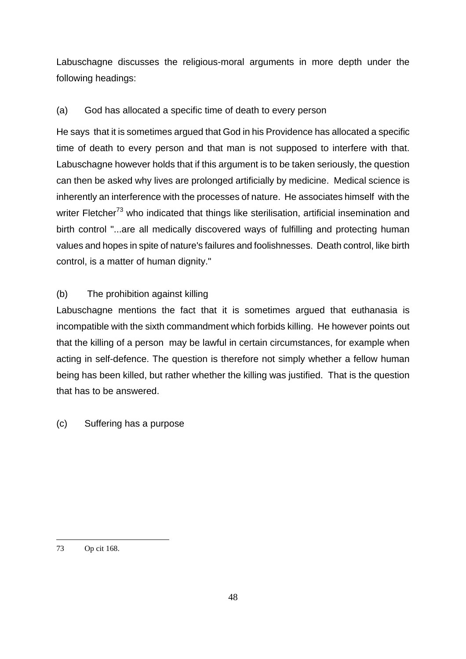Labuschagne discusses the religious-moral arguments in more depth under the following headings:

## (a) God has allocated a specific time of death to every person

He says that it is sometimes argued that God in his Providence has allocated a specific time of death to every person and that man is not supposed to interfere with that. Labuschagne however holds that if this argument is to be taken seriously, the question can then be asked why lives are prolonged artificially by medicine. Medical science is inherently an interference with the processes of nature. He associates himself with the writer Fletcher<sup>73</sup> who indicated that things like sterilisation, artificial insemination and birth control "...are all medically discovered ways of fulfilling and protecting human values and hopes in spite of nature's failures and foolishnesses. Death control, like birth control, is a matter of human dignity."

## (b) The prohibition against killing

Labuschagne mentions the fact that it is sometimes argued that euthanasia is incompatible with the sixth commandment which forbids killing. He however points out that the killing of a person may be lawful in certain circumstances, for example when acting in self-defence. The question is therefore not simply whether a fellow human being has been killed, but rather whether the killing was justified. That is the question that has to be answered.

(c) Suffering has a purpose

<sup>73</sup> Op cit 168.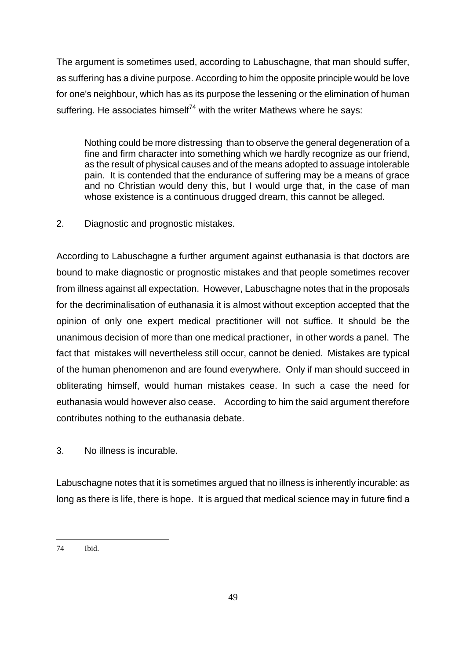The argument is sometimes used, according to Labuschagne, that man should suffer, as suffering has a divine purpose. According to him the opposite principle would be love for one's neighbour, which has as its purpose the lessening or the elimination of human suffering. He associates himself<sup>74</sup> with the writer Mathews where he says:

Nothing could be more distressing than to observe the general degeneration of a fine and firm character into something which we hardly recognize as our friend, as the result of physical causes and of the means adopted to assuage intolerable pain. It is contended that the endurance of suffering may be a means of grace and no Christian would deny this, but I would urge that, in the case of man whose existence is a continuous drugged dream, this cannot be alleged.

## 2. Diagnostic and prognostic mistakes.

According to Labuschagne a further argument against euthanasia is that doctors are bound to make diagnostic or prognostic mistakes and that people sometimes recover from illness against all expectation. However, Labuschagne notes that in the proposals for the decriminalisation of euthanasia it is almost without exception accepted that the opinion of only one expert medical practitioner will not suffice. It should be the unanimous decision of more than one medical practioner, in other words a panel. The fact that mistakes will nevertheless still occur, cannot be denied. Mistakes are typical of the human phenomenon and are found everywhere. Only if man should succeed in obliterating himself, would human mistakes cease. In such a case the need for euthanasia would however also cease. According to him the said argument therefore contributes nothing to the euthanasia debate.

3. No illness is incurable.

Labuschagne notes that it is sometimes argued that no illness is inherently incurable: as long as there is life, there is hope. It is argued that medical science may in future find a

 $\overline{a}$ 74 Ibid.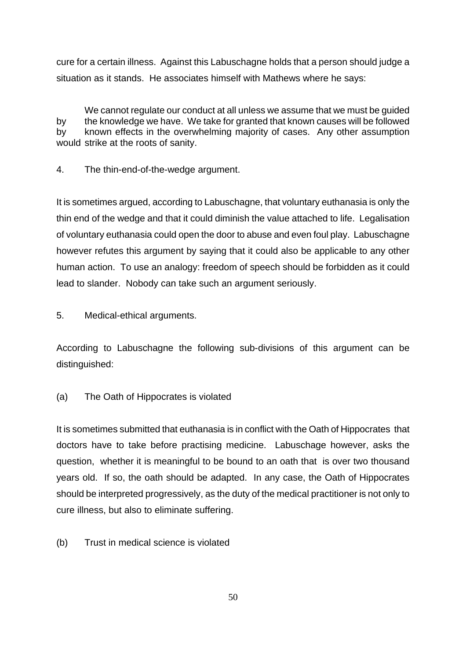cure for a certain illness. Against this Labuschagne holds that a person should judge a situation as it stands. He associates himself with Mathews where he says:

We cannot regulate our conduct at all unless we assume that we must be guided by the knowledge we have. We take for granted that known causes will be followed by known effects in the overwhelming majority of cases. Any other assumption would strike at the roots of sanity.

4. The thin-end-of-the-wedge argument.

It is sometimes argued, according to Labuschagne, that voluntary euthanasia is only the thin end of the wedge and that it could diminish the value attached to life. Legalisation of voluntary euthanasia could open the door to abuse and even foul play. Labuschagne however refutes this argument by saying that it could also be applicable to any other human action. To use an analogy: freedom of speech should be forbidden as it could lead to slander. Nobody can take such an argument seriously.

5. Medical-ethical arguments.

According to Labuschagne the following sub-divisions of this argument can be distinguished:

(a) The Oath of Hippocrates is violated

It is sometimes submitted that euthanasia is in conflict with the Oath of Hippocrates that doctors have to take before practising medicine. Labuschage however, asks the question, whether it is meaningful to be bound to an oath that is over two thousand years old. If so, the oath should be adapted. In any case, the Oath of Hippocrates should be interpreted progressively, as the duty of the medical practitioner is not only to cure illness, but also to eliminate suffering.

(b) Trust in medical science is violated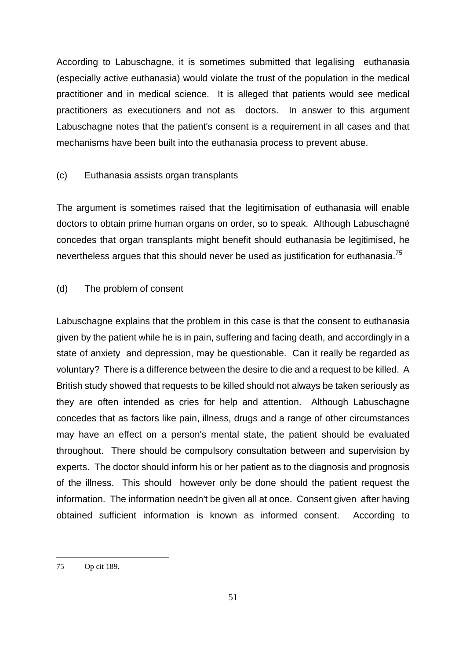According to Labuschagne, it is sometimes submitted that legalising euthanasia (especially active euthanasia) would violate the trust of the population in the medical practitioner and in medical science. It is alleged that patients would see medical practitioners as executioners and not as doctors. In answer to this argument Labuschagne notes that the patient's consent is a requirement in all cases and that mechanisms have been built into the euthanasia process to prevent abuse.

#### (c) Euthanasia assists organ transplants

The argument is sometimes raised that the legitimisation of euthanasia will enable doctors to obtain prime human organs on order, so to speak. Although Labuschagné concedes that organ transplants might benefit should euthanasia be legitimised, he nevertheless argues that this should never be used as justification for euthanasia.<sup>75</sup>

(d) The problem of consent

Labuschagne explains that the problem in this case is that the consent to euthanasia given by the patient while he is in pain, suffering and facing death, and accordingly in a state of anxiety and depression, may be questionable. Can it really be regarded as voluntary? There is a difference between the desire to die and a request to be killed. A British study showed that requests to be killed should not always be taken seriously as they are often intended as cries for help and attention. Although Labuschagne concedes that as factors like pain, illness, drugs and a range of other circumstances may have an effect on a person's mental state, the patient should be evaluated throughout. There should be compulsory consultation between and supervision by experts. The doctor should inform his or her patient as to the diagnosis and prognosis of the illness. This should however only be done should the patient request the information. The information needn't be given all at once. Consent given after having obtained sufficient information is known as informed consent. According to

<sup>75</sup> Op cit 189.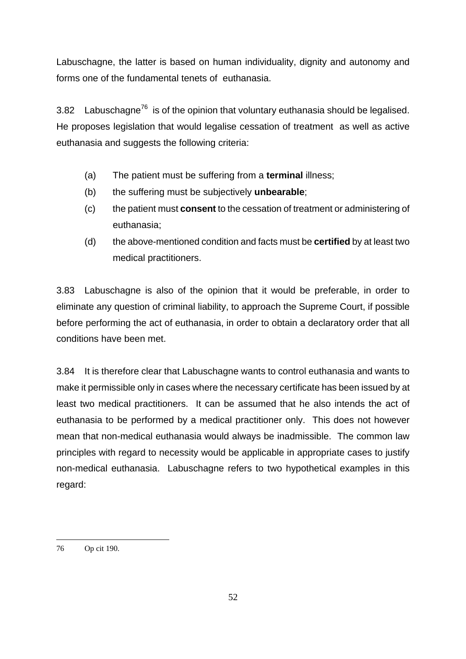Labuschagne, the latter is based on human individuality, dignity and autonomy and forms one of the fundamental tenets of euthanasia.

3.82 Labuschagne<sup>76</sup> is of the opinion that voluntary euthanasia should be legalised. He proposes legislation that would legalise cessation of treatment as well as active euthanasia and suggests the following criteria:

- (a) The patient must be suffering from a **terminal** illness;
- (b) the suffering must be subjectively **unbearable**;
- (c) the patient must **consent** to the cessation of treatment or administering of euthanasia;
- (d) the above-mentioned condition and facts must be **certified** by at least two medical practitioners.

3.83 Labuschagne is also of the opinion that it would be preferable, in order to eliminate any question of criminal liability, to approach the Supreme Court, if possible before performing the act of euthanasia, in order to obtain a declaratory order that all conditions have been met.

3.84 It is therefore clear that Labuschagne wants to control euthanasia and wants to make it permissible only in cases where the necessary certificate has been issued by at least two medical practitioners. It can be assumed that he also intends the act of euthanasia to be performed by a medical practitioner only. This does not however mean that non-medical euthanasia would always be inadmissible. The common law principles with regard to necessity would be applicable in appropriate cases to justify non-medical euthanasia. Labuschagne refers to two hypothetical examples in this regard:

<sup>76</sup> Op cit 190.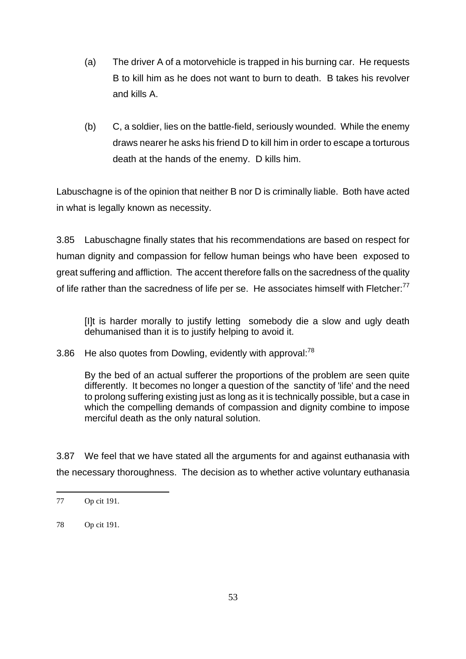- (a) The driver A of a motorvehicle is trapped in his burning car. He requests B to kill him as he does not want to burn to death. B takes his revolver and kills A.
- (b) C, a soldier, lies on the battle-field, seriously wounded. While the enemy draws nearer he asks his friend D to kill him in order to escape a torturous death at the hands of the enemy. D kills him.

Labuschagne is of the opinion that neither B nor D is criminally liable. Both have acted in what is legally known as necessity.

3.85 Labuschagne finally states that his recommendations are based on respect for human dignity and compassion for fellow human beings who have been exposed to great suffering and affliction. The accent therefore falls on the sacredness of the quality of life rather than the sacredness of life per se. He associates himself with Fletcher:<sup>77</sup>

[I]t is harder morally to justify letting somebody die a slow and ugly death dehumanised than it is to justify helping to avoid it.

3.86 He also quotes from Dowling, evidently with approval: $^{78}$ 

By the bed of an actual sufferer the proportions of the problem are seen quite differently. It becomes no longer a question of the sanctity of 'life' and the need to prolong suffering existing just as long as it is technically possible, but a case in which the compelling demands of compassion and dignity combine to impose merciful death as the only natural solution.

3.87 We feel that we have stated all the arguments for and against euthanasia with the necessary thoroughness. The decision as to whether active voluntary euthanasia

<sup>77</sup> Op cit 191.

<sup>78</sup> Op cit 191.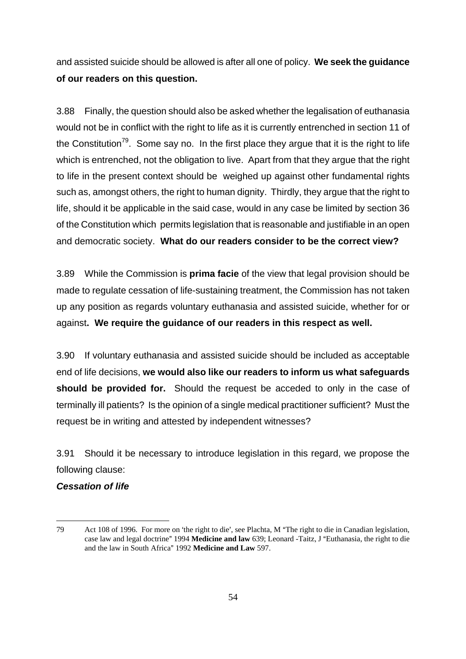and assisted suicide should be allowed is after all one of policy. **We seek the guidance of our readers on this question.**

3.88 Finally, the question should also be asked whether the legalisation of euthanasia would not be in conflict with the right to life as it is currently entrenched in section 11 of the Constitution<sup>79</sup>. Some say no. In the first place they argue that it is the right to life which is entrenched, not the obligation to live. Apart from that they argue that the right to life in the present context should be weighed up against other fundamental rights such as, amongst others, the right to human dignity. Thirdly, they argue that the right to life, should it be applicable in the said case, would in any case be limited by section 36 of the Constitution which permits legislation that is reasonable and justifiable in an open and democratic society. **What do our readers consider to be the correct view?**

3.89 While the Commission is **prima facie** of the view that legal provision should be made to regulate cessation of life-sustaining treatment, the Commission has not taken up any position as regards voluntary euthanasia and assisted suicide, whether for or against**. We require the guidance of our readers in this respect as well.**

3.90 If voluntary euthanasia and assisted suicide should be included as acceptable end of life decisions, **we would also like our readers to inform us what safeguards should be provided for.** Should the request be acceded to only in the case of terminally ill patients? Is the opinion of a single medical practitioner sufficient? Must the request be in writing and attested by independent witnesses?

3.91 Should it be necessary to introduce legislation in this regard, we propose the following clause:

### *Cessation of life*

<sup>79</sup> Act 108 of 1996. For more on 'the right to die', see Plachta, M "The right to die in Canadian legislation, case law and legal doctrine" 1994 **Medicine and law** 639; Leonard -Taitz, J "Euthanasia, the right to die and the law in South Africa" 1992 Medicine and Law 597.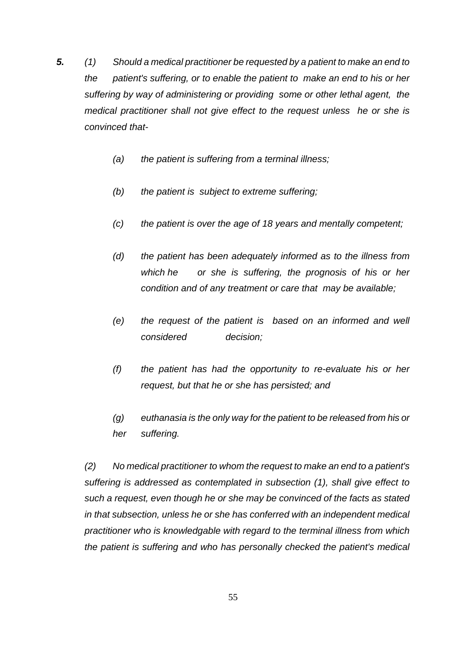- *5. (1) Should a medical practitioner be requested by a patient to make an end to the patient's suffering, or to enable the patient to make an end to his or her suffering by way of administering or providing some or other lethal agent, the medical practitioner shall not give effect to the request unless he or she is convinced that-* 
	- *(a) the patient is suffering from a terminal illness;*
	- *(b) the patient is subject to extreme suffering;*
	- *(c) the patient is over the age of 18 years and mentally competent;*
	- *(d) the patient has been adequately informed as to the illness from which he or she is suffering, the prognosis of his or her condition and of any treatment or care that may be available;*
	- *(e) the request of the patient is based on an informed and well considered decision;*
	- *(f) the patient has had the opportunity to re-evaluate his or her request, but that he or she has persisted; and*
	- *(g) euthanasia is the only way for the patient to be released from his or her suffering.*

*(2) No medical practitioner to whom the request to make an end to a patient's suffering is addressed as contemplated in subsection (1), shall give effect to such a request, even though he or she may be convinced of the facts as stated in that subsection, unless he or she has conferred with an independent medical practitioner who is knowledgable with regard to the terminal illness from which the patient is suffering and who has personally checked the patient's medical*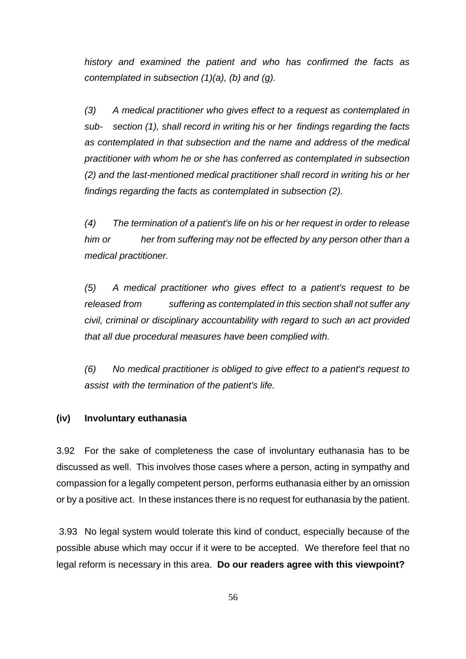*history and examined the patient and who has confirmed the facts as contemplated in subsection (1)(a), (b) and (g).* 

*(3) A medical practitioner who gives effect to a request as contemplated in sub- section (1), shall record in writing his or her findings regarding the facts as contemplated in that subsection and the name and address of the medical practitioner with whom he or she has conferred as contemplated in subsection (2) and the last-mentioned medical practitioner shall record in writing his or her findings regarding the facts as contemplated in subsection (2).* 

*(4) The termination of a patient's life on his or her request in order to release him or her from suffering may not be effected by any person other than a medical practitioner.* 

*(5) A medical practitioner who gives effect to a patient's request to be released from suffering as contemplated in this section shall not suffer any civil, criminal or disciplinary accountability with regard to such an act provided that all due procedural measures have been complied with.* 

*(6) No medical practitioner is obliged to give effect to a patient's request to assist with the termination of the patient's life.* 

### **(iv) Involuntary euthanasia**

3.92 For the sake of completeness the case of involuntary euthanasia has to be discussed as well. This involves those cases where a person, acting in sympathy and compassion for a legally competent person, performs euthanasia either by an omission or by a positive act. In these instances there is no request for euthanasia by the patient.

 3.93 No legal system would tolerate this kind of conduct, especially because of the possible abuse which may occur if it were to be accepted. We therefore feel that no legal reform is necessary in this area. **Do our readers agree with this viewpoint?**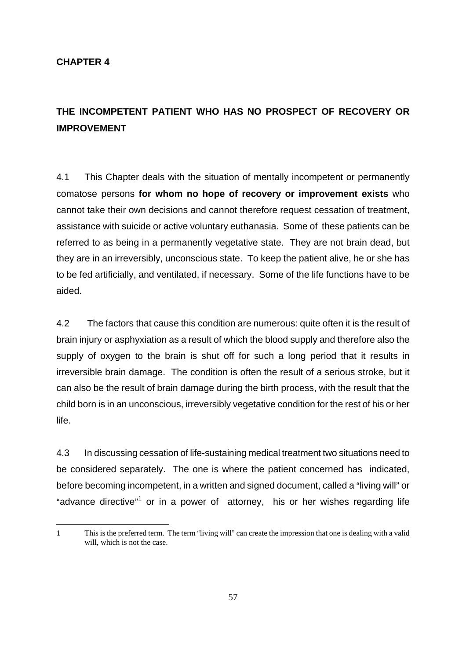### **CHAPTER 4**

 $\overline{a}$ 

# **THE INCOMPETENT PATIENT WHO HAS NO PROSPECT OF RECOVERY OR IMPROVEMENT**

4.1 This Chapter deals with the situation of mentally incompetent or permanently comatose persons **for whom no hope of recovery or improvement exists** who cannot take their own decisions and cannot therefore request cessation of treatment, assistance with suicide or active voluntary euthanasia. Some of these patients can be referred to as being in a permanently vegetative state. They are not brain dead, but they are in an irreversibly, unconscious state. To keep the patient alive, he or she has to be fed artificially, and ventilated, if necessary. Some of the life functions have to be aided.

4.2 The factors that cause this condition are numerous: quite often it is the result of brain injury or asphyxiation as a result of which the blood supply and therefore also the supply of oxygen to the brain is shut off for such a long period that it results in irreversible brain damage. The condition is often the result of a serious stroke, but it can also be the result of brain damage during the birth process, with the result that the child born is in an unconscious, irreversibly vegetative condition for the rest of his or her life.

4.3 In discussing cessation of life-sustaining medical treatment two situations need to be considered separately. The one is where the patient concerned has indicated, before becoming incompetent, in a written and signed document, called a "living will" or "advance directive"<sup>1</sup> or in a power of attorney, his or her wishes regarding life

<sup>1</sup> This is the preferred term. The term "living will" can create the impression that one is dealing with a valid will, which is not the case.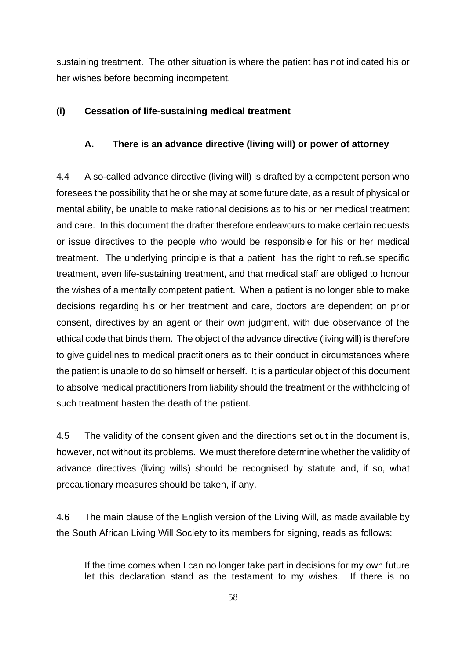sustaining treatment. The other situation is where the patient has not indicated his or her wishes before becoming incompetent.

## **(i) Cessation of life-sustaining medical treatment**

#### **A. There is an advance directive (living will) or power of attorney**

4.4 A so-called advance directive (living will) is drafted by a competent person who foresees the possibility that he or she may at some future date, as a result of physical or mental ability, be unable to make rational decisions as to his or her medical treatment and care. In this document the drafter therefore endeavours to make certain requests or issue directives to the people who would be responsible for his or her medical treatment. The underlying principle is that a patient has the right to refuse specific treatment, even life-sustaining treatment, and that medical staff are obliged to honour the wishes of a mentally competent patient. When a patient is no longer able to make decisions regarding his or her treatment and care, doctors are dependent on prior consent, directives by an agent or their own judgment, with due observance of the ethical code that binds them. The object of the advance directive (living will) is therefore to give guidelines to medical practitioners as to their conduct in circumstances where the patient is unable to do so himself or herself. It is a particular object of this document to absolve medical practitioners from liability should the treatment or the withholding of such treatment hasten the death of the patient.

4.5 The validity of the consent given and the directions set out in the document is, however, not without its problems. We must therefore determine whether the validity of advance directives (living wills) should be recognised by statute and, if so, what precautionary measures should be taken, if any.

4.6 The main clause of the English version of the Living Will, as made available by the South African Living Will Society to its members for signing, reads as follows:

If the time comes when I can no longer take part in decisions for my own future let this declaration stand as the testament to my wishes. If there is no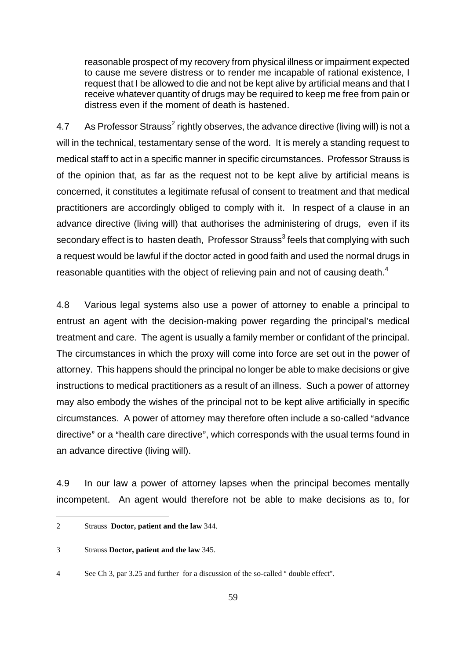reasonable prospect of my recovery from physical illness or impairment expected to cause me severe distress or to render me incapable of rational existence, I request that I be allowed to die and not be kept alive by artificial means and that I receive whatever quantity of drugs may be required to keep me free from pain or distress even if the moment of death is hastened.

4.7 As Professor Strauss<sup>2</sup> rightly observes, the advance directive (living will) is not a will in the technical, testamentary sense of the word. It is merely a standing request to medical staff to act in a specific manner in specific circumstances. Professor Strauss is of the opinion that, as far as the request not to be kept alive by artificial means is concerned, it constitutes a legitimate refusal of consent to treatment and that medical practitioners are accordingly obliged to comply with it. In respect of a clause in an advance directive (living will) that authorises the administering of drugs, even if its secondary effect is to hasten death, Professor Strauss $^3$ feels that complying with such a request would be lawful if the doctor acted in good faith and used the normal drugs in reasonable quantities with the object of relieving pain and not of causing death.<sup>4</sup>

4.8 Various legal systems also use a power of attorney to enable a principal to entrust an agent with the decision-making power regarding the principal's medical treatment and care. The agent is usually a family member or confidant of the principal. The circumstances in which the proxy will come into force are set out in the power of attorney. This happens should the principal no longer be able to make decisions or give instructions to medical practitioners as a result of an illness. Such a power of attorney may also embody the wishes of the principal not to be kept alive artificially in specific circumstances. A power of attorney may therefore often include a so-called "advance" directive" or a "health care directive", which corresponds with the usual terms found in an advance directive (living will).

4.9 In our law a power of attorney lapses when the principal becomes mentally incompetent. An agent would therefore not be able to make decisions as to, for

<sup>2</sup> Strauss **Doctor, patient and the law** 344.

<sup>3</sup> Strauss **Doctor, patient and the law** 345.

<sup>4</sup> See Ch 3, par  $3.25$  and further for a discussion of the so-called " double effect".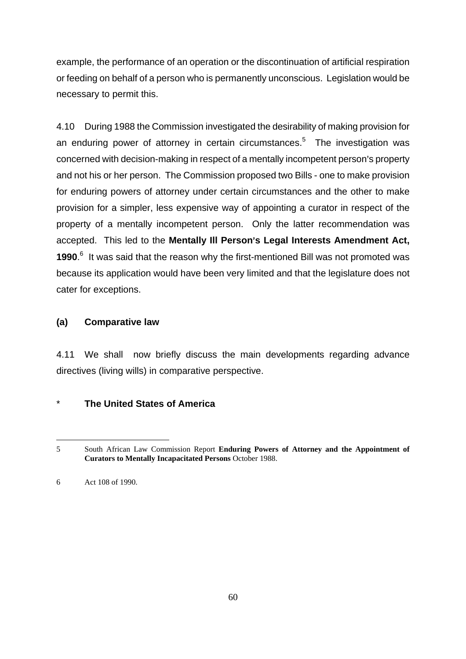example, the performance of an operation or the discontinuation of artificial respiration or feeding on behalf of a person who is permanently unconscious. Legislation would be necessary to permit this.

4.10 During 1988 the Commission investigated the desirability of making provision for an enduring power of attorney in certain circumstances.<sup>5</sup> The investigation was concerned with decision-making in respect of a mentally incompetent person's property and not his or her person. The Commission proposed two Bills - one to make provision for enduring powers of attorney under certain circumstances and the other to make provision for a simpler, less expensive way of appointing a curator in respect of the property of a mentally incompetent person. Only the latter recommendation was accepted. This led to the Mentally III Person's Legal Interests Amendment Act, 1990.<sup>6</sup> It was said that the reason why the first-mentioned Bill was not promoted was because its application would have been very limited and that the legislature does not cater for exceptions.

## **(a) Comparative law**

4.11 We shall now briefly discuss the main developments regarding advance directives (living wills) in comparative perspective.

# **The United States of America**

6 Act 108 of 1990.

<sup>5</sup> South African Law Commission Report **Enduring Powers of Attorney and the Appointment of Curators to Mentally Incapacitated Persons** October 1988.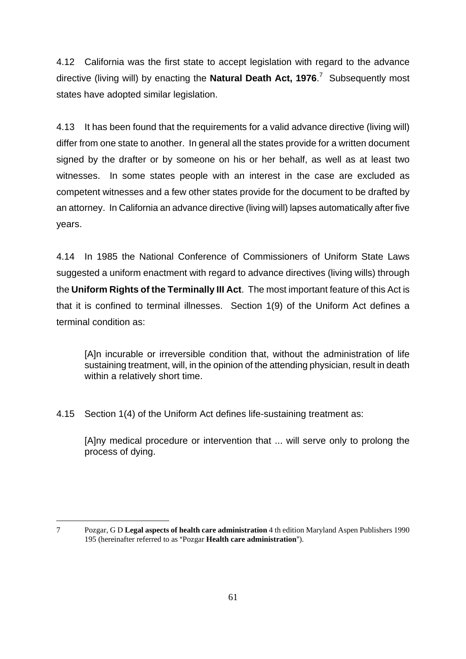4.12 California was the first state to accept legislation with regard to the advance directive (living will) by enacting the **Natural Death Act, 1976**. 7 Subsequently most states have adopted similar legislation.

4.13 It has been found that the requirements for a valid advance directive (living will) differ from one state to another. In general all the states provide for a written document signed by the drafter or by someone on his or her behalf, as well as at least two witnesses. In some states people with an interest in the case are excluded as competent witnesses and a few other states provide for the document to be drafted by an attorney. In California an advance directive (living will) lapses automatically after five years.

4.14 In 1985 the National Conference of Commissioners of Uniform State Laws suggested a uniform enactment with regard to advance directives (living wills) through the **Uniform Rights of the Terminally III Act**. The most important feature of this Act is that it is confined to terminal illnesses. Section 1(9) of the Uniform Act defines a terminal condition as:

[A]n incurable or irreversible condition that, without the administration of life sustaining treatment, will, in the opinion of the attending physician, result in death within a relatively short time.

4.15 Section 1(4) of the Uniform Act defines life-sustaining treatment as:

[A]ny medical procedure or intervention that ... will serve only to prolong the process of dying.

 $\overline{a}$ 7 Pozgar, G D **Legal aspects of health care administration** 4 th edition Maryland Aspen Publishers 1990 195 (hereinafter referred to as "Pozgar **Health care administration**").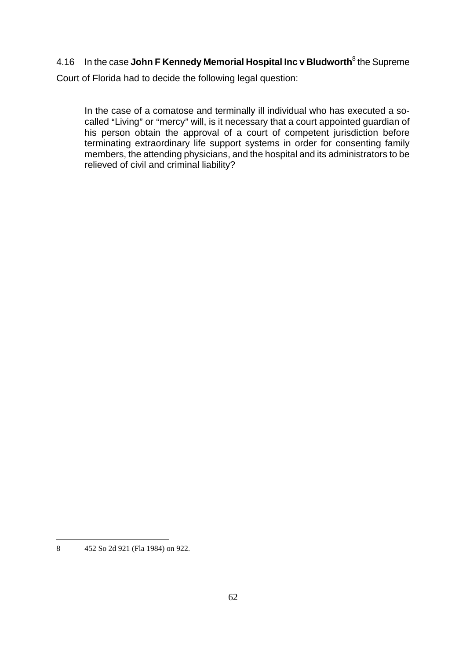# 4.16 In the case **John F Kennedy Memorial Hospital Inc v Bludworth<sup>8</sup> the Supreme**

Court of Florida had to decide the following legal question:

In the case of a comatose and terminally ill individual who has executed a socalled "Living" or "mercy" will, is it necessary that a court appointed guardian of his person obtain the approval of a court of competent jurisdiction before terminating extraordinary life support systems in order for consenting family members, the attending physicians, and the hospital and its administrators to be relieved of civil and criminal liability?

<sup>8 452</sup> So 2d 921 (Fla 1984) on 922.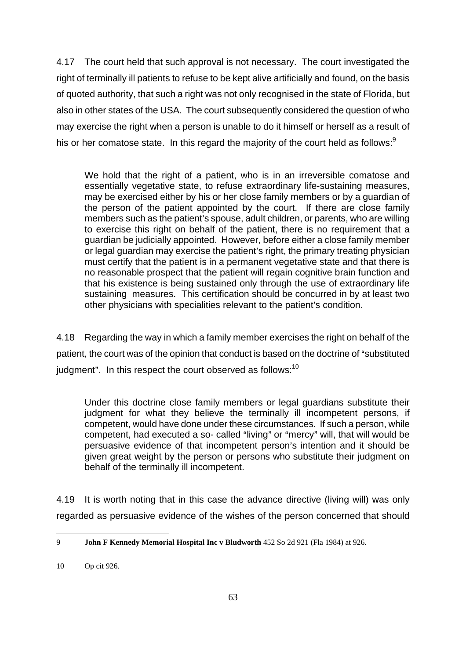4.17 The court held that such approval is not necessary. The court investigated the right of terminally ill patients to refuse to be kept alive artificially and found, on the basis of quoted authority, that such a right was not only recognised in the state of Florida, but also in other states of the USA. The court subsequently considered the question of who may exercise the right when a person is unable to do it himself or herself as a result of his or her comatose state. In this regard the majority of the court held as follows: $9$ 

We hold that the right of a patient, who is in an irreversible comatose and essentially vegetative state, to refuse extraordinary life-sustaining measures, may be exercised either by his or her close family members or by a guardian of the person of the patient appointed by the court. If there are close family members such as the patient's spouse, adult children, or parents, who are willing to exercise this right on behalf of the patient, there is no requirement that a guardian be judicially appointed. However, before either a close family member or legal guardian may exercise the patient's right, the primary treating physician must certify that the patient is in a permanent vegetative state and that there is no reasonable prospect that the patient will regain cognitive brain function and that his existence is being sustained only through the use of extraordinary life sustaining measures. This certification should be concurred in by at least two other physicians with specialities relevant to the patient's condition.

4.18 Regarding the way in which a family member exercises the right on behalf of the patient, the court was of the opinion that conduct is based on the doctrine of "substituted" judgment". In this respect the court observed as follows:<sup>10</sup>

Under this doctrine close family members or legal guardians substitute their judgment for what they believe the terminally ill incompetent persons, if competent, would have done under these circumstances. If such a person, while competent, had executed a so- called "living" or "mercy" will, that will would be persuasive evidence of that incompetent person's intention and it should be given great weight by the person or persons who substitute their judgment on behalf of the terminally ill incompetent.

4.19 It is worth noting that in this case the advance directive (living will) was only regarded as persuasive evidence of the wishes of the person concerned that should

<sup>9</sup> **John F Kennedy Memorial Hospital Inc v Bludworth** 452 So 2d 921 (Fla 1984) at 926.

<sup>10</sup> Op cit 926.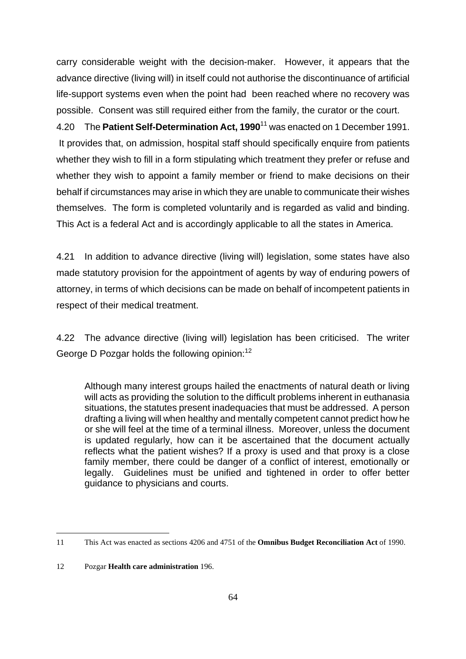carry considerable weight with the decision-maker. However, it appears that the advance directive (living will) in itself could not authorise the discontinuance of artificial life-support systems even when the point had been reached where no recovery was possible. Consent was still required either from the family, the curator or the court.

4.20 The **Patient Self-Determination Act, 1990**11 was enacted on 1 December 1991. It provides that, on admission, hospital staff should specifically enquire from patients whether they wish to fill in a form stipulating which treatment they prefer or refuse and whether they wish to appoint a family member or friend to make decisions on their behalf if circumstances may arise in which they are unable to communicate their wishes themselves. The form is completed voluntarily and is regarded as valid and binding. This Act is a federal Act and is accordingly applicable to all the states in America.

4.21 In addition to advance directive (living will) legislation, some states have also made statutory provision for the appointment of agents by way of enduring powers of attorney, in terms of which decisions can be made on behalf of incompetent patients in respect of their medical treatment.

4.22 The advance directive (living will) legislation has been criticised. The writer George D Pozgar holds the following opinion:<sup>12</sup>

Although many interest groups hailed the enactments of natural death or living will acts as providing the solution to the difficult problems inherent in euthanasia situations, the statutes present inadequacies that must be addressed. A person drafting a living will when healthy and mentally competent cannot predict how he or she will feel at the time of a terminal illness. Moreover, unless the document is updated regularly, how can it be ascertained that the document actually reflects what the patient wishes? If a proxy is used and that proxy is a close family member, there could be danger of a conflict of interest, emotionally or legally. Guidelines must be unified and tightened in order to offer better guidance to physicians and courts.

<sup>11</sup> This Act was enacted as sections 4206 and 4751 of the **Omnibus Budget Reconciliation Act** of 1990.

<sup>12</sup> Pozgar **Health care administration** 196.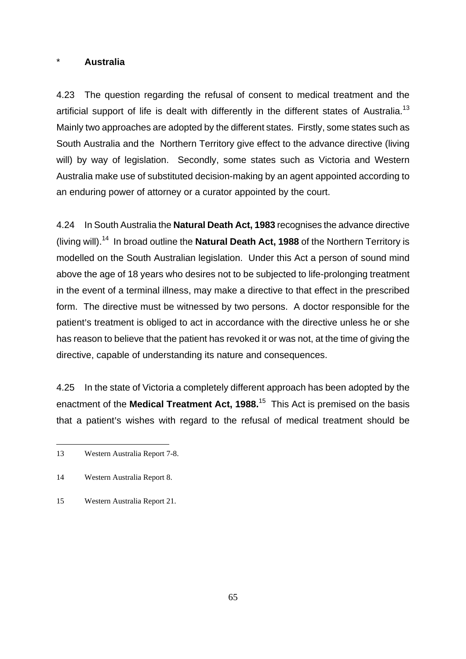## \* **Australia**

4.23 The question regarding the refusal of consent to medical treatment and the artificial support of life is dealt with differently in the different states of Australia.<sup>13</sup> Mainly two approaches are adopted by the different states. Firstly, some states such as South Australia and the Northern Territory give effect to the advance directive (living will) by way of legislation. Secondly, some states such as Victoria and Western Australia make use of substituted decision-making by an agent appointed according to an enduring power of attorney or a curator appointed by the court.

4.24 In South Australia the **Natural Death Act, 1983** recognises the advance directive (living will).14 In broad outline the **Natural Death Act, 1988** of the Northern Territory is modelled on the South Australian legislation. Under this Act a person of sound mind above the age of 18 years who desires not to be subjected to life-prolonging treatment in the event of a terminal illness, may make a directive to that effect in the prescribed form. The directive must be witnessed by two persons. A doctor responsible for the patient's treatment is obliged to act in accordance with the directive unless he or she has reason to believe that the patient has revoked it or was not, at the time of giving the directive, capable of understanding its nature and consequences.

4.25 In the state of Victoria a completely different approach has been adopted by the enactment of the **Medical Treatment Act, 1988.**15 This Act is premised on the basis that a patient's wishes with regard to the refusal of medical treatment should be

 $\overline{a}$ 13 Western Australia Report 7-8.

<sup>14</sup> Western Australia Report 8.

<sup>15</sup> Western Australia Report 21.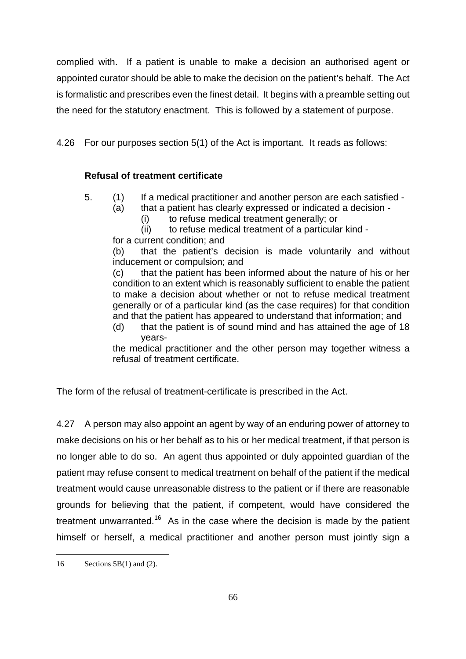complied with. If a patient is unable to make a decision an authorised agent or appointed curator should be able to make the decision on the patient's behalf. The Act is formalistic and prescribes even the finest detail. It begins with a preamble setting out the need for the statutory enactment. This is followed by a statement of purpose.

4.26 For our purposes section 5(1) of the Act is important. It reads as follows:

# **Refusal of treatment certificate**

- 5. (1) If a medical practitioner and another person are each satisfied
	- (a) that a patient has clearly expressed or indicated a decision
		- (i) to refuse medical treatment generally; or
		- (ii) to refuse medical treatment of a particular kind -
	- for a current condition; and

 $(b)$  that the patient's decision is made voluntarily and without inducement or compulsion; and

(c) that the patient has been informed about the nature of his or her condition to an extent which is reasonably sufficient to enable the patient to make a decision about whether or not to refuse medical treatment generally or of a particular kind (as the case requires) for that condition and that the patient has appeared to understand that information; and

(d) that the patient is of sound mind and has attained the age of 18 years-

the medical practitioner and the other person may together witness a refusal of treatment certificate.

The form of the refusal of treatment-certificate is prescribed in the Act.

4.27 A person may also appoint an agent by way of an enduring power of attorney to make decisions on his or her behalf as to his or her medical treatment, if that person is no longer able to do so. An agent thus appointed or duly appointed guardian of the patient may refuse consent to medical treatment on behalf of the patient if the medical treatment would cause unreasonable distress to the patient or if there are reasonable grounds for believing that the patient, if competent, would have considered the treatment unwarranted.<sup>16</sup> As in the case where the decision is made by the patient himself or herself, a medical practitioner and another person must jointly sign a

<sup>16</sup> Sections 5B(1) and (2).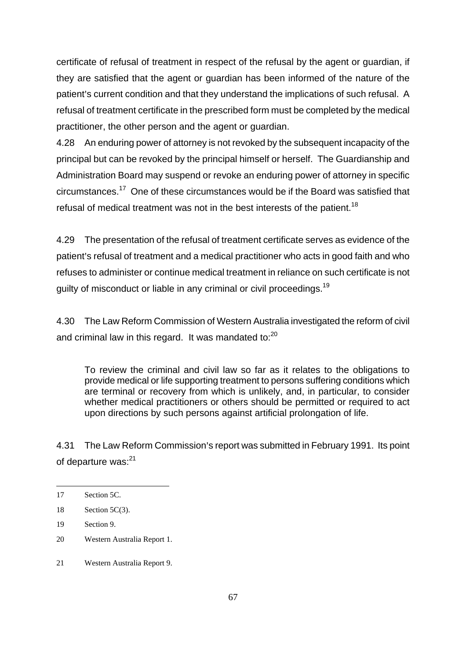certificate of refusal of treatment in respect of the refusal by the agent or guardian, if they are satisfied that the agent or guardian has been informed of the nature of the patient's current condition and that they understand the implications of such refusal. A refusal of treatment certificate in the prescribed form must be completed by the medical practitioner, the other person and the agent or guardian.

4.28 An enduring power of attorney is not revoked by the subsequent incapacity of the principal but can be revoked by the principal himself or herself. The Guardianship and Administration Board may suspend or revoke an enduring power of attorney in specific circumstances.17 One of these circumstances would be if the Board was satisfied that refusal of medical treatment was not in the best interests of the patient.<sup>18</sup>

4.29 The presentation of the refusal of treatment certificate serves as evidence of the patient's refusal of treatment and a medical practitioner who acts in good faith and who refuses to administer or continue medical treatment in reliance on such certificate is not guilty of misconduct or liable in any criminal or civil proceedings.<sup>19</sup>

4.30 The Law Reform Commission of Western Australia investigated the reform of civil and criminal law in this regard. It was mandated to:<sup>20</sup>

To review the criminal and civil law so far as it relates to the obligations to provide medical or life supporting treatment to persons suffering conditions which are terminal or recovery from which is unlikely, and, in particular, to consider whether medical practitioners or others should be permitted or required to act upon directions by such persons against artificial prolongation of life.

4.31 The Law Reform Commission's report was submitted in February 1991. Its point of departure was:<sup>21</sup>

<sup>17</sup> Section 5C.

<sup>18</sup> Section 5C(3).

<sup>19</sup> Section 9.

<sup>20</sup> Western Australia Report 1.

<sup>21</sup> Western Australia Report 9.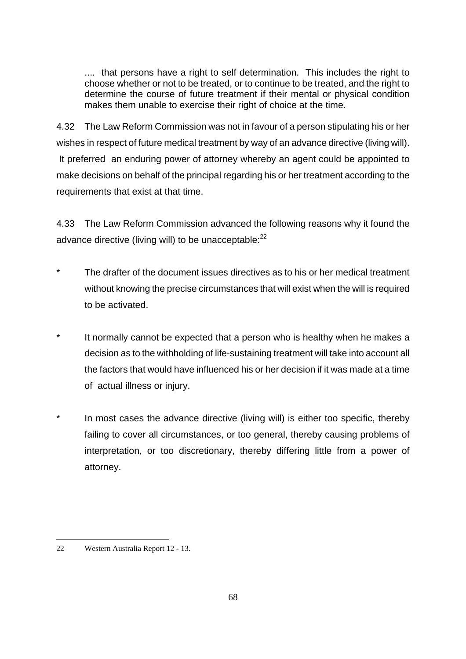.... that persons have a right to self determination. This includes the right to choose whether or not to be treated, or to continue to be treated, and the right to determine the course of future treatment if their mental or physical condition makes them unable to exercise their right of choice at the time.

4.32 The Law Reform Commission was not in favour of a person stipulating his or her wishes in respect of future medical treatment by way of an advance directive (living will). It preferred an enduring power of attorney whereby an agent could be appointed to make decisions on behalf of the principal regarding his or her treatment according to the requirements that exist at that time.

4.33 The Law Reform Commission advanced the following reasons why it found the advance directive (living will) to be unacceptable:<sup>22</sup>

- \* The drafter of the document issues directives as to his or her medical treatment without knowing the precise circumstances that will exist when the will is required to be activated.
- It normally cannot be expected that a person who is healthy when he makes a decision as to the withholding of life-sustaining treatment will take into account all the factors that would have influenced his or her decision if it was made at a time of actual illness or injury.
- \* In most cases the advance directive (living will) is either too specific, thereby failing to cover all circumstances, or too general, thereby causing problems of interpretation, or too discretionary, thereby differing little from a power of attorney.

 $\overline{a}$ 22 Western Australia Report 12 - 13.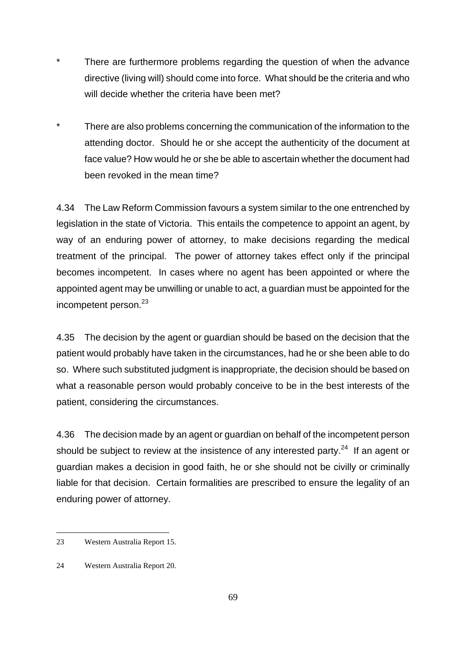- \* There are furthermore problems regarding the question of when the advance directive (living will) should come into force. What should be the criteria and who will decide whether the criteria have been met?
- There are also problems concerning the communication of the information to the attending doctor. Should he or she accept the authenticity of the document at face value? How would he or she be able to ascertain whether the document had been revoked in the mean time?

4.34 The Law Reform Commission favours a system similar to the one entrenched by legislation in the state of Victoria. This entails the competence to appoint an agent, by way of an enduring power of attorney, to make decisions regarding the medical treatment of the principal. The power of attorney takes effect only if the principal becomes incompetent. In cases where no agent has been appointed or where the appointed agent may be unwilling or unable to act, a guardian must be appointed for the incompetent person.<sup>23</sup>

4.35 The decision by the agent or guardian should be based on the decision that the patient would probably have taken in the circumstances, had he or she been able to do so. Where such substituted judgment is inappropriate, the decision should be based on what a reasonable person would probably conceive to be in the best interests of the patient, considering the circumstances.

4.36 The decision made by an agent or guardian on behalf of the incompetent person should be subject to review at the insistence of any interested party.<sup>24</sup> If an agent or guardian makes a decision in good faith, he or she should not be civilly or criminally liable for that decision. Certain formalities are prescribed to ensure the legality of an enduring power of attorney.

<sup>23</sup> Western Australia Report 15.

<sup>24</sup> Western Australia Report 20.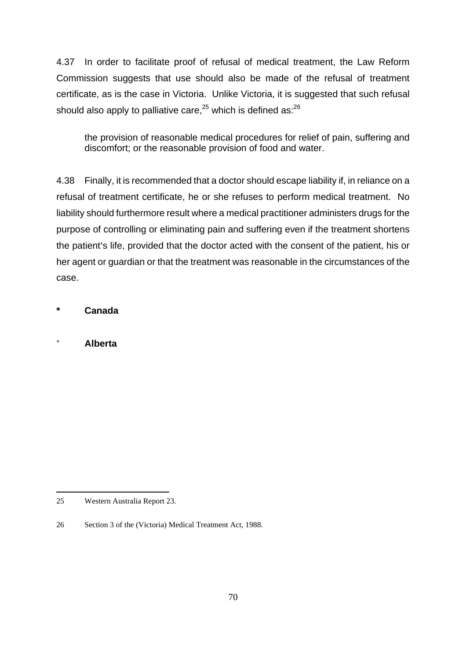4.37 In order to facilitate proof of refusal of medical treatment, the Law Reform Commission suggests that use should also be made of the refusal of treatment certificate, as is the case in Victoria. Unlike Victoria, it is suggested that such refusal should also apply to palliative care, $25$  which is defined as: $26$ 

the provision of reasonable medical procedures for relief of pain, suffering and discomfort; or the reasonable provision of food and water.

4.38 Finally, it is recommended that a doctor should escape liability if, in reliance on a refusal of treatment certificate, he or she refuses to perform medical treatment. No liability should furthermore result where a medical practitioner administers drugs for the purpose of controlling or eliminating pain and suffering even if the treatment shortens the patient's life, provided that the doctor acted with the consent of the patient, his or her agent or guardian or that the treatment was reasonable in the circumstances of the case.

- **\* Canada**
- ˚ **Alberta**

<sup>25</sup> Western Australia Report 23.

<sup>26</sup> Section 3 of the (Victoria) Medical Treatment Act, 1988.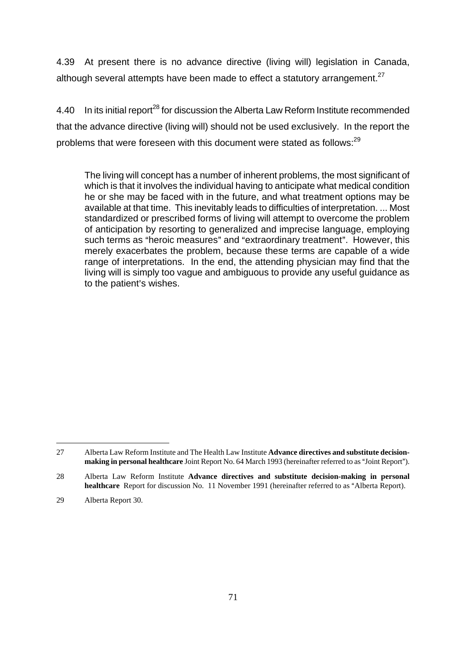4.39 At present there is no advance directive (living will) legislation in Canada, although several attempts have been made to effect a statutory arrangement.<sup>27</sup>

4.40 In its initial report<sup>28</sup> for discussion the Alberta Law Reform Institute recommended that the advance directive (living will) should not be used exclusively. In the report the problems that were foreseen with this document were stated as follows:<sup>29</sup>

The living will concept has a number of inherent problems, the most significant of which is that it involves the individual having to anticipate what medical condition he or she may be faced with in the future, and what treatment options may be available at that time. This inevitably leads to difficulties of interpretation. ... Most standardized or prescribed forms of living will attempt to overcome the problem of anticipation by resorting to generalized and imprecise language, employing such terms as "heroic measures" and "extraordinary treatment". However, this merely exacerbates the problem, because these terms are capable of a wide range of interpretations. In the end, the attending physician may find that the living will is simply too vague and ambiguous to provide any useful guidance as to the patient's wishes.

<sup>27</sup> Alberta Law Reform Institute and The Health Law Institute **Advance directives and substitute decisionmaking in personal healthcare** Joint Report No. 64 March 1993 (hereinafter referred to as "Joint Report").

<sup>28</sup> Alberta Law Reform Institute **Advance directives and substitute decision-making in personal healthcare** Report for discussion No. 11 November 1991 (hereinafter referred to as "Alberta Report).

<sup>29</sup> Alberta Report 30.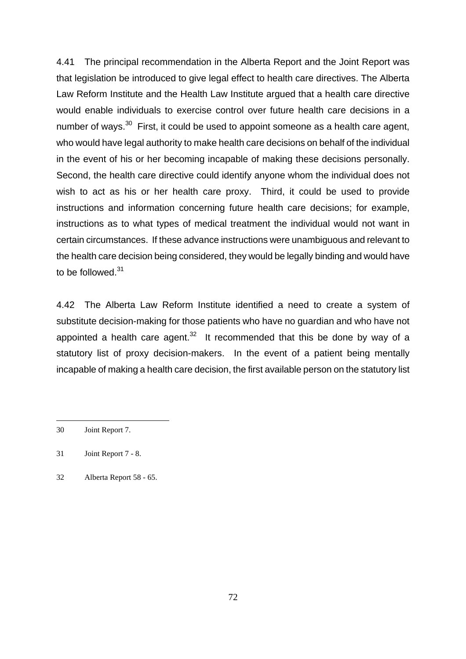4.41 The principal recommendation in the Alberta Report and the Joint Report was that legislation be introduced to give legal effect to health care directives. The Alberta Law Reform Institute and the Health Law Institute argued that a health care directive would enable individuals to exercise control over future health care decisions in a number of ways.<sup>30</sup> First, it could be used to appoint someone as a health care agent, who would have legal authority to make health care decisions on behalf of the individual in the event of his or her becoming incapable of making these decisions personally. Second, the health care directive could identify anyone whom the individual does not wish to act as his or her health care proxy. Third, it could be used to provide instructions and information concerning future health care decisions; for example, instructions as to what types of medical treatment the individual would not want in certain circumstances. If these advance instructions were unambiguous and relevant to the health care decision being considered, they would be legally binding and would have to be followed.<sup>31</sup>

4.42 The Alberta Law Reform Institute identified a need to create a system of substitute decision-making for those patients who have no guardian and who have not appointed a health care agent.<sup>32</sup> It recommended that this be done by way of a statutory list of proxy decision-makers. In the event of a patient being mentally incapable of making a health care decision, the first available person on the statutory list

<sup>30</sup> Joint Report 7.

<sup>31</sup> Joint Report 7 - 8.

<sup>32</sup> Alberta Report 58 - 65.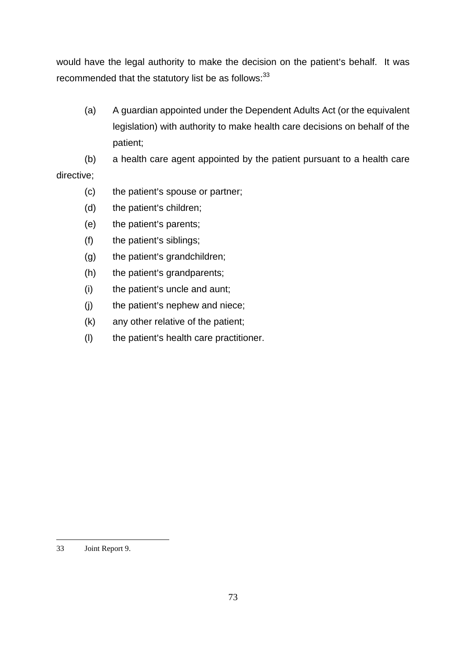would have the legal authority to make the decision on the patient's behalf. It was recommended that the statutory list be as follows: 33

(a) A guardian appointed under the Dependent Adults Act (or the equivalent legislation) with authority to make health care decisions on behalf of the patient;

(b) a health care agent appointed by the patient pursuant to a health care directive;

- (c) the patient's spouse or partner;
- $(d)$  the patient's children;
- $(e)$  the patient's parents;
- $(f)$  the patient's siblings;
- (g) the patient's grandchildren;
- $(h)$  the patient's grandparents;
- $(i)$  the patient's uncle and aunt;
- $(j)$  the patient's nephew and niece;
- (k) any other relative of the patient;
- $(l)$  the patient's health care practitioner.

<sup>33</sup> Joint Report 9.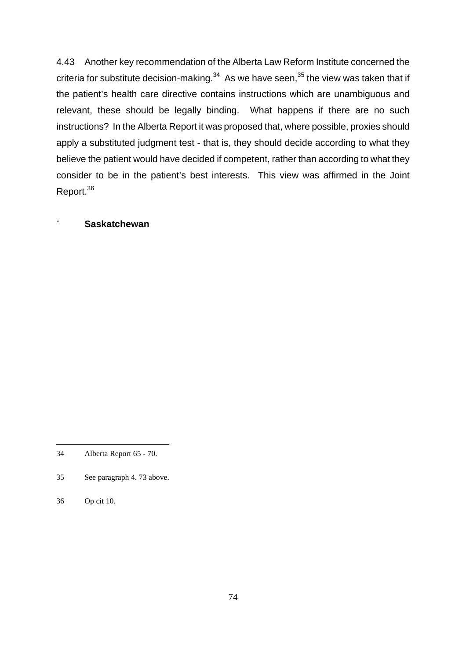4.43 Another key recommendation of the Alberta Law Reform Institute concerned the criteria for substitute decision-making. $34$  As we have seen,  $35$  the view was taken that if the patient's health care directive contains instructions which are unambiguous and relevant, these should be legally binding. What happens if there are no such instructions? In the Alberta Report it was proposed that, where possible, proxies should apply a substituted judgment test - that is, they should decide according to what they believe the patient would have decided if competent, rather than according to what they consider to be in the patient's best interests. This view was affirmed in the Joint Report.<sup>36</sup>

#### **Saskatchewan**

<sup>34</sup> Alberta Report 65 - 70.

<sup>35</sup> See paragraph 4. 73 above.

<sup>36</sup> Op cit 10.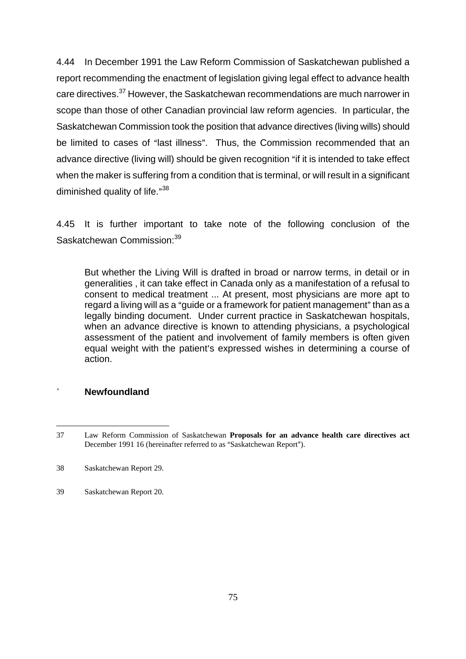4.44 In December 1991 the Law Reform Commission of Saskatchewan published a report recommending the enactment of legislation giving legal effect to advance health care directives.37 However, the Saskatchewan recommendations are much narrower in scope than those of other Canadian provincial law reform agencies. In particular, the Saskatchewan Commission took the position that advance directives (living wills) should be limited to cases of "last illness". Thus, the Commission recommended that an advance directive (living will) should be given recognition "if it is intended to take effect when the maker is suffering from a condition that is terminal, or will result in a significant diminished quality of life."<sup>38</sup>

4.45 It is further important to take note of the following conclusion of the Saskatchewan Commission: 39

But whether the Living Will is drafted in broad or narrow terms, in detail or in generalities , it can take effect in Canada only as a manifestation of a refusal to consent to medical treatment ... At present, most physicians are more apt to regard a living will as a "guide or a framework for patient management" than as a legally binding document. Under current practice in Saskatchewan hospitals, when an advance directive is known to attending physicians, a psychological assessment of the patient and involvement of family members is often given equal weight with the patient's expressed wishes in determining a course of action.

#### **Newfoundland**

<sup>37</sup> Law Reform Commission of Saskatchewan **Proposals for an advance health care directives act**  December 1991 16 (hereinafter referred to as "Saskatchewan Report").

<sup>38</sup> Saskatchewan Report 29.

<sup>39</sup> Saskatchewan Report 20.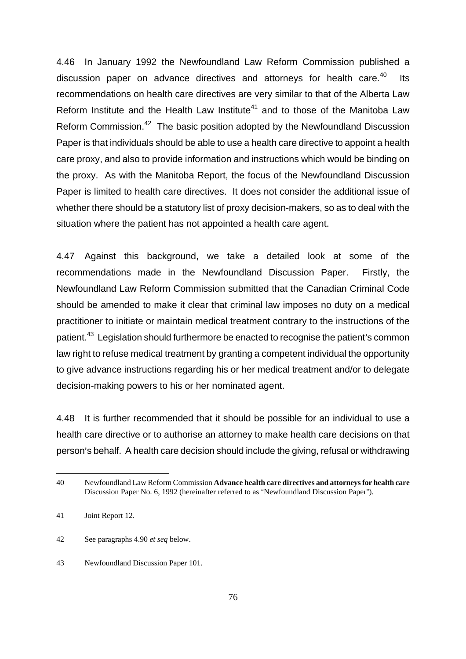4.46 In January 1992 the Newfoundland Law Reform Commission published a discussion paper on advance directives and attorneys for health care. $40$  Its recommendations on health care directives are very similar to that of the Alberta Law Reform Institute and the Health Law Institute<sup>41</sup> and to those of the Manitoba Law Reform Commission.<sup>42</sup> The basic position adopted by the Newfoundland Discussion Paper is that individuals should be able to use a health care directive to appoint a health care proxy, and also to provide information and instructions which would be binding on the proxy. As with the Manitoba Report, the focus of the Newfoundland Discussion Paper is limited to health care directives. It does not consider the additional issue of whether there should be a statutory list of proxy decision-makers, so as to deal with the situation where the patient has not appointed a health care agent.

4.47 Against this background, we take a detailed look at some of the recommendations made in the Newfoundland Discussion Paper. Firstly, the Newfoundland Law Reform Commission submitted that the Canadian Criminal Code should be amended to make it clear that criminal law imposes no duty on a medical practitioner to initiate or maintain medical treatment contrary to the instructions of the patient.<sup>43</sup> Legislation should furthermore be enacted to recognise the patient's common law right to refuse medical treatment by granting a competent individual the opportunity to give advance instructions regarding his or her medical treatment and/or to delegate decision-making powers to his or her nominated agent.

4.48 It is further recommended that it should be possible for an individual to use a health care directive or to authorise an attorney to make health care decisions on that person's behalf. A health care decision should include the giving, refusal or withdrawing

<sup>40</sup> Newfoundland Law Reform Commission **Advance health care directives and attorneys for health care**  Discussion Paper No. 6, 1992 (hereinafter referred to as "Newfoundland Discussion Paper").

<sup>41</sup> Joint Report 12.

<sup>42</sup> See paragraphs 4.90 *et seq* below.

<sup>43</sup> Newfoundland Discussion Paper 101.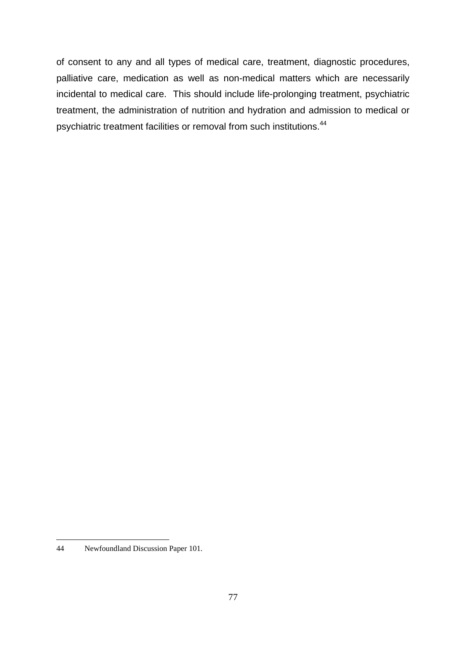of consent to any and all types of medical care, treatment, diagnostic procedures, palliative care, medication as well as non-medical matters which are necessarily incidental to medical care. This should include life-prolonging treatment, psychiatric treatment, the administration of nutrition and hydration and admission to medical or psychiatric treatment facilities or removal from such institutions.<sup>44</sup>

 $\overline{a}$ 44 Newfoundland Discussion Paper 101.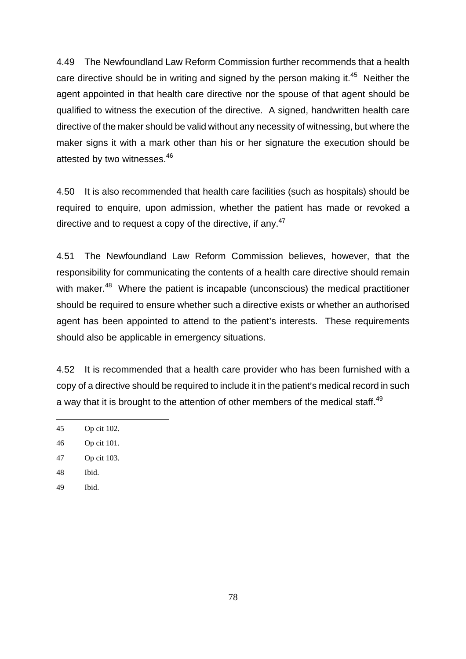4.49 The Newfoundland Law Reform Commission further recommends that a health care directive should be in writing and signed by the person making it.<sup>45</sup> Neither the agent appointed in that health care directive nor the spouse of that agent should be qualified to witness the execution of the directive. A signed, handwritten health care directive of the maker should be valid without any necessity of witnessing, but where the maker signs it with a mark other than his or her signature the execution should be attested by two witnesses.<sup>46</sup>

4.50 It is also recommended that health care facilities (such as hospitals) should be required to enquire, upon admission, whether the patient has made or revoked a directive and to request a copy of the directive, if any. $47$ 

4.51 The Newfoundland Law Reform Commission believes, however, that the responsibility for communicating the contents of a health care directive should remain with maker.<sup>48</sup> Where the patient is incapable (unconscious) the medical practitioner should be required to ensure whether such a directive exists or whether an authorised agent has been appointed to attend to the patient's interests. These requirements should also be applicable in emergency situations.

4.52 It is recommended that a health care provider who has been furnished with a copy of a directive should be required to include it in the patient's medical record in such a way that it is brought to the attention of other members of the medical staff.<sup>49</sup>

48 Ibid.

 $\overline{a}$ 

49 Ibid.

<sup>45</sup> Op cit 102.

<sup>46</sup> Op cit 101.

<sup>47</sup> Op cit 103.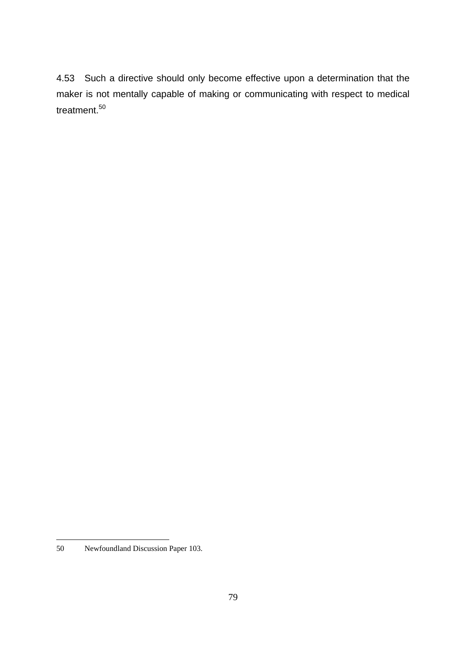4.53 Such a directive should only become effective upon a determination that the maker is not mentally capable of making or communicating with respect to medical treatment.<sup>50</sup>

 $\overline{a}$ 50 Newfoundland Discussion Paper 103.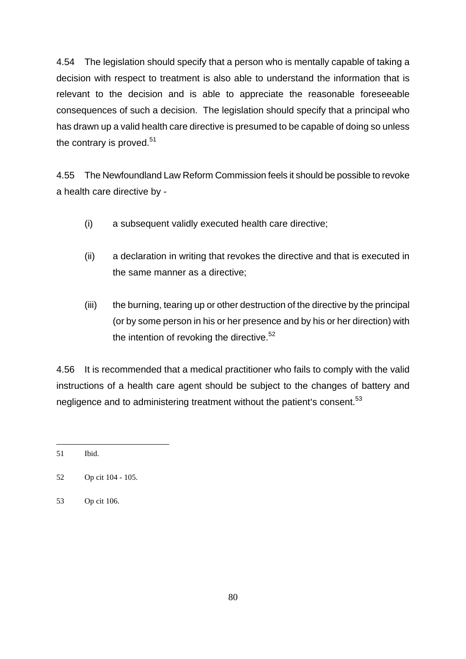4.54 The legislation should specify that a person who is mentally capable of taking a decision with respect to treatment is also able to understand the information that is relevant to the decision and is able to appreciate the reasonable foreseeable consequences of such a decision. The legislation should specify that a principal who has drawn up a valid health care directive is presumed to be capable of doing so unless the contrary is proved. $51$ 

4.55 The Newfoundland Law Reform Commission feels it should be possible to revoke a health care directive by -

- (i) a subsequent validly executed health care directive;
- (ii) a declaration in writing that revokes the directive and that is executed in the same manner as a directive;
- (iii) the burning, tearing up or other destruction of the directive by the principal (or by some person in his or her presence and by his or her direction) with the intention of revoking the directive. $52$

4.56 It is recommended that a medical practitioner who fails to comply with the valid instructions of a health care agent should be subject to the changes of battery and negligence and to administering treatment without the patient's consent.<sup>53</sup>

 $\overline{a}$ 51 Ibid.

<sup>52</sup> Op cit 104 - 105.

<sup>53</sup> Op cit 106.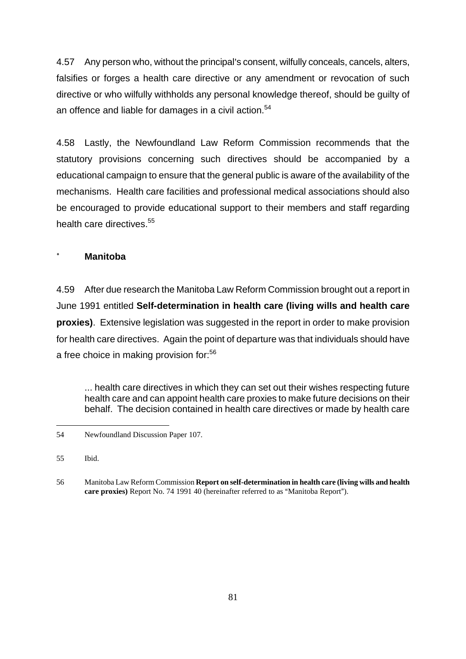4.57 Any person who, without the principal's consent, wilfully conceals, cancels, alters, falsifies or forges a health care directive or any amendment or revocation of such directive or who wilfully withholds any personal knowledge thereof, should be guilty of an offence and liable for damages in a civil action.<sup>54</sup>

4.58 Lastly, the Newfoundland Law Reform Commission recommends that the statutory provisions concerning such directives should be accompanied by a educational campaign to ensure that the general public is aware of the availability of the mechanisms. Health care facilities and professional medical associations should also be encouraged to provide educational support to their members and staff regarding health care directives.<sup>55</sup>

## **Manitoba**

4.59 After due research the Manitoba Law Reform Commission brought out a report in June 1991 entitled **Self-determination in health care (living wills and health care proxies)**. Extensive legislation was suggested in the report in order to make provision for health care directives. Again the point of departure was that individuals should have a free choice in making provision for:<sup>56</sup>

... health care directives in which they can set out their wishes respecting future health care and can appoint health care proxies to make future decisions on their behalf. The decision contained in health care directives or made by health care

 $\overline{a}$ 54 Newfoundland Discussion Paper 107.

<sup>55</sup> Ibid.

<sup>56</sup> Manitoba Law Reform Commission **Report on self-determination in health care (living wills and health care proxies)** Report No. 74 1991 40 (hereinafter referred to as "Manitoba Report").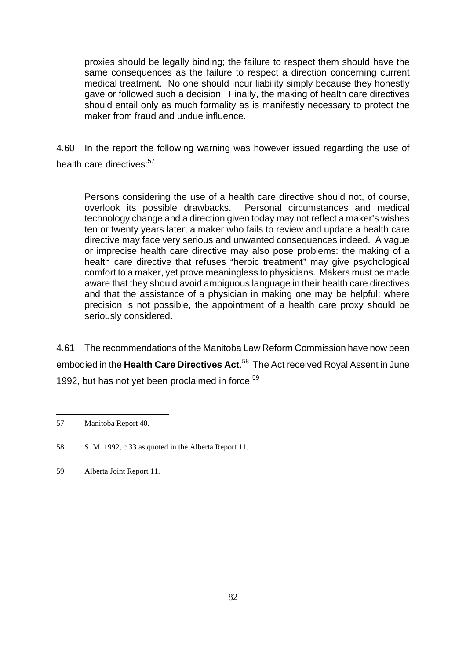proxies should be legally binding; the failure to respect them should have the same consequences as the failure to respect a direction concerning current medical treatment. No one should incur liability simply because they honestly gave or followed such a decision. Finally, the making of health care directives should entail only as much formality as is manifestly necessary to protect the maker from fraud and undue influence.

4.60 In the report the following warning was however issued regarding the use of health care directives:<sup>57</sup>

Persons considering the use of a health care directive should not, of course, overlook its possible drawbacks. Personal circumstances and medical technology change and a direction given today may not reflect a maker's wishes ten or twenty years later; a maker who fails to review and update a health care directive may face very serious and unwanted consequences indeed. A vague or imprecise health care directive may also pose problems: the making of a health care directive that refuses "heroic treatment" may give psychological comfort to a maker, yet prove meaningless to physicians. Makers must be made aware that they should avoid ambiguous language in their health care directives and that the assistance of a physician in making one may be helpful; where precision is not possible, the appointment of a health care proxy should be seriously considered.

4.61 The recommendations of the Manitoba Law Reform Commission have now been embodied in the **Health Care Directives Act**. 58 The Act received Royal Assent in June 1992, but has not yet been proclaimed in force.<sup>59</sup>

 $\overline{a}$ 57 Manitoba Report 40.

<sup>58</sup> S. M. 1992, c 33 as quoted in the Alberta Report 11.

<sup>59</sup> Alberta Joint Report 11.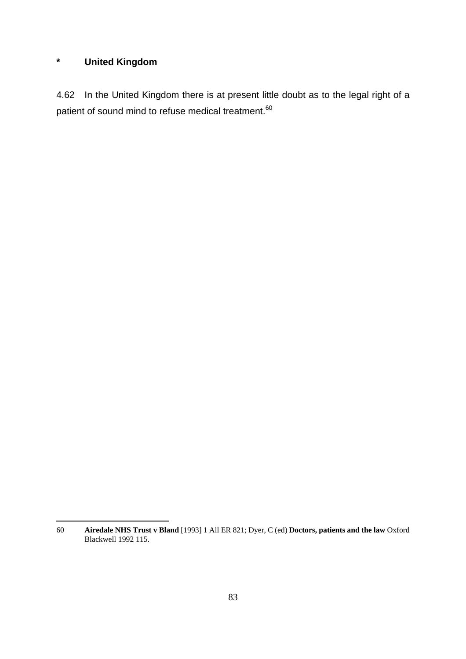# **\* United Kingdom**

 $\overline{a}$ 

4.62 In the United Kingdom there is at present little doubt as to the legal right of a patient of sound mind to refuse medical treatment.<sup>60</sup>

<sup>60</sup> **Airedale NHS Trust v Bland** [1993] 1 All ER 821; Dyer, C (ed) **Doctors, patients and the law** Oxford Blackwell 1992 115.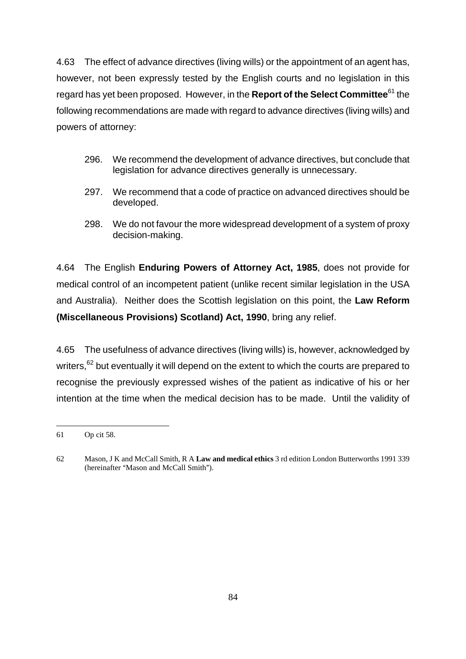4.63 The effect of advance directives (living wills) or the appointment of an agent has, however, not been expressly tested by the English courts and no legislation in this regard has yet been proposed. However, in the **Report of the Select Committee**61 the following recommendations are made with regard to advance directives (living wills) and powers of attorney:

- 296. We recommend the development of advance directives, but conclude that legislation for advance directives generally is unnecessary.
- 297. We recommend that a code of practice on advanced directives should be developed.
- 298. We do not favour the more widespread development of a system of proxy decision-making.

4.64 The English **Enduring Powers of Attorney Act, 1985**, does not provide for medical control of an incompetent patient (unlike recent similar legislation in the USA and Australia). Neither does the Scottish legislation on this point, the **Law Reform (Miscellaneous Provisions) Scotland) Act, 1990**, bring any relief.

4.65 The usefulness of advance directives (living wills) is, however, acknowledged by writers,<sup>62</sup> but eventually it will depend on the extent to which the courts are prepared to recognise the previously expressed wishes of the patient as indicative of his or her intention at the time when the medical decision has to be made. Until the validity of

<sup>61</sup> Op cit 58.

<sup>62</sup> Mason, J K and McCall Smith, R A **Law and medical ethics** 3 rd edition London Butterworths 1991 339 (hereinafter "Mason and McCall Smith").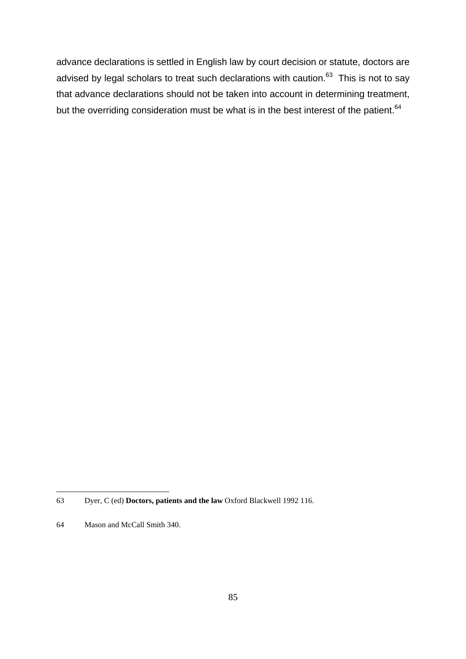advance declarations is settled in English law by court decision or statute, doctors are advised by legal scholars to treat such declarations with caution. $^{63}$  This is not to say that advance declarations should not be taken into account in determining treatment, but the overriding consideration must be what is in the best interest of the patient.<sup>64</sup>

<sup>63</sup> Dyer, C (ed) **Doctors, patients and the law** Oxford Blackwell 1992 116.

<sup>64</sup> Mason and McCall Smith 340.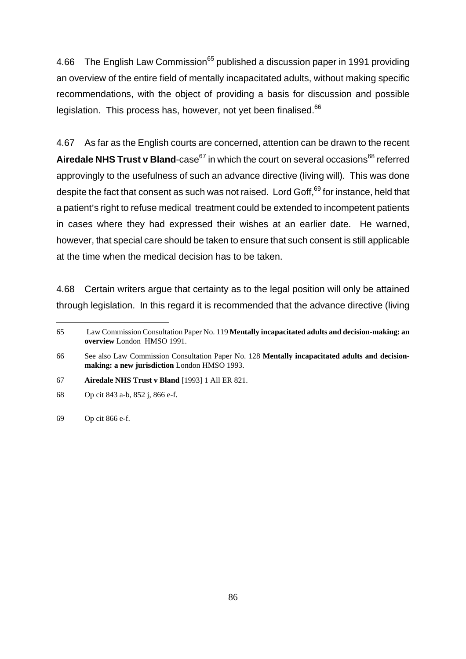4.66 The English Law Commission<sup>65</sup> published a discussion paper in 1991 providing an overview of the entire field of mentally incapacitated adults, without making specific recommendations, with the object of providing a basis for discussion and possible legislation. This process has, however, not yet been finalised.<sup>66</sup>

4.67 As far as the English courts are concerned, attention can be drawn to the recent Airedale NHS Trust v Bland-case<sup>67</sup> in which the court on several occasions<sup>68</sup> referred approvingly to the usefulness of such an advance directive (living will). This was done despite the fact that consent as such was not raised. Lord Goff.<sup>69</sup> for instance. held that a patient's right to refuse medical treatment could be extended to incompetent patients in cases where they had expressed their wishes at an earlier date. He warned, however, that special care should be taken to ensure that such consent is still applicable at the time when the medical decision has to be taken.

4.68 Certain writers argue that certainty as to the legal position will only be attained through legislation. In this regard it is recommended that the advance directive (living

<sup>65</sup> Law Commission Consultation Paper No. 119 **Mentally incapacitated adults and decision-making: an overview** London HMSO 1991.

<sup>66</sup> See also Law Commission Consultation Paper No. 128 **Mentally incapacitated adults and decisionmaking: a new jurisdiction** London HMSO 1993.

<sup>67</sup> **Airedale NHS Trust v Bland** [1993] 1 All ER 821.

<sup>68</sup> Op cit 843 a-b, 852 j, 866 e-f.

<sup>69</sup> Op cit 866 e-f.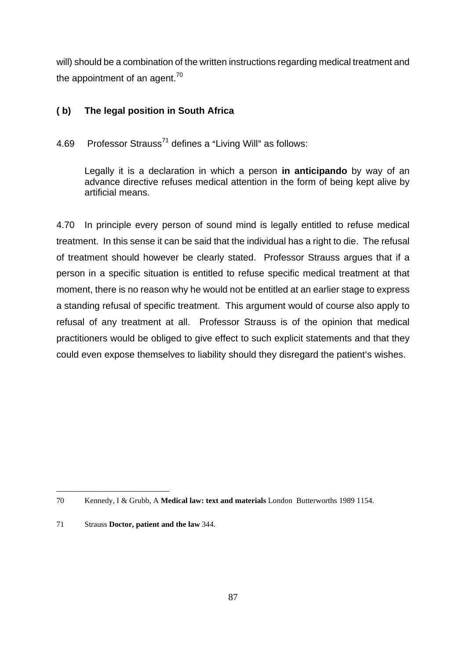will) should be a combination of the written instructions regarding medical treatment and the appointment of an agent.<sup>70</sup>

## **( b) The legal position in South Africa**

4.69 Professor Strauss<sup>71</sup> defines a "Living Will" as follows:

Legally it is a declaration in which a person **in anticipando** by way of an advance directive refuses medical attention in the form of being kept alive by artificial means.

4.70 In principle every person of sound mind is legally entitled to refuse medical treatment. In this sense it can be said that the individual has a right to die. The refusal of treatment should however be clearly stated. Professor Strauss argues that if a person in a specific situation is entitled to refuse specific medical treatment at that moment, there is no reason why he would not be entitled at an earlier stage to express a standing refusal of specific treatment. This argument would of course also apply to refusal of any treatment at all. Professor Strauss is of the opinion that medical practitioners would be obliged to give effect to such explicit statements and that they could even expose themselves to liability should they disregard the patient's wishes.

 $\overline{a}$ 70 Kennedy, I & Grubb, A **Medical law: text and materials** London Butterworths 1989 1154.

<sup>71</sup> Strauss **Doctor, patient and the law** 344.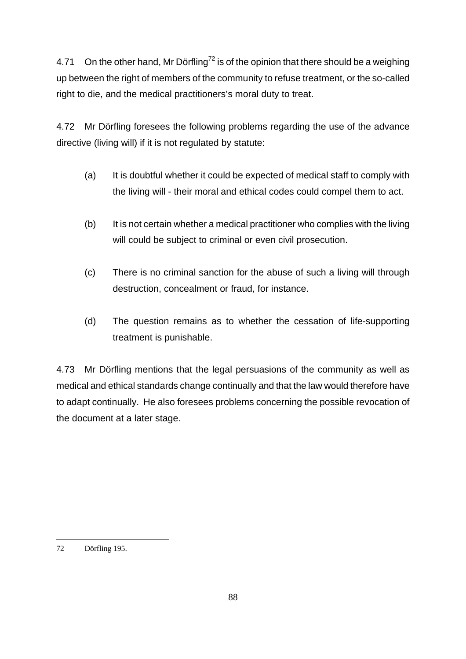4.71 On the other hand, Mr Dörfling<sup>72</sup> is of the opinion that there should be a weighing up between the right of members of the community to refuse treatment, or the so-called right to die, and the medical practitioners's moral duty to treat.

4.72 Mr Dörfling foresees the following problems regarding the use of the advance directive (living will) if it is not regulated by statute:

- (a) It is doubtful whether it could be expected of medical staff to comply with the living will - their moral and ethical codes could compel them to act.
- (b) It is not certain whether a medical practitioner who complies with the living will could be subject to criminal or even civil prosecution.
- (c) There is no criminal sanction for the abuse of such a living will through destruction, concealment or fraud, for instance.
- (d) The question remains as to whether the cessation of life-supporting treatment is punishable.

4.73 Mr Dörfling mentions that the legal persuasions of the community as well as medical and ethical standards change continually and that the law would therefore have to adapt continually. He also foresees problems concerning the possible revocation of the document at a later stage.

<sup>72</sup> Dörfling 195.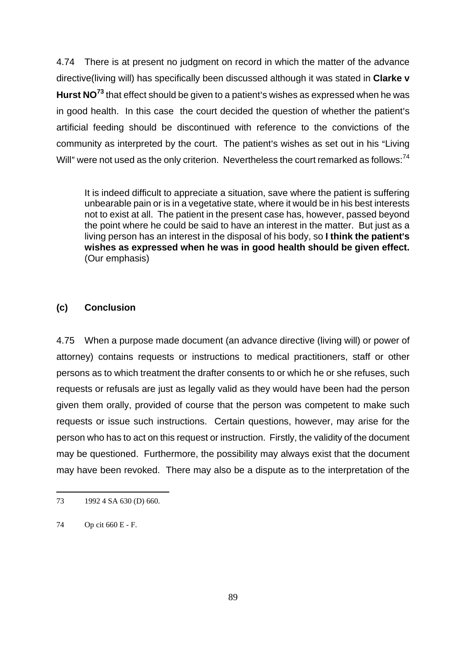4.74 There is at present no judgment on record in which the matter of the advance directive(living will) has specifically been discussed although it was stated in **Clarke v Hurst NO**<sup>73</sup> that effect should be given to a patient's wishes as expressed when he was in good health. In this case the court decided the question of whether the patient's artificial feeding should be discontinued with reference to the convictions of the community as interpreted by the court. The patient's wishes as set out in his "Living" Will" were not used as the only criterion. Nevertheless the court remarked as follows:<sup>74</sup>

It is indeed difficult to appreciate a situation, save where the patient is suffering unbearable pain or is in a vegetative state, where it would be in his best interests not to exist at all. The patient in the present case has, however, passed beyond the point where he could be said to have an interest in the matter. But just as a living person has an interest in the disposal of his body, so **I think the patient's wishes as expressed when he was in good health should be given effect.** (Our emphasis)

## **(c) Conclusion**

4.75 When a purpose made document (an advance directive (living will) or power of attorney) contains requests or instructions to medical practitioners, staff or other persons as to which treatment the drafter consents to or which he or she refuses, such requests or refusals are just as legally valid as they would have been had the person given them orally, provided of course that the person was competent to make such requests or issue such instructions. Certain questions, however, may arise for the person who has to act on this request or instruction. Firstly, the validity of the document may be questioned. Furthermore, the possibility may always exist that the document may have been revoked. There may also be a dispute as to the interpretation of the

<sup>73 1992 4</sup> SA 630 (D) 660.

<sup>74</sup> Op cit 660 E - F.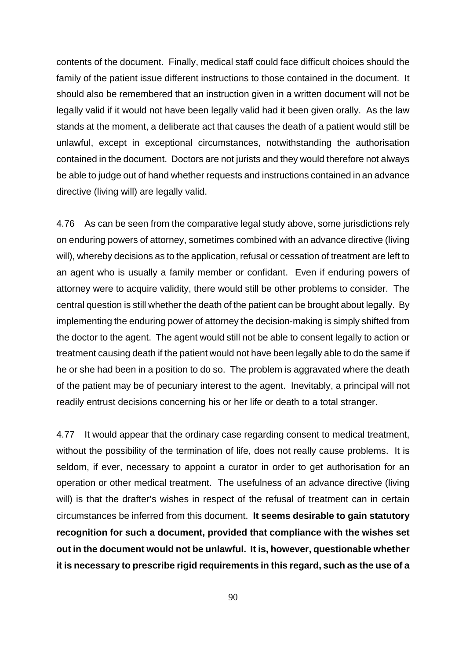contents of the document. Finally, medical staff could face difficult choices should the family of the patient issue different instructions to those contained in the document. It should also be remembered that an instruction given in a written document will not be legally valid if it would not have been legally valid had it been given orally. As the law stands at the moment, a deliberate act that causes the death of a patient would still be unlawful, except in exceptional circumstances, notwithstanding the authorisation contained in the document. Doctors are not jurists and they would therefore not always be able to judge out of hand whether requests and instructions contained in an advance directive (living will) are legally valid.

4.76 As can be seen from the comparative legal study above, some jurisdictions rely on enduring powers of attorney, sometimes combined with an advance directive (living will), whereby decisions as to the application, refusal or cessation of treatment are left to an agent who is usually a family member or confidant. Even if enduring powers of attorney were to acquire validity, there would still be other problems to consider. The central question is still whether the death of the patient can be brought about legally. By implementing the enduring power of attorney the decision-making is simply shifted from the doctor to the agent. The agent would still not be able to consent legally to action or treatment causing death if the patient would not have been legally able to do the same if he or she had been in a position to do so. The problem is aggravated where the death of the patient may be of pecuniary interest to the agent. Inevitably, a principal will not readily entrust decisions concerning his or her life or death to a total stranger.

4.77 It would appear that the ordinary case regarding consent to medical treatment, without the possibility of the termination of life, does not really cause problems. It is seldom, if ever, necessary to appoint a curator in order to get authorisation for an operation or other medical treatment. The usefulness of an advance directive (living will) is that the drafter's wishes in respect of the refusal of treatment can in certain circumstances be inferred from this document. **It seems desirable to gain statutory recognition for such a document, provided that compliance with the wishes set out in the document would not be unlawful. It is, however, questionable whether it is necessary to prescribe rigid requirements in this regard, such as the use of a**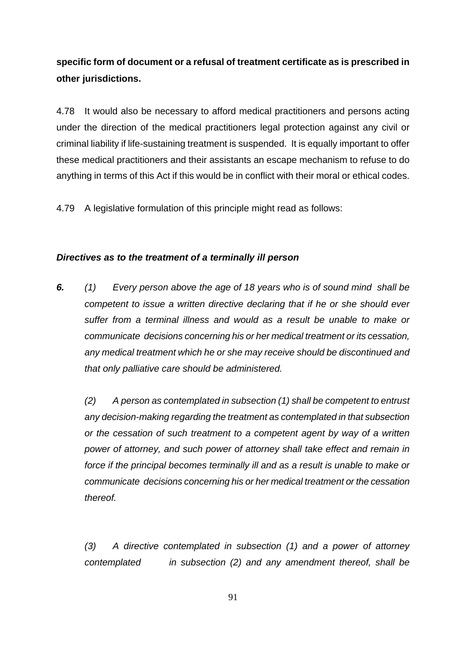# **specific form of document or a refusal of treatment certificate as is prescribed in other jurisdictions.**

4.78 It would also be necessary to afford medical practitioners and persons acting under the direction of the medical practitioners legal protection against any civil or criminal liability if life-sustaining treatment is suspended. It is equally important to offer these medical practitioners and their assistants an escape mechanism to refuse to do anything in terms of this Act if this would be in conflict with their moral or ethical codes.

4.79 A legislative formulation of this principle might read as follows:

#### *Directives as to the treatment of a terminally ill person*

*6. (1) Every person above the age of 18 years who is of sound mind shall be competent to issue a written directive declaring that if he or she should ever suffer from a terminal illness and would as a result be unable to make or communicate decisions concerning his or her medical treatment or its cessation, any medical treatment which he or she may receive should be discontinued and that only palliative care should be administered.* 

*(2) A person as contemplated in subsection (1) shall be competent to entrust any decision-making regarding the treatment as contemplated in that subsection or the cessation of such treatment to a competent agent by way of a written power of attorney, and such power of attorney shall take effect and remain in force if the principal becomes terminally ill and as a result is unable to make or communicate decisions concerning his or her medical treatment or the cessation thereof.* 

*(3) A directive contemplated in subsection (1) and a power of attorney contemplated in subsection (2) and any amendment thereof, shall be*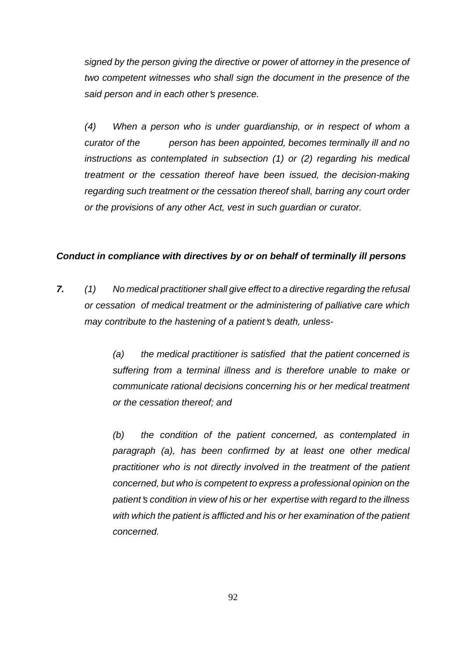*signed by the person giving the directive or power of attorney in the presence of two competent witnesses who shall sign the document in the presence of the said person and in each other*=*s presence.* 

*(4) When a person who is under guardianship, or in respect of whom a curator of the person has been appointed, becomes terminally ill and no instructions as contemplated in subsection (1) or (2) regarding his medical treatment or the cessation thereof have been issued, the decision-making regarding such treatment or the cessation thereof shall, barring any court order or the provisions of any other Act, vest in such guardian or curator.* 

### *Conduct in compliance with directives by or on behalf of terminally ill persons*

*7. (1) No medical practitioner shall give effect to a directive regarding the refusal or cessation of medical treatment or the administering of palliative care which may contribute to the hastening of a patient's death, unless-*

> *(a) the medical practitioner is satisfied that the patient concerned is suffering from a terminal illness and is therefore unable to make or communicate rational decisions concerning his or her medical treatment or the cessation thereof; and*

> *(b) the condition of the patient concerned, as contemplated in paragraph (a), has been confirmed by at least one other medical practitioner who is not directly involved in the treatment of the patient concerned, but who is competent to express a professional opinion on the patient's condition in view of his or her expertise with regard to the illness with which the patient is afflicted and his or her examination of the patient concerned.*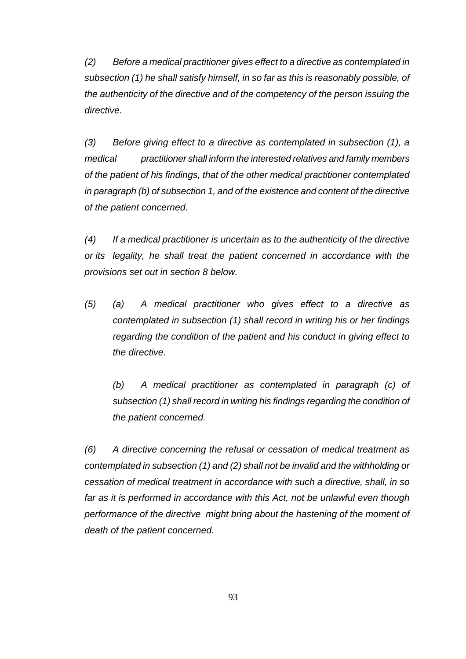*(2) Before a medical practitioner gives effect to a directive as contemplated in subsection (1) he shall satisfy himself, in so far as this is reasonably possible, of the authenticity of the directive and of the competency of the person issuing the directive.* 

*(3) Before giving effect to a directive as contemplated in subsection (1), a medical practitioner shall inform the interested relatives and family members of the patient of his findings, that of the other medical practitioner contemplated in paragraph (b) of subsection 1, and of the existence and content of the directive of the patient concerned.* 

*(4) If a medical practitioner is uncertain as to the authenticity of the directive or its legality, he shall treat the patient concerned in accordance with the provisions set out in section 8 below.* 

*(5) (a) A medical practitioner who gives effect to a directive as contemplated in subsection (1) shall record in writing his or her findings regarding the condition of the patient and his conduct in giving effect to the directive.* 

*(b) A medical practitioner as contemplated in paragraph (c) of subsection (1) shall record in writing his findings regarding the condition of the patient concerned.* 

*(6) A directive concerning the refusal or cessation of medical treatment as contemplated in subsection (1) and (2) shall not be invalid and the withholding or cessation of medical treatment in accordance with such a directive, shall, in so*  far as it is performed in accordance with this Act, not be unlawful even though *performance of the directive might bring about the hastening of the moment of death of the patient concerned.*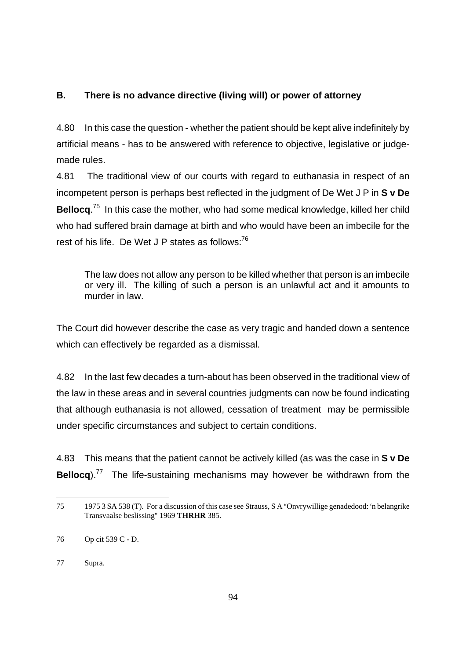# **B. There is no advance directive (living will) or power of attorney**

4.80 In this case the question - whether the patient should be kept alive indefinitely by artificial means - has to be answered with reference to objective, legislative or judgemade rules.

4.81 The traditional view of our courts with regard to euthanasia in respect of an incompetent person is perhaps best reflected in the judgment of De Wet J P in **S v De Bellocq**. 75 In this case the mother, who had some medical knowledge, killed her child who had suffered brain damage at birth and who would have been an imbecile for the rest of his life. De Wet J P states as follows: $^{76}$ 

The law does not allow any person to be killed whether that person is an imbecile or very ill. The killing of such a person is an unlawful act and it amounts to murder in law.

The Court did however describe the case as very tragic and handed down a sentence which can effectively be regarded as a dismissal.

4.82 In the last few decades a turn-about has been observed in the traditional view of the law in these areas and in several countries judgments can now be found indicating that although euthanasia is not allowed, cessation of treatment may be permissible under specific circumstances and subject to certain conditions.

4.83 This means that the patient cannot be actively killed (as was the case in **S v De Bellocg**).<sup>77</sup> The life-sustaining mechanisms may however be withdrawn from the

<sup>75 1975 3</sup> SA 538 (T). For a discussion of this case see Strauss, S A "Onvrywillige genadedood: 'n belangrike Transvaalse beslissing" 1969 THRHR 385.

<sup>76</sup> Op cit 539 C - D.

<sup>77</sup> Supra.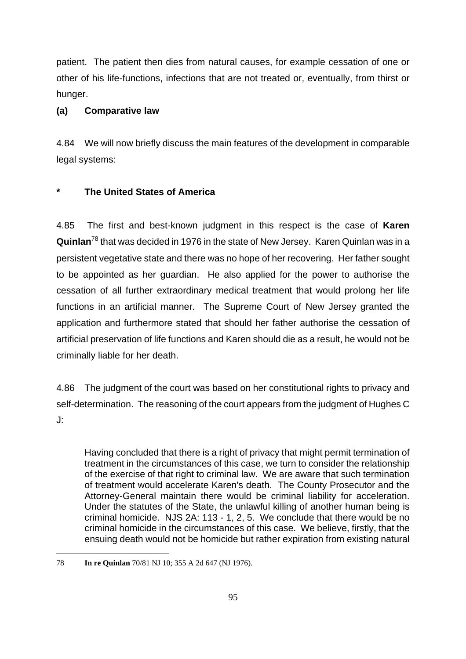patient. The patient then dies from natural causes, for example cessation of one or other of his life-functions, infections that are not treated or, eventually, from thirst or hunger.

# **(a) Comparative law**

4.84 We will now briefly discuss the main features of the development in comparable legal systems:

# **The United States of America**

4.85 The first and best-known judgment in this respect is the case of **Karen Quinlan**78 that was decided in 1976 in the state of New Jersey. Karen Quinlan was in a persistent vegetative state and there was no hope of her recovering. Her father sought to be appointed as her guardian. He also applied for the power to authorise the cessation of all further extraordinary medical treatment that would prolong her life functions in an artificial manner. The Supreme Court of New Jersey granted the application and furthermore stated that should her father authorise the cessation of artificial preservation of life functions and Karen should die as a result, he would not be criminally liable for her death.

4.86 The judgment of the court was based on her constitutional rights to privacy and self-determination. The reasoning of the court appears from the judgment of Hughes C J:

Having concluded that there is a right of privacy that might permit termination of treatment in the circumstances of this case, we turn to consider the relationship of the exercise of that right to criminal law. We are aware that such termination of treatment would accelerate Karen's death. The County Prosecutor and the Attorney-General maintain there would be criminal liability for acceleration. Under the statutes of the State, the unlawful killing of another human being is criminal homicide. NJS 2A: 113 - 1, 2, 5. We conclude that there would be no criminal homicide in the circumstances of this case. We believe, firstly, that the ensuing death would not be homicide but rather expiration from existing natural

<sup>78</sup> **In re Quinlan** 70/81 NJ 10; 355 A 2d 647 (NJ 1976).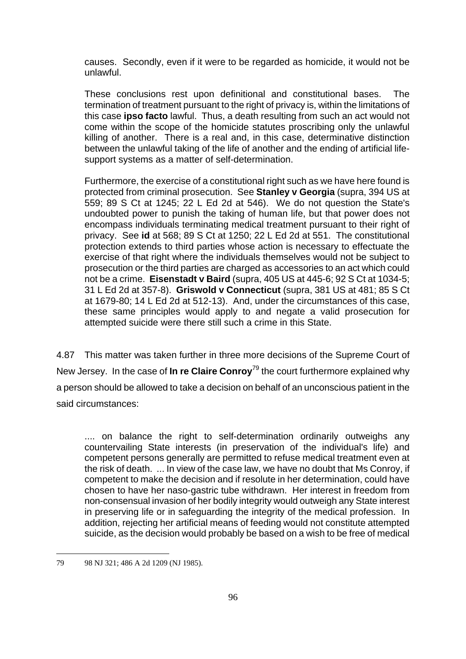causes. Secondly, even if it were to be regarded as homicide, it would not be unlawful.

These conclusions rest upon definitional and constitutional bases. The termination of treatment pursuant to the right of privacy is, within the limitations of this case **ipso facto** lawful. Thus, a death resulting from such an act would not come within the scope of the homicide statutes proscribing only the unlawful killing of another. There is a real and, in this case, determinative distinction between the unlawful taking of the life of another and the ending of artificial lifesupport systems as a matter of self-determination.

Furthermore, the exercise of a constitutional right such as we have here found is protected from criminal prosecution. See **Stanley v Georgia** (supra, 394 US at 559; 89 S Ct at 1245; 22 L Ed 2d at 546). We do not question the State's undoubted power to punish the taking of human life, but that power does not encompass individuals terminating medical treatment pursuant to their right of privacy. See **id** at 568; 89 S Ct at 1250; 22 L Ed 2d at 551. The constitutional protection extends to third parties whose action is necessary to effectuate the exercise of that right where the individuals themselves would not be subject to prosecution or the third parties are charged as accessories to an act which could not be a crime. **Eisenstadt v Baird** (supra, 405 US at 445-6; 92 S Ct at 1034-5; 31 L Ed 2d at 357-8). **Griswold v Connecticut** (supra, 381 US at 481; 85 S Ct at 1679-80; 14 L Ed 2d at 512-13). And, under the circumstances of this case, these same principles would apply to and negate a valid prosecution for attempted suicide were there still such a crime in this State.

4.87 This matter was taken further in three more decisions of the Supreme Court of New Jersey. In the case of **In re Claire Conroy**79 the court furthermore explained why a person should be allowed to take a decision on behalf of an unconscious patient in the said circumstances:

.... on balance the right to self-determination ordinarily outweighs any countervailing State interests (in preservation of the individual's life) and competent persons generally are permitted to refuse medical treatment even at the risk of death. ... In view of the case law, we have no doubt that Ms Conroy, if competent to make the decision and if resolute in her determination, could have chosen to have her naso-gastric tube withdrawn. Her interest in freedom from non-consensual invasion of her bodily integrity would outweigh any State interest in preserving life or in safeguarding the integrity of the medical profession. In addition, rejecting her artificial means of feeding would not constitute attempted suicide, as the decision would probably be based on a wish to be free of medical

<sup>79 98</sup> NJ 321; 486 A 2d 1209 (NJ 1985).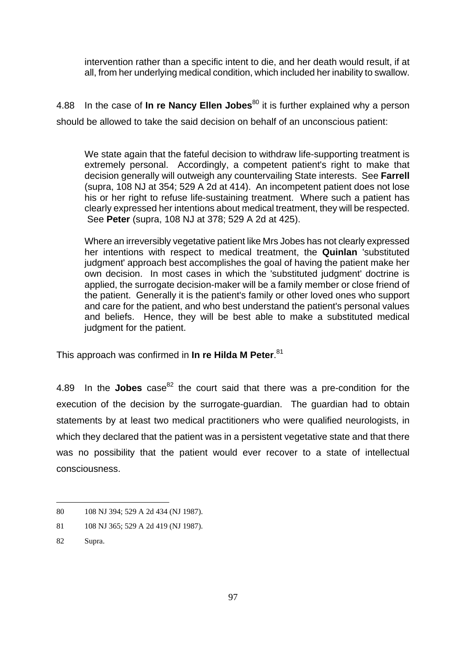intervention rather than a specific intent to die, and her death would result, if at all, from her underlying medical condition, which included her inability to swallow.

4.88 In the case of **In re Nancy Ellen Jobes**80 it is further explained why a person should be allowed to take the said decision on behalf of an unconscious patient:

We state again that the fateful decision to withdraw life-supporting treatment is extremely personal. Accordingly, a competent patient's right to make that decision generally will outweigh any countervailing State interests. See **Farrell** (supra, 108 NJ at 354; 529 A 2d at 414). An incompetent patient does not lose his or her right to refuse life-sustaining treatment. Where such a patient has clearly expressed her intentions about medical treatment, they will be respected. See **Peter** (supra, 108 NJ at 378; 529 A 2d at 425).

Where an irreversibly vegetative patient like Mrs Jobes has not clearly expressed her intentions with respect to medical treatment, the **Quinlan** 'substituted judgment' approach best accomplishes the goal of having the patient make her own decision. In most cases in which the 'substituted judgment' doctrine is applied, the surrogate decision-maker will be a family member or close friend of the patient. Generally it is the patient's family or other loved ones who support and care for the patient, and who best understand the patient's personal values and beliefs. Hence, they will be best able to make a substituted medical judgment for the patient.

This approach was confirmed in **In re Hilda M Peter**. 81

4.89 In the **Jobes** case<sup>82</sup> the court said that there was a pre-condition for the execution of the decision by the surrogate-guardian. The guardian had to obtain statements by at least two medical practitioners who were qualified neurologists, in which they declared that the patient was in a persistent vegetative state and that there was no possibility that the patient would ever recover to a state of intellectual consciousness.

<sup>80 108</sup> NJ 394; 529 A 2d 434 (NJ 1987).

<sup>81 108</sup> NJ 365; 529 A 2d 419 (NJ 1987).

<sup>82</sup> Supra.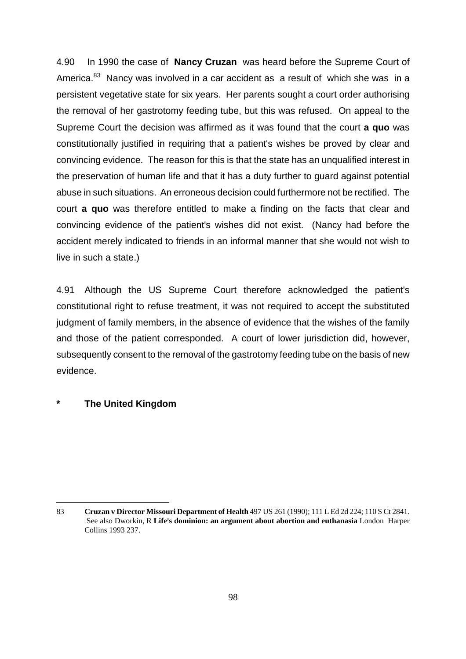4.90 In 1990 the case of **Nancy Cruzan** was heard before the Supreme Court of America.<sup>83</sup> Nancy was involved in a car accident as a result of which she was in a persistent vegetative state for six years. Her parents sought a court order authorising the removal of her gastrotomy feeding tube, but this was refused. On appeal to the Supreme Court the decision was affirmed as it was found that the court **a quo** was constitutionally justified in requiring that a patient's wishes be proved by clear and convincing evidence. The reason for this is that the state has an unqualified interest in the preservation of human life and that it has a duty further to guard against potential abuse in such situations. An erroneous decision could furthermore not be rectified. The court **a quo** was therefore entitled to make a finding on the facts that clear and convincing evidence of the patient's wishes did not exist. (Nancy had before the accident merely indicated to friends in an informal manner that she would not wish to live in such a state.)

4.91 Although the US Supreme Court therefore acknowledged the patient's constitutional right to refuse treatment, it was not required to accept the substituted judgment of family members, in the absence of evidence that the wishes of the family and those of the patient corresponded. A court of lower jurisdiction did, however, subsequently consent to the removal of the gastrotomy feeding tube on the basis of new evidence.

## **\* The United Kingdom**

<sup>83</sup> **Cruzan v Director Missouri Department of Health** 497 US 261 (1990); 111 L Ed 2d 224; 110 S Ct 2841. See also Dworkin, R Life's dominion: an argument about abortion and euthanasia London Harper Collins 1993 237.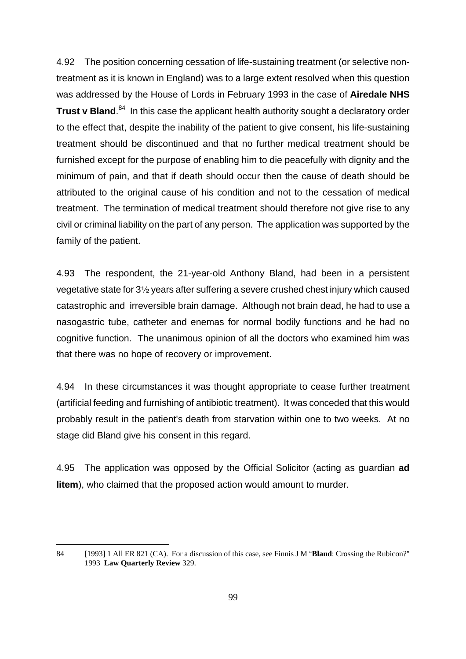4.92 The position concerning cessation of life-sustaining treatment (or selective nontreatment as it is known in England) was to a large extent resolved when this question was addressed by the House of Lords in February 1993 in the case of **Airedale NHS Trust v Bland.**<sup>84</sup> In this case the applicant health authority sought a declaratory order to the effect that, despite the inability of the patient to give consent, his life-sustaining treatment should be discontinued and that no further medical treatment should be furnished except for the purpose of enabling him to die peacefully with dignity and the minimum of pain, and that if death should occur then the cause of death should be attributed to the original cause of his condition and not to the cessation of medical treatment. The termination of medical treatment should therefore not give rise to any civil or criminal liability on the part of any person. The application was supported by the family of the patient.

4.93 The respondent, the 21-year-old Anthony Bland, had been in a persistent vegetative state for 3<sup>1</sup>/<sub>2</sub> years after suffering a severe crushed chest injury which caused catastrophic and irreversible brain damage. Although not brain dead, he had to use a nasogastric tube, catheter and enemas for normal bodily functions and he had no cognitive function. The unanimous opinion of all the doctors who examined him was that there was no hope of recovery or improvement.

4.94 In these circumstances it was thought appropriate to cease further treatment (artificial feeding and furnishing of antibiotic treatment). It was conceded that this would probably result in the patient's death from starvation within one to two weeks. At no stage did Bland give his consent in this regard.

4.95 The application was opposed by the Official Solicitor (acting as guardian **ad litem**), who claimed that the proposed action would amount to murder.

<sup>84 [1993] 1</sup> All ER 821 (CA). For a discussion of this case, see Finnis J M "**Bland**: Crossing the Rubicon?" 1993 **Law Quarterly Review** 329.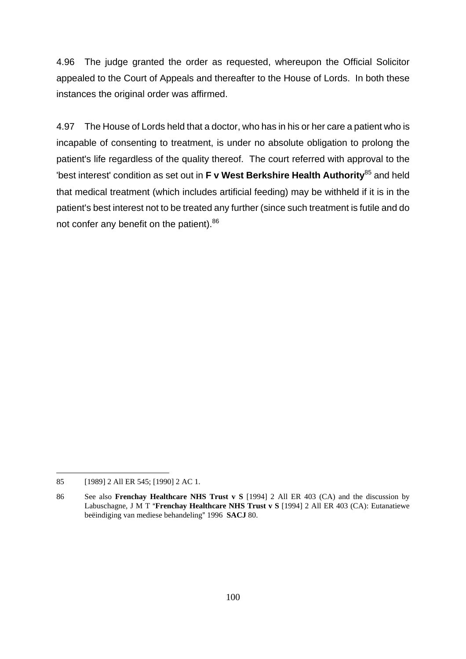4.96 The judge granted the order as requested, whereupon the Official Solicitor appealed to the Court of Appeals and thereafter to the House of Lords. In both these instances the original order was affirmed.

4.97 The House of Lords held that a doctor, who has in his or her care a patient who is incapable of consenting to treatment, is under no absolute obligation to prolong the patient's life regardless of the quality thereof. The court referred with approval to the 'best interest' condition as set out in **F v West Berkshire Health Authority**<sup>85</sup> and held that medical treatment (which includes artificial feeding) may be withheld if it is in the patient's best interest not to be treated any further (since such treatment is futile and do not confer any benefit on the patient). 86

<sup>85 [1989] 2</sup> All ER 545; [1990] 2 AC 1.

<sup>86</sup> See also **Frenchay Healthcare NHS Trust v S** [1994] 2 All ER 403 (CA) and the discussion by Labuschagne, J M T "**Frenchay Healthcare NHS Trust v S** [1994] 2 All ER 403 (CA): Eutanatiewe beëindiging van mediese behandeling" 1996 **SACJ** 80.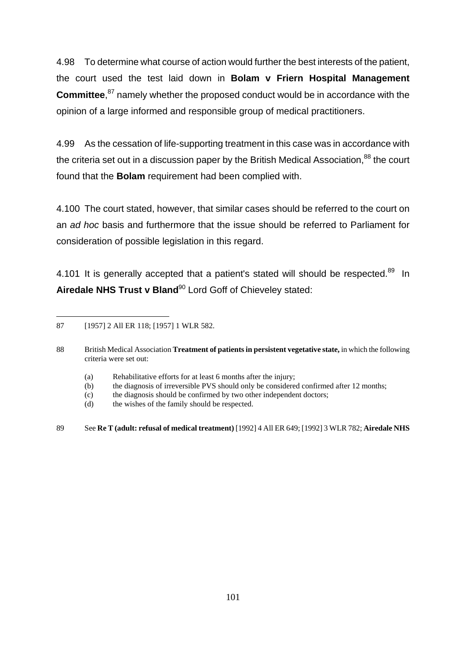4.98 To determine what course of action would further the best interests of the patient, the court used the test laid down in **Bolam v Friern Hospital Management Committee**, 87 namely whether the proposed conduct would be in accordance with the opinion of a large informed and responsible group of medical practitioners.

4.99 As the cessation of life-supporting treatment in this case was in accordance with the criteria set out in a discussion paper by the British Medical Association,  $88$  the court found that the **Bolam** requirement had been complied with.

4.100 The court stated, however, that similar cases should be referred to the court on an *ad hoc* basis and furthermore that the issue should be referred to Parliament for consideration of possible legislation in this regard.

4.101 It is generally accepted that a patient's stated will should be respected.<sup>89</sup> In Airedale NHS Trust v Bland<sup>90</sup> Lord Goff of Chieveley stated:

- (a) Rehabilitative efforts for at least 6 months after the injury;
- (b) the diagnosis of irreversible PVS should only be considered confirmed after 12 months;
- (c) the diagnosis should be confirmed by two other independent doctors;
- (d) the wishes of the family should be respected.

89 See **Re T (adult: refusal of medical treatment)** [1992] 4 All ER 649; [1992] 3 WLR 782; **Airedale NHS** 

 $\overline{a}$ 87 [1957] 2 All ER 118; [1957] 1 WLR 582.

<sup>88</sup> British Medical Association **Treatment of patients in persistent vegetative state,** in which the following criteria were set out: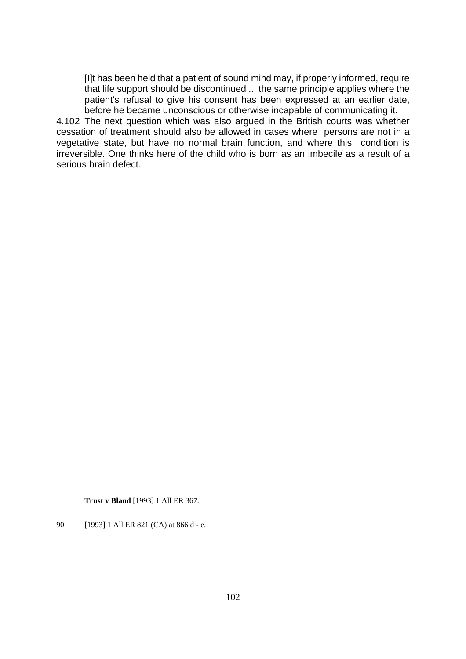[I]t has been held that a patient of sound mind may, if properly informed, require that life support should be discontinued ... the same principle applies where the patient's refusal to give his consent has been expressed at an earlier date, before he became unconscious or otherwise incapable of communicating it.

4.102 The next question which was also argued in the British courts was whether cessation of treatment should also be allowed in cases where persons are not in a vegetative state, but have no normal brain function, and where this condition is irreversible. One thinks here of the child who is born as an imbecile as a result of a serious brain defect.

**Trust v Bland** [1993] 1 All ER 367.

90 [1993] 1 All ER 821 (CA) at 866 d - e.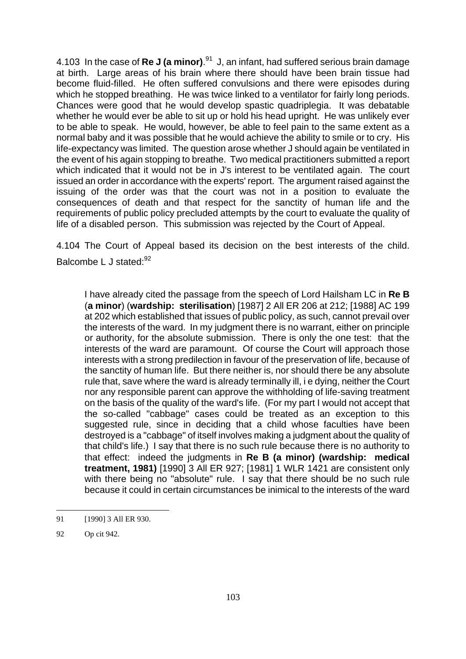4.103 In the case of **Re J (a minor)**. 91 J, an infant, had suffered serious brain damage at birth. Large areas of his brain where there should have been brain tissue had become fluid-filled. He often suffered convulsions and there were episodes during which he stopped breathing. He was twice linked to a ventilator for fairly long periods. Chances were good that he would develop spastic quadriplegia. It was debatable whether he would ever be able to sit up or hold his head upright. He was unlikely ever to be able to speak. He would, however, be able to feel pain to the same extent as a normal baby and it was possible that he would achieve the ability to smile or to cry. His life-expectancy was limited. The question arose whether J should again be ventilated in the event of his again stopping to breathe. Two medical practitioners submitted a report which indicated that it would not be in J's interest to be ventilated again. The court issued an order in accordance with the experts' report. The argument raised against the issuing of the order was that the court was not in a position to evaluate the consequences of death and that respect for the sanctity of human life and the requirements of public policy precluded attempts by the court to evaluate the quality of life of a disabled person. This submission was rejected by the Court of Appeal.

4.104 The Court of Appeal based its decision on the best interests of the child. Balcombe L J stated: 92

I have already cited the passage from the speech of Lord Hailsham LC in **Re B** (**a minor**) (**wardship: sterilisation**) [1987] 2 All ER 206 at 212; [1988] AC 199 at 202 which established that issues of public policy, as such, cannot prevail over the interests of the ward. In my judgment there is no warrant, either on principle or authority, for the absolute submission. There is only the one test: that the interests of the ward are paramount. Of course the Court will approach those interests with a strong predilection in favour of the preservation of life, because of the sanctity of human life. But there neither is, nor should there be any absolute rule that, save where the ward is already terminally ill, i e dying, neither the Court nor any responsible parent can approve the withholding of life-saving treatment on the basis of the quality of the ward's life. (For my part I would not accept that the so-called "cabbage" cases could be treated as an exception to this suggested rule, since in deciding that a child whose faculties have been destroyed is a "cabbage" of itself involves making a judgment about the quality of that child's life.) I say that there is no such rule because there is no authority to that effect: indeed the judgments in **Re B (a minor) (wardship: medical treatment, 1981)** [1990] 3 All ER 927; [1981] 1 WLR 1421 are consistent only with there being no "absolute" rule. I say that there should be no such rule because it could in certain circumstances be inimical to the interests of the ward

 $\overline{a}$ 91 [1990] 3 All ER 930.

<sup>92</sup> Op cit 942.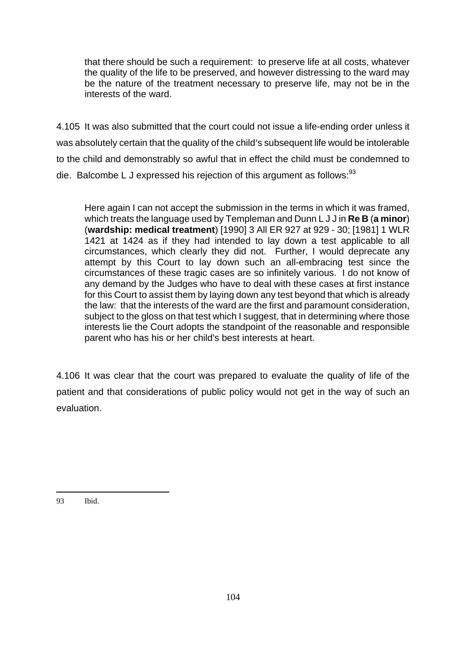that there should be such a requirement: to preserve life at all costs, whatever the quality of the life to be preserved, and however distressing to the ward may be the nature of the treatment necessary to preserve life, may not be in the interests of the ward.

4.105 It was also submitted that the court could not issue a life-ending order unless it was absolutely certain that the quality of the child's subsequent life would be intolerable to the child and demonstrably so awful that in effect the child must be condemned to die. Balcombe L J expressed his rejection of this argument as follows: $93$ 

Here again I can not accept the submission in the terms in which it was framed, which treats the language used by Templeman and Dunn L J J in **Re B** (**a minor**) (**wardship: medical treatment**) [1990] 3 All ER 927 at 929 - 30; [1981] 1 WLR 1421 at 1424 as if they had intended to lay down a test applicable to all circumstances, which clearly they did not. Further, I would deprecate any attempt by this Court to lay down such an all-embracing test since the circumstances of these tragic cases are so infinitely various. I do not know of any demand by the Judges who have to deal with these cases at first instance for this Court to assist them by laying down any test beyond that which is already the law: that the interests of the ward are the first and paramount consideration, subject to the gloss on that test which I suggest, that in determining where those interests lie the Court adopts the standpoint of the reasonable and responsible parent who has his or her child's best interests at heart.

4.106 It was clear that the court was prepared to evaluate the quality of life of the patient and that considerations of public policy would not get in the way of such an evaluation.

93 Ibid.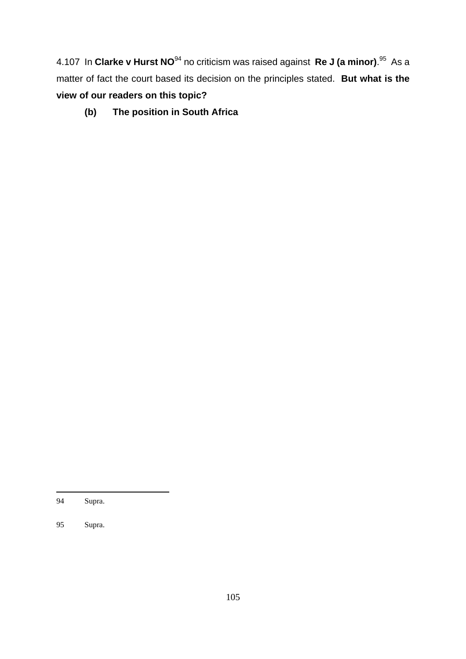4.107 In **Clarke v Hurst NO**94 no criticism was raised against **Re J (a minor)**. 95 As a matter of fact the court based its decision on the principles stated. **But what is the view of our readers on this topic?**

**(b) The position in South Africa** 

<sup>94</sup> Supra.

<sup>95</sup> Supra.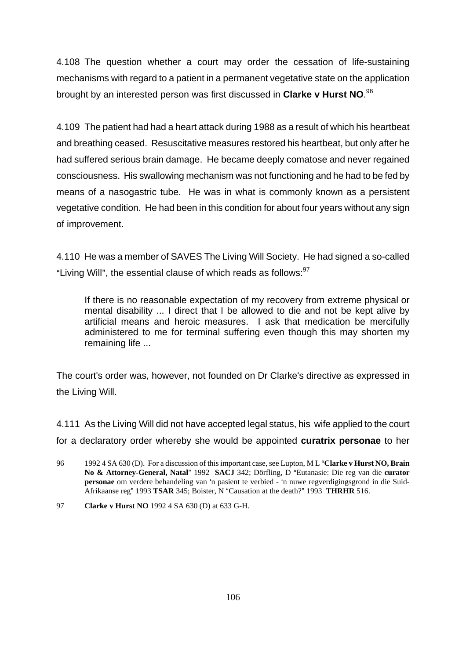4.108 The question whether a court may order the cessation of life-sustaining mechanisms with regard to a patient in a permanent vegetative state on the application brought by an interested person was first discussed in **Clarke v Hurst NO**. 96

4.109 The patient had had a heart attack during 1988 as a result of which his heartbeat and breathing ceased. Resuscitative measures restored his heartbeat, but only after he had suffered serious brain damage. He became deeply comatose and never regained consciousness. His swallowing mechanism was not functioning and he had to be fed by means of a nasogastric tube. He was in what is commonly known as a persistent vegetative condition. He had been in this condition for about four years without any sign of improvement.

4.110 He was a member of SAVES The Living Will Society. He had signed a so-called "Living Will", the essential clause of which reads as follows:  $97$ 

If there is no reasonable expectation of my recovery from extreme physical or mental disability ... I direct that I be allowed to die and not be kept alive by artificial means and heroic measures. I ask that medication be mercifully administered to me for terminal suffering even though this may shorten my remaining life ...

The court's order was, however, not founded on Dr Clarke's directive as expressed in the Living Will.

4.111 As the Living Will did not have accepted legal status, his wife applied to the court for a declaratory order whereby she would be appointed **curatrix personae** to her

<sup>96 1992 4</sup> SA 630 (D). For a discussion of this important case, see Lupton, M L "Clarke v Hurst NO, Brain **No & Attorney-General, Natal**" 1992 **SACJ** 342; Dörfling, D "Eutanasie: Die reg van die **curator personae** om verdere behandeling van 'n pasient te verbied - 'n nuwe regverdigingsgrond in die Suid-Afrikaanse reg" 1993 **TSAR** 345; Boister, N "Causation at the death?" 1993 **THRHR** 516.

<sup>97</sup> **Clarke v Hurst NO** 1992 4 SA 630 (D) at 633 G-H.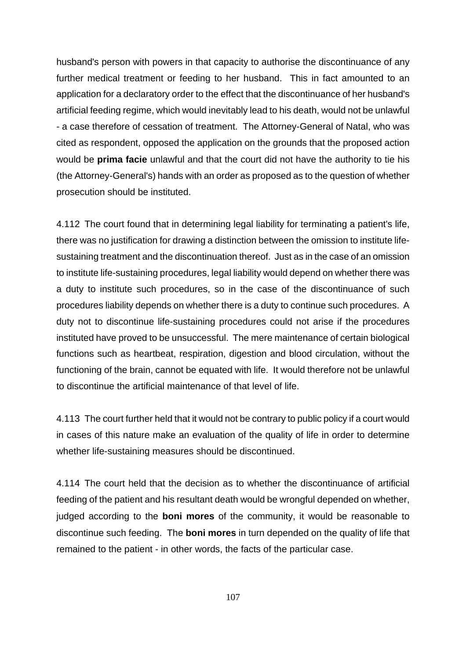husband's person with powers in that capacity to authorise the discontinuance of any further medical treatment or feeding to her husband. This in fact amounted to an application for a declaratory order to the effect that the discontinuance of her husband's artificial feeding regime, which would inevitably lead to his death, would not be unlawful - a case therefore of cessation of treatment. The Attorney-General of Natal, who was cited as respondent, opposed the application on the grounds that the proposed action would be **prima facie** unlawful and that the court did not have the authority to tie his (the Attorney-General's) hands with an order as proposed as to the question of whether prosecution should be instituted.

4.112 The court found that in determining legal liability for terminating a patient's life, there was no justification for drawing a distinction between the omission to institute lifesustaining treatment and the discontinuation thereof. Just as in the case of an omission to institute life-sustaining procedures, legal liability would depend on whether there was a duty to institute such procedures, so in the case of the discontinuance of such procedures liability depends on whether there is a duty to continue such procedures. A duty not to discontinue life-sustaining procedures could not arise if the procedures instituted have proved to be unsuccessful. The mere maintenance of certain biological functions such as heartbeat, respiration, digestion and blood circulation, without the functioning of the brain, cannot be equated with life. It would therefore not be unlawful to discontinue the artificial maintenance of that level of life.

4.113 The court further held that it would not be contrary to public policy if a court would in cases of this nature make an evaluation of the quality of life in order to determine whether life-sustaining measures should be discontinued.

4.114 The court held that the decision as to whether the discontinuance of artificial feeding of the patient and his resultant death would be wrongful depended on whether, judged according to the **boni mores** of the community, it would be reasonable to discontinue such feeding. The **boni mores** in turn depended on the quality of life that remained to the patient - in other words, the facts of the particular case.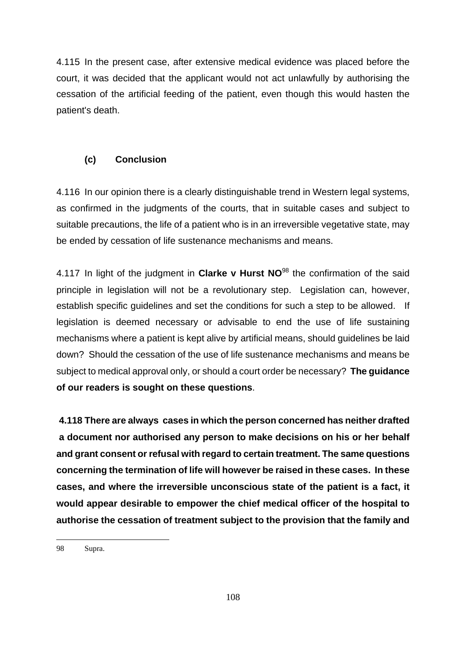4.115 In the present case, after extensive medical evidence was placed before the court, it was decided that the applicant would not act unlawfully by authorising the cessation of the artificial feeding of the patient, even though this would hasten the patient's death.

# **(c) Conclusion**

4.116 In our opinion there is a clearly distinguishable trend in Western legal systems, as confirmed in the judgments of the courts, that in suitable cases and subject to suitable precautions, the life of a patient who is in an irreversible vegetative state, may be ended by cessation of life sustenance mechanisms and means.

4.117 In light of the judgment in **Clarke v Hurst NO**98 the confirmation of the said principle in legislation will not be a revolutionary step. Legislation can, however, establish specific guidelines and set the conditions for such a step to be allowed. If legislation is deemed necessary or advisable to end the use of life sustaining mechanisms where a patient is kept alive by artificial means, should guidelines be laid down? Should the cessation of the use of life sustenance mechanisms and means be subject to medical approval only, or should a court order be necessary? **The guidance of our readers is sought on these questions**.

 **4.118 There are always cases in which the person concerned has neither drafted a document nor authorised any person to make decisions on his or her behalf and grant consent or refusal with regard to certain treatment. The same questions concerning the termination of life will however be raised in these cases. In these cases, and where the irreversible unconscious state of the patient is a fact, it would appear desirable to empower the chief medical officer of the hospital to authorise the cessation of treatment subject to the provision that the family and** 

<sup>98</sup> Supra.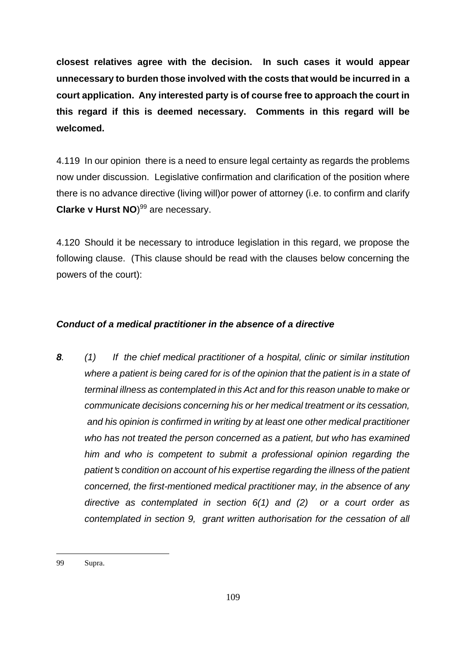**closest relatives agree with the decision. In such cases it would appear unnecessary to burden those involved with the costs that would be incurred in a court application. Any interested party is of course free to approach the court in this regard if this is deemed necessary. Comments in this regard will be welcomed.** 

4.119 In our opinion there is a need to ensure legal certainty as regards the problems now under discussion. Legislative confirmation and clarification of the position where there is no advance directive (living will)or power of attorney (i.e. to confirm and clarify **Clarke v Hurst NO**) 99 are necessary.

4.120 Should it be necessary to introduce legislation in this regard, we propose the following clause. (This clause should be read with the clauses below concerning the powers of the court):

# *Conduct of a medical practitioner in the absence of a directive*

*8. (1) If the chief medical practitioner of a hospital, clinic or similar institution where a patient is being cared for is of the opinion that the patient is in a state of terminal illness as contemplated in this Act and for this reason unable to make or communicate decisions concerning his or her medical treatment or its cessation, and his opinion is confirmed in writing by at least one other medical practitioner who has not treated the person concerned as a patient, but who has examined him and who is competent to submit a professional opinion regarding the patient's condition on account of his expertise regarding the illness of the patient concerned, the first-mentioned medical practitioner may, in the absence of any directive as contemplated in section 6(1) and (2) or a court order as contemplated in section 9, grant written authorisation for the cessation of all* 

<sup>99</sup> Supra.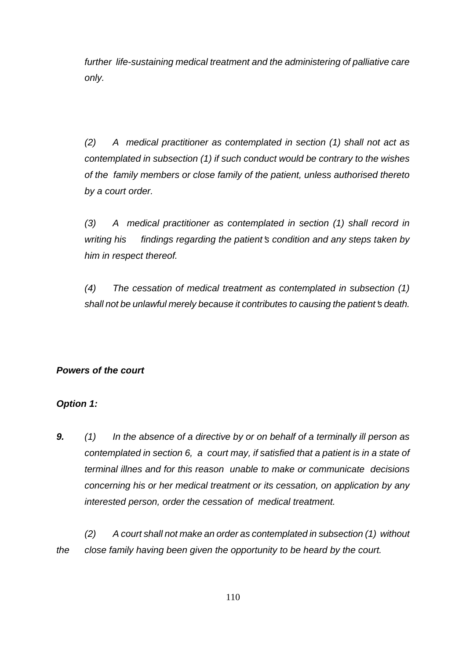*further life-sustaining medical treatment and the administering of palliative care only.* 

*(2) A medical practitioner as contemplated in section (1) shall not act as contemplated in subsection (1) if such conduct would be contrary to the wishes of the family members or close family of the patient, unless authorised thereto by a court order.* 

*(3) A medical practitioner as contemplated in section (1) shall record in writing his* findings regarding the patient's condition and any steps taken by *him in respect thereof.* 

*(4) The cessation of medical treatment as contemplated in subsection (1) shall not be unlawful merely because it contributes to causing the patient's death.* 

## *Powers of the court*

#### *Option 1:*

*9. (1) In the absence of a directive by or on behalf of a terminally ill person as contemplated in section 6, a court may, if satisfied that a patient is in a state of terminal illnes and for this reason unable to make or communicate decisions concerning his or her medical treatment or its cessation, on application by any interested person, order the cessation of medical treatment.* 

*(2) A court shall not make an order as contemplated in subsection (1) without the close family having been given the opportunity to be heard by the court.*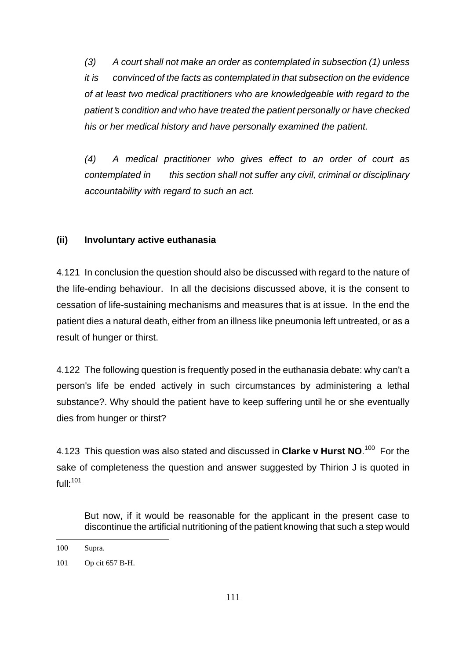*(3) A court shall not make an order as contemplated in subsection (1) unless it is convinced of the facts as contemplated in that subsection on the evidence of at least two medical practitioners who are knowledgeable with regard to the patient's condition and who have treated the patient personally or have checked his or her medical history and have personally examined the patient.* 

*(4) A medical practitioner who gives effect to an order of court as contemplated in this section shall not suffer any civil, criminal or disciplinary accountability with regard to such an act.* 

# **(ii) Involuntary active euthanasia**

4.121 In conclusion the question should also be discussed with regard to the nature of the life-ending behaviour. In all the decisions discussed above, it is the consent to cessation of life-sustaining mechanisms and measures that is at issue. In the end the patient dies a natural death, either from an illness like pneumonia left untreated, or as a result of hunger or thirst.

4.122 The following question is frequently posed in the euthanasia debate: why can't a person's life be ended actively in such circumstances by administering a lethal substance?. Why should the patient have to keep suffering until he or she eventually dies from hunger or thirst?

4.123 This question was also stated and discussed in **Clarke v Hurst NO**. 100 For the sake of completeness the question and answer suggested by Thirion J is quoted in full: $101$ 

But now, if it would be reasonable for the applicant in the present case to discontinue the artificial nutritioning of the patient knowing that such a step would

<sup>100</sup> Supra.

<sup>101</sup> Op cit 657 B-H.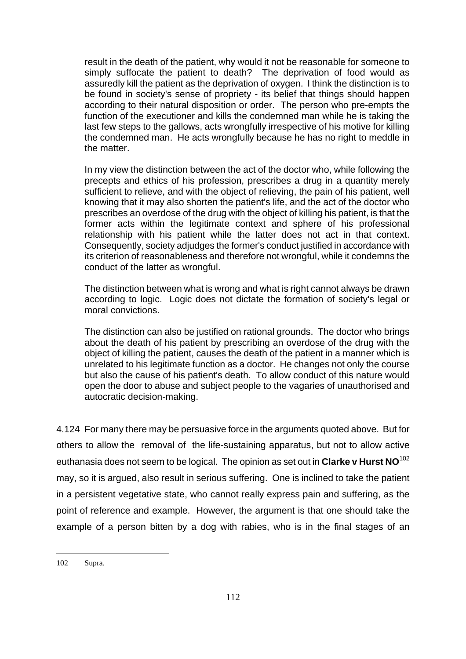result in the death of the patient, why would it not be reasonable for someone to simply suffocate the patient to death? The deprivation of food would as assuredly kill the patient as the deprivation of oxygen. I think the distinction is to be found in society's sense of propriety - its belief that things should happen according to their natural disposition or order. The person who pre-empts the function of the executioner and kills the condemned man while he is taking the last few steps to the gallows, acts wrongfully irrespective of his motive for killing the condemned man. He acts wrongfully because he has no right to meddle in the matter.

In my view the distinction between the act of the doctor who, while following the precepts and ethics of his profession, prescribes a drug in a quantity merely sufficient to relieve, and with the object of relieving, the pain of his patient, well knowing that it may also shorten the patient's life, and the act of the doctor who prescribes an overdose of the drug with the object of killing his patient, is that the former acts within the legitimate context and sphere of his professional relationship with his patient while the latter does not act in that context. Consequently, society adjudges the former's conduct justified in accordance with its criterion of reasonableness and therefore not wrongful, while it condemns the conduct of the latter as wrongful.

The distinction between what is wrong and what is right cannot always be drawn according to logic. Logic does not dictate the formation of society's legal or moral convictions.

The distinction can also be justified on rational grounds. The doctor who brings about the death of his patient by prescribing an overdose of the drug with the object of killing the patient, causes the death of the patient in a manner which is unrelated to his legitimate function as a doctor. He changes not only the course but also the cause of his patient's death. To allow conduct of this nature would open the door to abuse and subject people to the vagaries of unauthorised and autocratic decision-making.

4.124 For many there may be persuasive force in the arguments quoted above. But for others to allow the removal of the life-sustaining apparatus, but not to allow active euthanasia does not seem to be logical. The opinion as set out in **Clarke v Hurst NO**<sup>102</sup> may, so it is argued, also result in serious suffering. One is inclined to take the patient in a persistent vegetative state, who cannot really express pain and suffering, as the point of reference and example. However, the argument is that one should take the example of a person bitten by a dog with rabies, who is in the final stages of an

<sup>102</sup> Supra.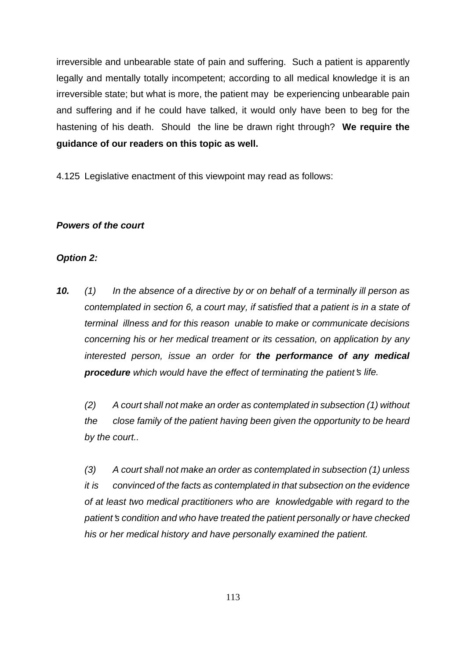irreversible and unbearable state of pain and suffering. Such a patient is apparently legally and mentally totally incompetent; according to all medical knowledge it is an irreversible state; but what is more, the patient may be experiencing unbearable pain and suffering and if he could have talked, it would only have been to beg for the hastening of his death. Should the line be drawn right through? **We require the guidance of our readers on this topic as well.**

4.125 Legislative enactment of this viewpoint may read as follows:

### *Powers of the court*

### *Option 2:*

*10. (1) In the absence of a directive by or on behalf of a terminally ill person as contemplated in section 6, a court may, if satisfied that a patient is in a state of terminal illness and for this reason unable to make or communicate decisions concerning his or her medical treament or its cessation, on application by any interested person, issue an order for the performance of any medical*  **procedure** which would have the effect of terminating the patient's life.

*(2) A court shall not make an order as contemplated in subsection (1) without the close family of the patient having been given the opportunity to be heard by the court..* 

*(3) A court shall not make an order as contemplated in subsection (1) unless it is convinced of the facts as contemplated in that subsection on the evidence of at least two medical practitioners who are knowledgable with regard to the patient*=*s condition and who have treated the patient personally or have checked his or her medical history and have personally examined the patient.*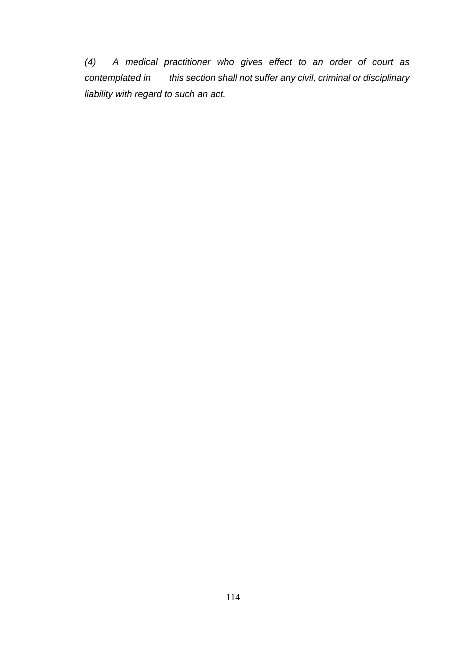*(4) A medical practitioner who gives effect to an order of court as contemplated in this section shall not suffer any civil, criminal or disciplinary liability with regard to such an act.*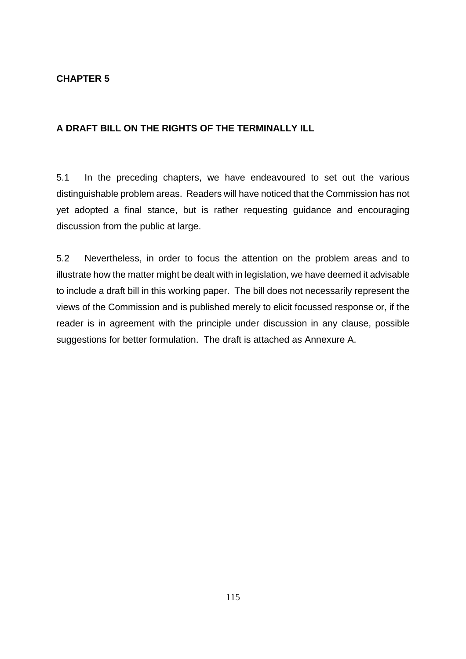# **CHAPTER 5**

# **A DRAFT BILL ON THE RIGHTS OF THE TERMINALLY ILL**

5.1 In the preceding chapters, we have endeavoured to set out the various distinguishable problem areas. Readers will have noticed that the Commission has not yet adopted a final stance, but is rather requesting guidance and encouraging discussion from the public at large.

5.2 Nevertheless, in order to focus the attention on the problem areas and to illustrate how the matter might be dealt with in legislation, we have deemed it advisable to include a draft bill in this working paper. The bill does not necessarily represent the views of the Commission and is published merely to elicit focussed response or, if the reader is in agreement with the principle under discussion in any clause, possible suggestions for better formulation. The draft is attached as Annexure A.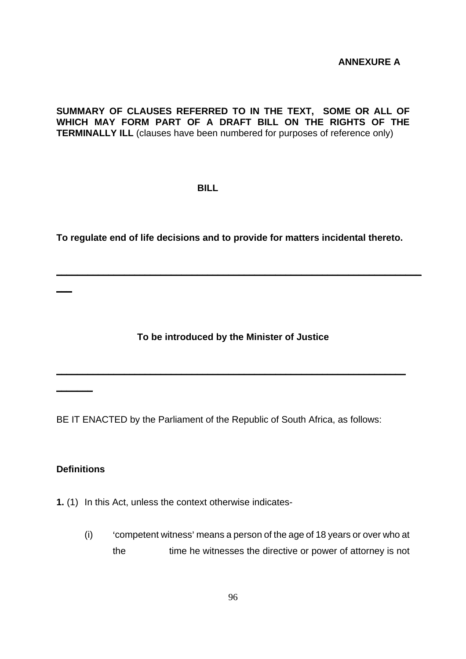## **ANNEXURE A**

**SUMMARY OF CLAUSES REFERRED TO IN THE TEXT, SOME OR ALL OF WHICH MAY FORM PART OF A DRAFT BILL ON THE RIGHTS OF THE TERMINALLY ILL** (clauses have been numbered for purposes of reference only)

#### **BILL**

**To regulate end of life decisions and to provide for matters incidental thereto.** 

**\_\_\_\_\_\_\_\_\_\_\_\_\_\_\_\_\_\_\_\_\_\_\_\_\_\_\_\_\_\_\_\_\_\_\_\_\_\_\_\_\_\_\_\_\_\_\_\_\_\_\_\_\_\_\_\_\_\_\_\_\_\_\_\_\_\_\_\_\_\_**

### **To be introduced by the Minister of Justice**

**\_\_\_\_\_\_\_\_\_\_\_\_\_\_\_\_\_\_\_\_\_\_\_\_\_\_\_\_\_\_\_\_\_\_\_\_\_\_\_\_\_\_\_\_\_\_\_\_\_\_\_\_\_\_\_\_\_\_\_\_\_\_\_\_\_\_\_**

BE IT ENACTED by the Parliament of the Republic of South Africa, as follows:

## **Definitions**

**\_\_\_\_\_\_\_**

**\_\_\_**

- **1.** (1) In this Act, unless the context otherwise indicates-
	- $(i)$  : competent witness' means a person of the age of 18 years or over who at the time he witnesses the directive or power of attorney is not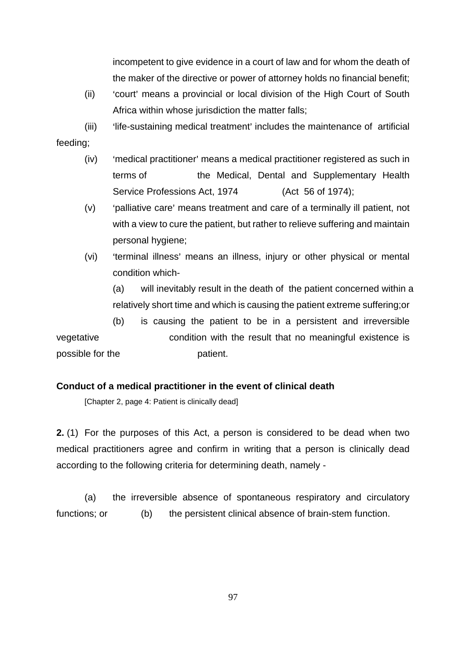incompetent to give evidence in a court of law and for whom the death of the maker of the directive or power of attorney holds no financial benefit;

- (ii) court' means a provincial or local division of the High Court of South Africa within whose jurisdiction the matter falls;
- $(iii)$   $(iii)$   $(iii)$   $(iii)$   $(iiii)$ feeding;
	- $(iv)$  "medical practitioner" means a medical practitioner registered as such in terms of the Medical, Dental and Supplementary Health Service Professions Act, 1974 (Act 56 of 1974);
	- $(v)$  'palliative care' means treatment and care of a terminally ill patient, not with a view to cure the patient, but rather to relieve suffering and maintain personal hygiene;
	- (vi) terminal illness' means an illness, injury or other physical or mental condition which-

(a) will inevitably result in the death of the patient concerned within a relatively short time and which is causing the patient extreme suffering;or

(b) is causing the patient to be in a persistent and irreversible vegetative condition with the result that no meaningful existence is possible for the patient.

## **Conduct of a medical practitioner in the event of clinical death**

[Chapter 2, page 4: Patient is clinically dead]

**2.** (1) For the purposes of this Act, a person is considered to be dead when two medical practitioners agree and confirm in writing that a person is clinically dead according to the following criteria for determining death, namely -

(a) the irreversible absence of spontaneous respiratory and circulatory functions; or (b) the persistent clinical absence of brain-stem function.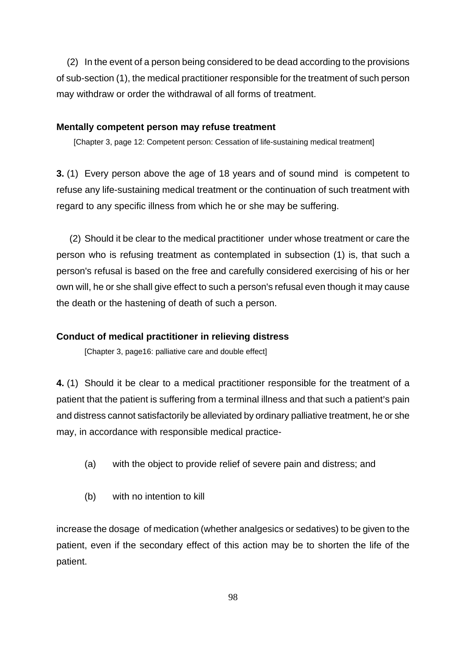(2) In the event of a person being considered to be dead according to the provisions of sub-section (1), the medical practitioner responsible for the treatment of such person may withdraw or order the withdrawal of all forms of treatment.

#### **Mentally competent person may refuse treatment**

[Chapter 3, page 12: Competent person: Cessation of life-sustaining medical treatment]

**3.** (1) Every person above the age of 18 years and of sound mind is competent to refuse any life-sustaining medical treatment or the continuation of such treatment with regard to any specific illness from which he or she may be suffering.

 (2) Should it be clear to the medical practitioner under whose treatment or care the person who is refusing treatment as contemplated in subsection (1) is, that such a person's refusal is based on the free and carefully considered exercising of his or her own will, he or she shall give effect to such a person's refusal even though it may cause the death or the hastening of death of such a person.

#### **Conduct of medical practitioner in relieving distress**

[Chapter 3, page16: palliative care and double effect]

**4.** (1) Should it be clear to a medical practitioner responsible for the treatment of a patient that the patient is suffering from a terminal illness and that such a patient's pain and distress cannot satisfactorily be alleviated by ordinary palliative treatment, he or she may, in accordance with responsible medical practice-

- (a) with the object to provide relief of severe pain and distress; and
- (b) with no intention to kill

increase the dosage of medication (whether analgesics or sedatives) to be given to the patient, even if the secondary effect of this action may be to shorten the life of the patient.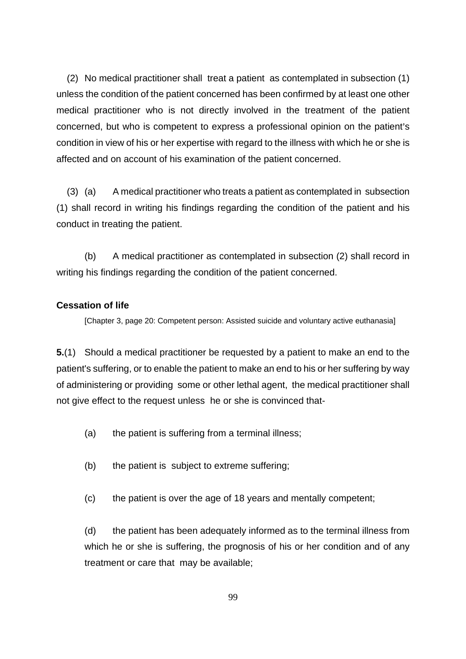(2) No medical practitioner shall treat a patient as contemplated in subsection (1) unless the condition of the patient concerned has been confirmed by at least one other medical practitioner who is not directly involved in the treatment of the patient concerned, but who is competent to express a professional opinion on the patient's condition in view of his or her expertise with regard to the illness with which he or she is affected and on account of his examination of the patient concerned.

 (3) (a) A medical practitioner who treats a patient as contemplated in subsection (1) shall record in writing his findings regarding the condition of the patient and his conduct in treating the patient.

(b) A medical practitioner as contemplated in subsection (2) shall record in writing his findings regarding the condition of the patient concerned.

### **Cessation of life**

[Chapter 3, page 20: Competent person: Assisted suicide and voluntary active euthanasia]

**5.**(1) Should a medical practitioner be requested by a patient to make an end to the patient's suffering, or to enable the patient to make an end to his or her suffering by way of administering or providing some or other lethal agent, the medical practitioner shall not give effect to the request unless he or she is convinced that-

- (a) the patient is suffering from a terminal illness;
- (b) the patient is subject to extreme suffering;
- (c) the patient is over the age of 18 years and mentally competent;

(d) the patient has been adequately informed as to the terminal illness from which he or she is suffering, the prognosis of his or her condition and of any treatment or care that may be available;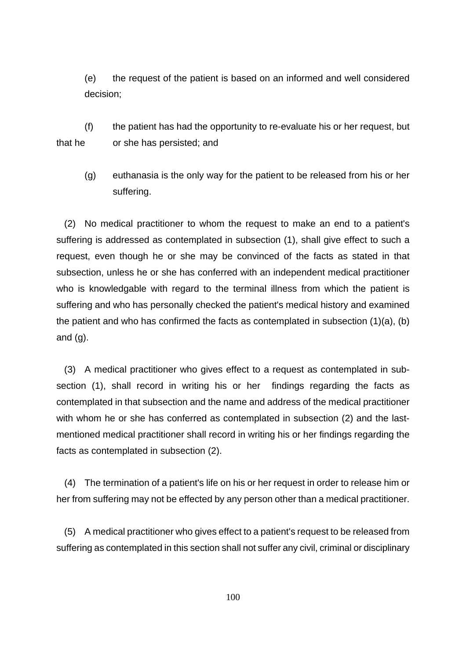(e) the request of the patient is based on an informed and well considered decision;

(f) the patient has had the opportunity to re-evaluate his or her request, but that he or she has persisted; and

(g) euthanasia is the only way for the patient to be released from his or her suffering.

 (2) No medical practitioner to whom the request to make an end to a patient's suffering is addressed as contemplated in subsection (1), shall give effect to such a request, even though he or she may be convinced of the facts as stated in that subsection, unless he or she has conferred with an independent medical practitioner who is knowledgable with regard to the terminal illness from which the patient is suffering and who has personally checked the patient's medical history and examined the patient and who has confirmed the facts as contemplated in subsection (1)(a), (b) and  $(q)$ .

 (3) A medical practitioner who gives effect to a request as contemplated in subsection (1), shall record in writing his or her findings regarding the facts as contemplated in that subsection and the name and address of the medical practitioner with whom he or she has conferred as contemplated in subsection (2) and the lastmentioned medical practitioner shall record in writing his or her findings regarding the facts as contemplated in subsection (2).

 (4) The termination of a patient's life on his or her request in order to release him or her from suffering may not be effected by any person other than a medical practitioner.

 (5) A medical practitioner who gives effect to a patient's request to be released from suffering as contemplated in this section shall not suffer any civil, criminal or disciplinary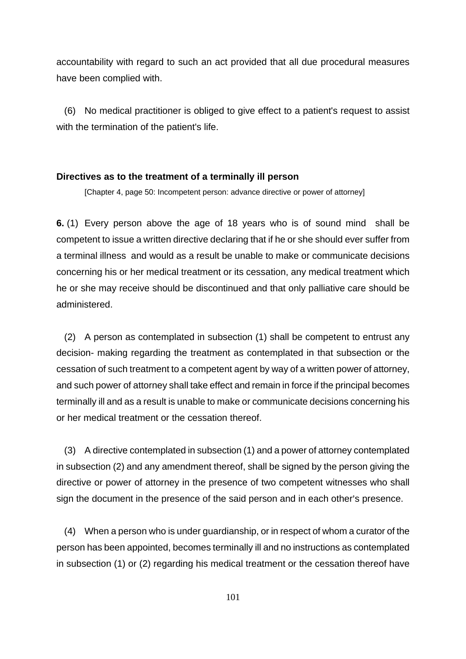accountability with regard to such an act provided that all due procedural measures have been complied with.

(6) No medical practitioner is obliged to give effect to a patient's request to assist with the termination of the patient's life.

#### **Directives as to the treatment of a terminally ill person**

[Chapter 4, page 50: Incompetent person: advance directive or power of attorney]

**6.** (1) Every person above the age of 18 years who is of sound mind shall be competent to issue a written directive declaring that if he or she should ever suffer from a terminal illness and would as a result be unable to make or communicate decisions concerning his or her medical treatment or its cessation, any medical treatment which he or she may receive should be discontinued and that only palliative care should be administered.

 (2) A person as contemplated in subsection (1) shall be competent to entrust any decision- making regarding the treatment as contemplated in that subsection or the cessation of such treatment to a competent agent by way of a written power of attorney, and such power of attorney shall take effect and remain in force if the principal becomes terminally ill and as a result is unable to make or communicate decisions concerning his or her medical treatment or the cessation thereof.

 (3) A directive contemplated in subsection (1) and a power of attorney contemplated in subsection (2) and any amendment thereof, shall be signed by the person giving the directive or power of attorney in the presence of two competent witnesses who shall sign the document in the presence of the said person and in each other's presence.

 (4) When a person who is under guardianship, or in respect of whom a curator of the person has been appointed, becomes terminally ill and no instructions as contemplated in subsection (1) or (2) regarding his medical treatment or the cessation thereof have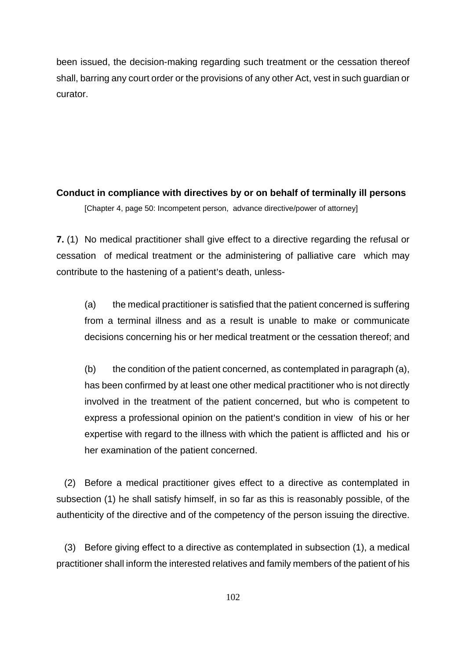been issued, the decision-making regarding such treatment or the cessation thereof shall, barring any court order or the provisions of any other Act, vest in such guardian or curator.

**Conduct in compliance with directives by or on behalf of terminally ill persons** 

[Chapter 4, page 50: Incompetent person, advance directive/power of attorney]

**7.** (1) No medical practitioner shall give effect to a directive regarding the refusal or cessation of medical treatment or the administering of palliative care which may contribute to the hastening of a patient's death, unless-

(a) the medical practitioner is satisfied that the patient concerned is suffering from a terminal illness and as a result is unable to make or communicate decisions concerning his or her medical treatment or the cessation thereof; and

(b) the condition of the patient concerned, as contemplated in paragraph (a), has been confirmed by at least one other medical practitioner who is not directly involved in the treatment of the patient concerned, but who is competent to express a professional opinion on the patient's condition in view of his or her expertise with regard to the illness with which the patient is afflicted and his or her examination of the patient concerned.

 (2) Before a medical practitioner gives effect to a directive as contemplated in subsection (1) he shall satisfy himself, in so far as this is reasonably possible, of the authenticity of the directive and of the competency of the person issuing the directive.

 (3) Before giving effect to a directive as contemplated in subsection (1), a medical practitioner shall inform the interested relatives and family members of the patient of his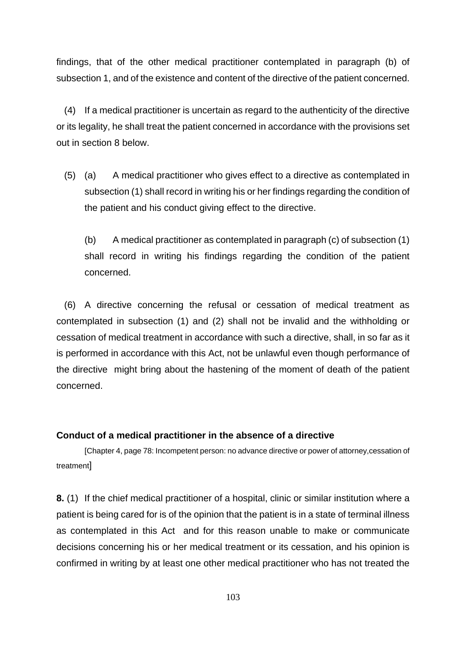findings, that of the other medical practitioner contemplated in paragraph (b) of subsection 1, and of the existence and content of the directive of the patient concerned.

 (4) If a medical practitioner is uncertain as regard to the authenticity of the directive or its legality, he shall treat the patient concerned in accordance with the provisions set out in section 8 below.

 (5) (a) A medical practitioner who gives effect to a directive as contemplated in subsection (1) shall record in writing his or her findings regarding the condition of the patient and his conduct giving effect to the directive.

(b) A medical practitioner as contemplated in paragraph (c) of subsection (1) shall record in writing his findings regarding the condition of the patient concerned.

 (6) A directive concerning the refusal or cessation of medical treatment as contemplated in subsection (1) and (2) shall not be invalid and the withholding or cessation of medical treatment in accordance with such a directive, shall, in so far as it is performed in accordance with this Act, not be unlawful even though performance of the directive might bring about the hastening of the moment of death of the patient concerned.

### **Conduct of a medical practitioner in the absence of a directive**

[Chapter 4, page 78: Incompetent person: no advance directive or power of attorney,cessation of treatment]

**8.** (1) If the chief medical practitioner of a hospital, clinic or similar institution where a patient is being cared for is of the opinion that the patient is in a state of terminal illness as contemplated in this Act and for this reason unable to make or communicate decisions concerning his or her medical treatment or its cessation, and his opinion is confirmed in writing by at least one other medical practitioner who has not treated the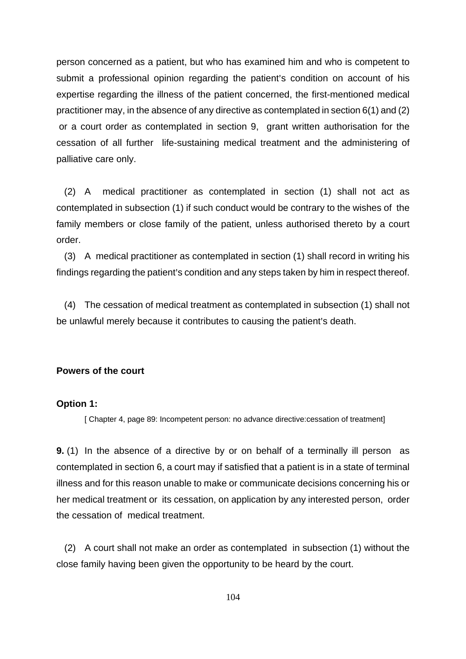person concerned as a patient, but who has examined him and who is competent to submit a professional opinion regarding the patient's condition on account of his expertise regarding the illness of the patient concerned, the first-mentioned medical practitioner may, in the absence of any directive as contemplated in section 6(1) and (2) or a court order as contemplated in section 9, grant written authorisation for the cessation of all further life-sustaining medical treatment and the administering of palliative care only.

 (2) A medical practitioner as contemplated in section (1) shall not act as contemplated in subsection (1) if such conduct would be contrary to the wishes of the family members or close family of the patient, unless authorised thereto by a court order.

 (3) A medical practitioner as contemplated in section (1) shall record in writing his findings regarding the patient's condition and any steps taken by him in respect thereof.

 (4) The cessation of medical treatment as contemplated in subsection (1) shall not be unlawful merely because it contributes to causing the patient's death.

#### **Powers of the court**

#### **Option 1:**

[ Chapter 4, page 89: Incompetent person: no advance directive:cessation of treatment]

**9.** (1) In the absence of a directive by or on behalf of a terminally ill person as contemplated in section 6, a court may if satisfied that a patient is in a state of terminal illness and for this reason unable to make or communicate decisions concerning his or her medical treatment or its cessation, on application by any interested person, order the cessation of medical treatment.

 (2) A court shall not make an order as contemplated in subsection (1) without the close family having been given the opportunity to be heard by the court.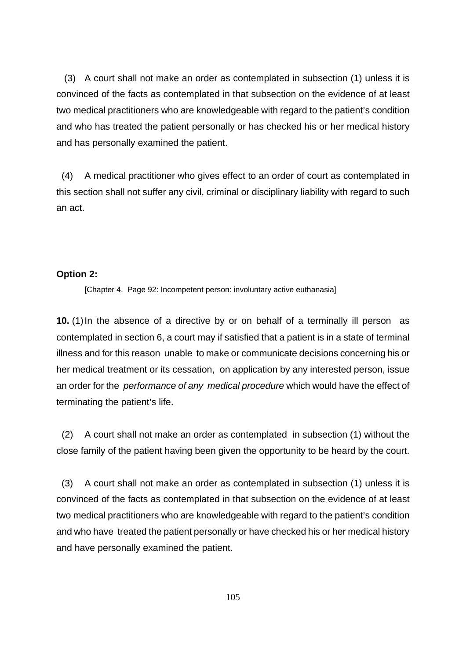(3) A court shall not make an order as contemplated in subsection (1) unless it is convinced of the facts as contemplated in that subsection on the evidence of at least two medical practitioners who are knowledgeable with regard to the patient's condition and who has treated the patient personally or has checked his or her medical history and has personally examined the patient.

(4) A medical practitioner who gives effect to an order of court as contemplated in this section shall not suffer any civil, criminal or disciplinary liability with regard to such an act.

#### **Option 2:**

[Chapter 4. Page 92: Incompetent person: involuntary active euthanasia]

**10.** (1) In the absence of a directive by or on behalf of a terminally ill person as contemplated in section 6, a court may if satisfied that a patient is in a state of terminal illness and for this reason unable to make or communicate decisions concerning his or her medical treatment or its cessation, on application by any interested person, issue an order for the *performance of any medical procedure* which would have the effect of terminating the patient's life.

 (2) A court shall not make an order as contemplated in subsection (1) without the close family of the patient having been given the opportunity to be heard by the court.

 (3) A court shall not make an order as contemplated in subsection (1) unless it is convinced of the facts as contemplated in that subsection on the evidence of at least two medical practitioners who are knowledgeable with regard to the patient's condition and who have treated the patient personally or have checked his or her medical history and have personally examined the patient.